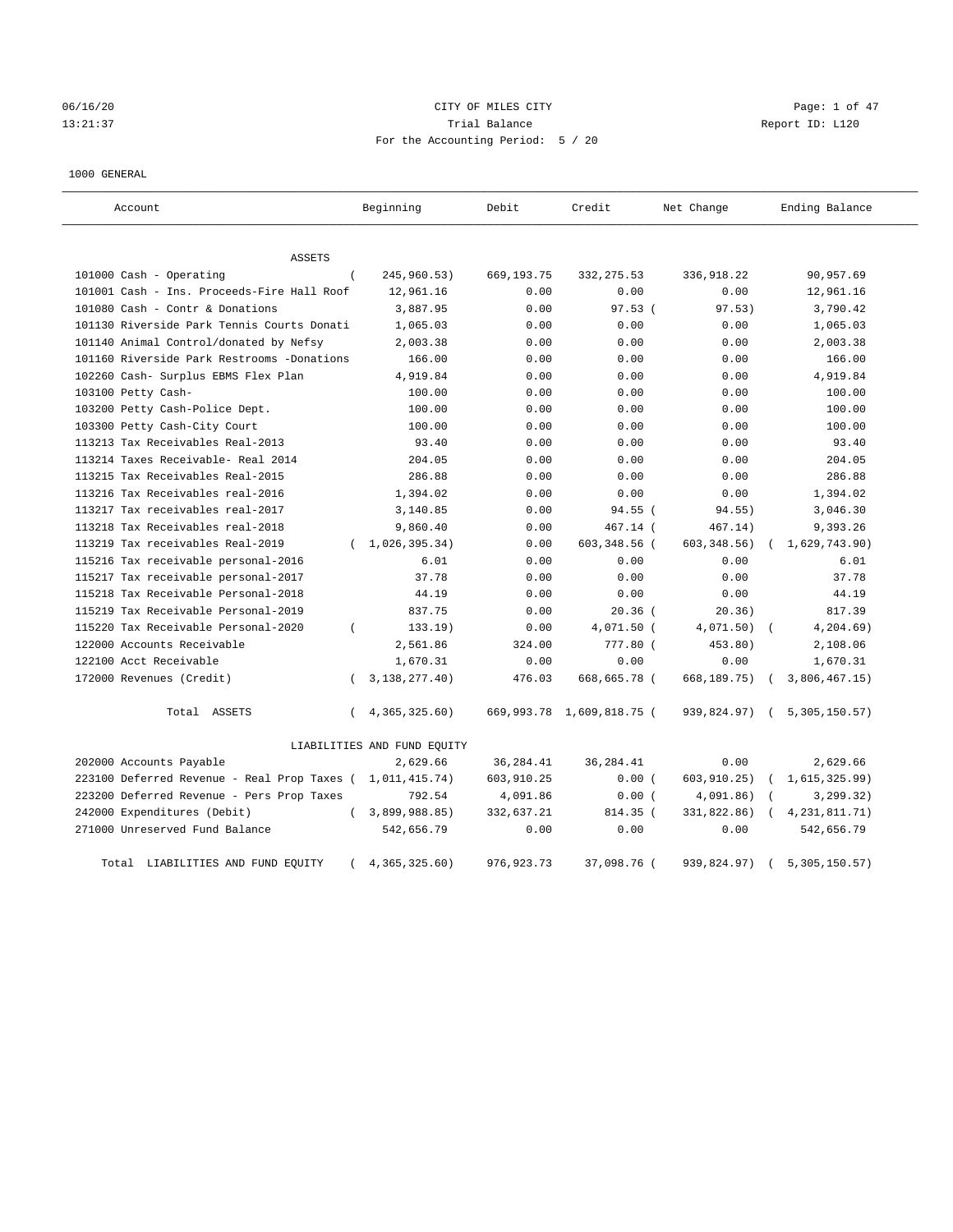# 06/16/20 CITY OF MILES CITY Page: 1 of 47 13:21:37 Trial Balance Report ID: L120 For the Accounting Period: 5 / 20

### 1000 GENERAL

| Account                                     |          | Beginning                   | Debit        | Credit                    | Net Change    | Ending Balance  |
|---------------------------------------------|----------|-----------------------------|--------------|---------------------------|---------------|-----------------|
| ASSETS                                      |          |                             |              |                           |               |                 |
| 101000 Cash - Operating                     | $\left($ | 245,960.53)                 | 669,193.75   | 332, 275.53               | 336,918.22    | 90,957.69       |
| 101001 Cash - Ins. Proceeds-Fire Hall Roof  |          | 12,961.16                   | 0.00         | 0.00                      | 0.00          | 12,961.16       |
| 101080 Cash - Contr & Donations             |          | 3,887.95                    | 0.00         | 97.53(                    | 97.53)        | 3,790.42        |
| 101130 Riverside Park Tennis Courts Donati  |          | 1,065.03                    | 0.00         | 0.00                      | 0.00          | 1,065.03        |
| 101140 Animal Control/donated by Nefsy      |          | 2,003.38                    | 0.00         | 0.00                      | 0.00          | 2,003.38        |
| 101160 Riverside Park Restrooms -Donations  |          | 166.00                      | 0.00         | 0.00                      | 0.00          | 166.00          |
| 102260 Cash- Surplus EBMS Flex Plan         |          | 4,919.84                    | 0.00         | 0.00                      | 0.00          | 4,919.84        |
| 103100 Petty Cash-                          |          | 100.00                      | 0.00         | 0.00                      | 0.00          | 100.00          |
| 103200 Petty Cash-Police Dept.              |          | 100.00                      | 0.00         | 0.00                      | 0.00          | 100.00          |
| 103300 Petty Cash-City Court                |          | 100.00                      | 0.00         | 0.00                      | 0.00          | 100.00          |
| 113213 Tax Receivables Real-2013            |          | 93.40                       | 0.00         | 0.00                      | 0.00          | 93.40           |
| 113214 Taxes Receivable- Real 2014          |          | 204.05                      | 0.00         | 0.00                      | 0.00          | 204.05          |
| 113215 Tax Receivables Real-2015            |          | 286.88                      | 0.00         | 0.00                      | 0.00          | 286.88          |
| 113216 Tax Receivables real-2016            |          | 1,394.02                    | 0.00         | 0.00                      | 0.00          | 1,394.02        |
| 113217 Tax receivables real-2017            |          | 3,140.85                    | 0.00         | $94.55$ (                 | 94.55)        | 3,046.30        |
| 113218 Tax Receivables real-2018            |          | 9,860.40                    | 0.00         | 467.14 (                  | 467.14)       | 9,393.26        |
| 113219 Tax receivables Real-2019            |          | (1, 026, 395.34)            | 0.00         | 603,348.56 (              | 603, 348.56)  | 1,629,743.90)   |
| 115216 Tax receivable personal-2016         |          | 6.01                        | 0.00         | 0.00                      | 0.00          | 6.01            |
| 115217 Tax receivable personal-2017         |          | 37.78                       | 0.00         | 0.00                      | 0.00          | 37.78           |
| 115218 Tax Receivable Personal-2018         |          | 44.19                       | 0.00         | 0.00                      | 0.00          | 44.19           |
| 115219 Tax Receivable Personal-2019         |          | 837.75                      | 0.00         | $20.36$ (                 | 20.36)        | 817.39          |
| 115220 Tax Receivable Personal-2020         | $\left($ | 133.19)                     | 0.00         | 4,071.50 (                | 4,071.50)     | 4, 204.69)      |
| 122000 Accounts Receivable                  |          | 2,561.86                    | 324.00       | 777.80 (                  | 453.80)       | 2,108.06        |
| 122100 Acct Receivable                      |          | 1,670.31                    | 0.00         | 0.00                      | 0.00          | 1,670.31        |
| 172000 Revenues (Credit)                    | $\left($ | 3, 138, 277. 40)            | 476.03       | 668,665.78 (              | 668,189.75)   | 3,806,467.15    |
| Total ASSETS                                | $\left($ | 4,365,325.60                |              | 669,993.78 1,609,818.75 ( | 939,824.97) ( | 5,305,150.57)   |
|                                             |          | LIABILITIES AND FUND EQUITY |              |                           |               |                 |
| 202000 Accounts Payable                     |          | 2,629.66                    | 36, 284.41   | 36, 284.41                | 0.00          | 2,629.66        |
| 223100 Deferred Revenue - Real Prop Taxes ( |          | 1,011,415.74)               | 603,910.25   | 0.00(                     | 603, 910.25)  | 1,615,325.99)   |
| 223200 Deferred Revenue - Pers Prop Taxes   |          | 792.54                      | 4,091.86     | 0.00(                     | 4,091.86)     | 3, 299.32)      |
| 242000 Expenditures (Debit)                 | $\left($ | 3,899,988.85)               | 332,637.21   | 814.35 (                  | 331,822.86)   | 4, 231, 811.71) |
| 271000 Unreserved Fund Balance              |          | 542,656.79                  | 0.00         | 0.00                      | 0.00          | 542,656.79      |
| Total LIABILITIES AND FUND EQUITY           |          | 4, 365, 325.60)             | 976, 923. 73 | 37,098.76 (               | 939,824.97)   | 5,305,150.57)   |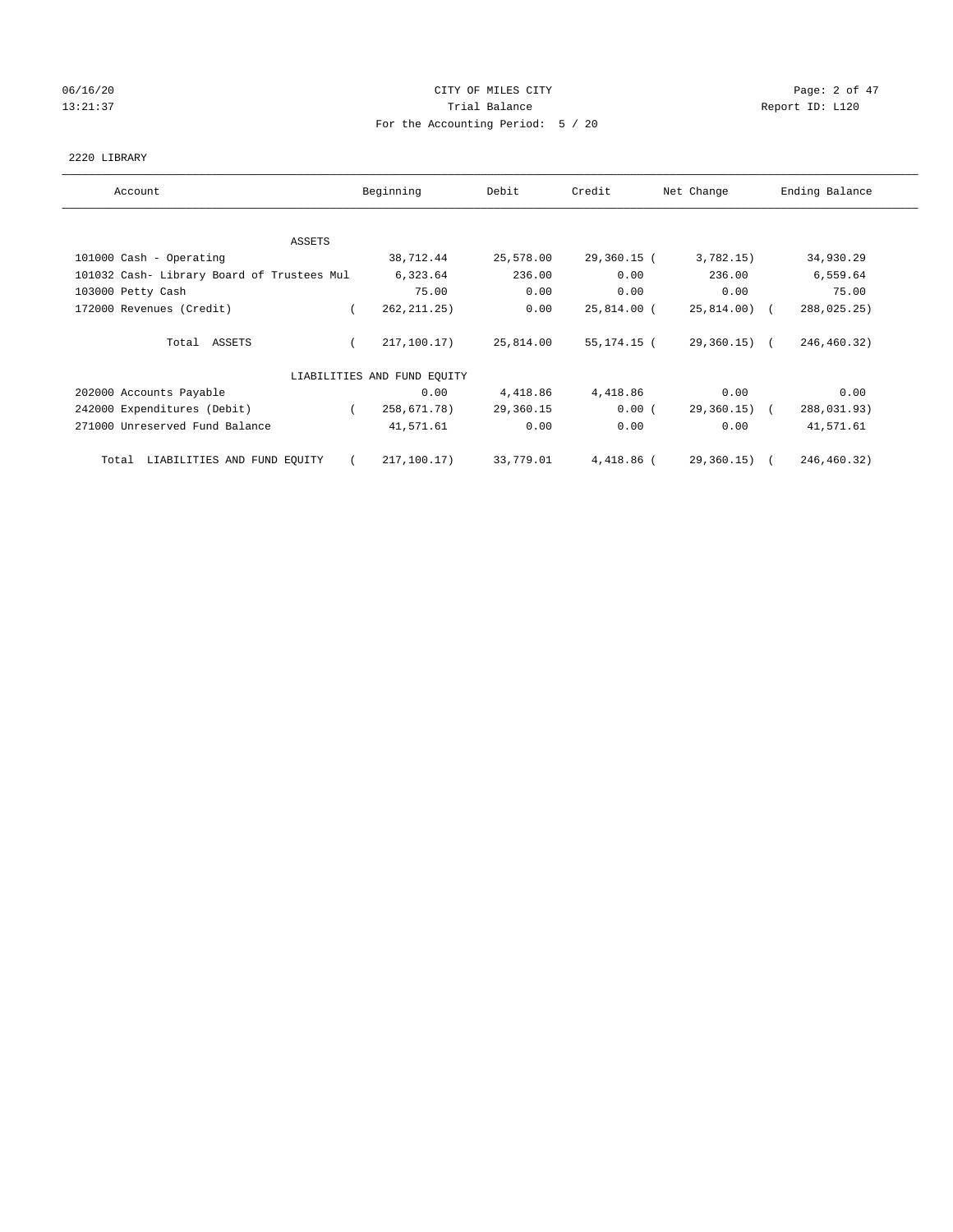## 06/16/20 Page: 2 of 47 13:21:37 Trial Balance Report ID: L120 For the Accounting Period: 5 / 20

### 2220 LIBRARY

| Account                                    | Beginning                   | Debit     | Credit      | Net Change     | Ending Balance |
|--------------------------------------------|-----------------------------|-----------|-------------|----------------|----------------|
| <b>ASSETS</b>                              |                             |           |             |                |                |
| 101000 Cash - Operating                    | 38,712.44                   | 25,578.00 | 29,360.15 ( | 3,782.15)      | 34,930.29      |
| 101032 Cash- Library Board of Trustees Mul | 6,323.64                    | 236.00    | 0.00        | 236.00         | 6,559.64       |
| 103000 Petty Cash                          | 75.00                       | 0.00      | 0.00        | 0.00           | 75.00          |
| 172000 Revenues (Credit)                   | 262, 211.25)                | 0.00      | 25,814.00 ( | $25,814.00$ (  | 288,025.25)    |
| Total ASSETS                               | 217,100.17)                 | 25,814.00 | 55,174.15 ( | $29,360.15)$ ( | 246,460.32)    |
|                                            | LIABILITIES AND FUND EQUITY |           |             |                |                |
| 202000 Accounts Payable                    | 0.00                        | 4,418.86  | 4,418.86    | 0.00           | 0.00           |
| 242000 Expenditures (Debit)                | 258,671.78)<br>$\left($     | 29,360.15 | 0.00(       | 29,360.15) (   | 288,031.93)    |
| 271000 Unreserved Fund Balance             | 41,571.61                   | 0.00      | 0.00        | 0.00           | 41,571.61      |
| Total LIABILITIES AND FUND EQUITY          | 217,100.17)                 | 33,779.01 | 4,418.86 (  | 29,360.15) (   | 246,460.32)    |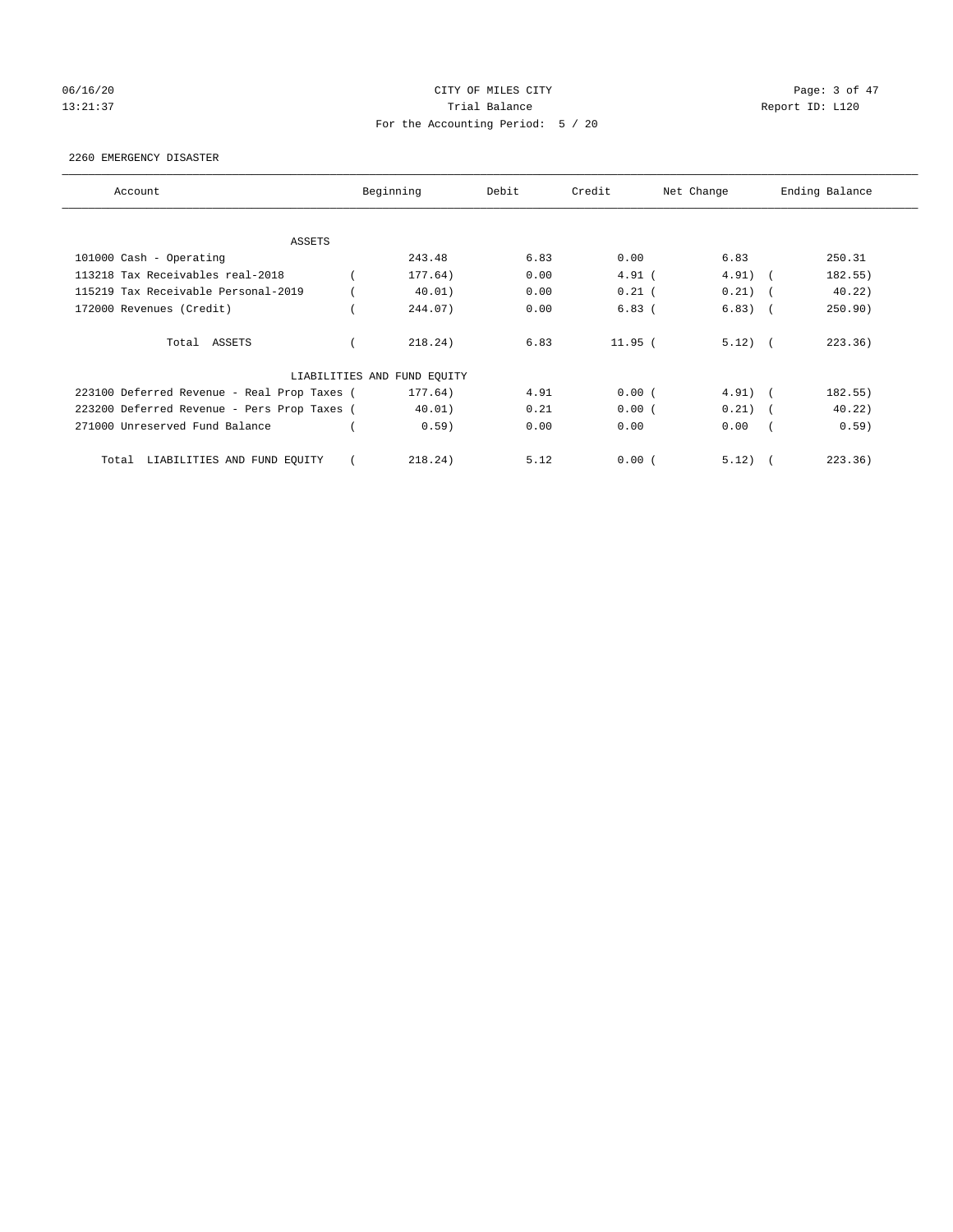# 06/16/20 Page: 3 of 47 13:21:37 Trial Balance Report ID: L120 For the Accounting Period: 5 / 20

### 2260 EMERGENCY DISASTER

| Account                                     | Beginning                   | Debit | Credit   | Net Change |        | Ending Balance |
|---------------------------------------------|-----------------------------|-------|----------|------------|--------|----------------|
| ASSETS                                      |                             |       |          |            |        |                |
| 101000 Cash - Operating                     | 243.48                      | 6.83  | 0.00     | 6.83       |        | 250.31         |
| 113218 Tax Receivables real-2018            | 177.64)                     | 0.00  | $4.91$ ( | $4.91)$ (  |        | 182.55)        |
| 115219 Tax Receivable Personal-2019         | 40.01)                      | 0.00  | $0.21$ ( | 0.21)      | $\sim$ | 40.22)         |
| 172000 Revenues (Credit)                    | 244.07)                     | 0.00  | $6.83$ ( | 6.83)      | $\sim$ | 250.90)        |
| Total ASSETS                                | 218.24)                     | 6.83  | 11.95(   | $5.12)$ (  |        | 223.36)        |
|                                             | LIABILITIES AND FUND EQUITY |       |          |            |        |                |
| 223100 Deferred Revenue - Real Prop Taxes ( | 177.64)                     | 4.91  | 0.00(    | $4.91)$ (  |        | 182.55)        |
| 223200 Deferred Revenue - Pers Prop Taxes ( | 40.01)                      | 0.21  | 0.00(    | $0.21)$ (  |        | 40.22)         |
| 271000 Unreserved Fund Balance              | 0.59)                       | 0.00  | 0.00     | 0.00       |        | 0.59)          |
| LIABILITIES AND FUND EQUITY<br>Total        | 218.24)                     | 5.12  | 0.00(    | 5.12)      |        | 223.36)        |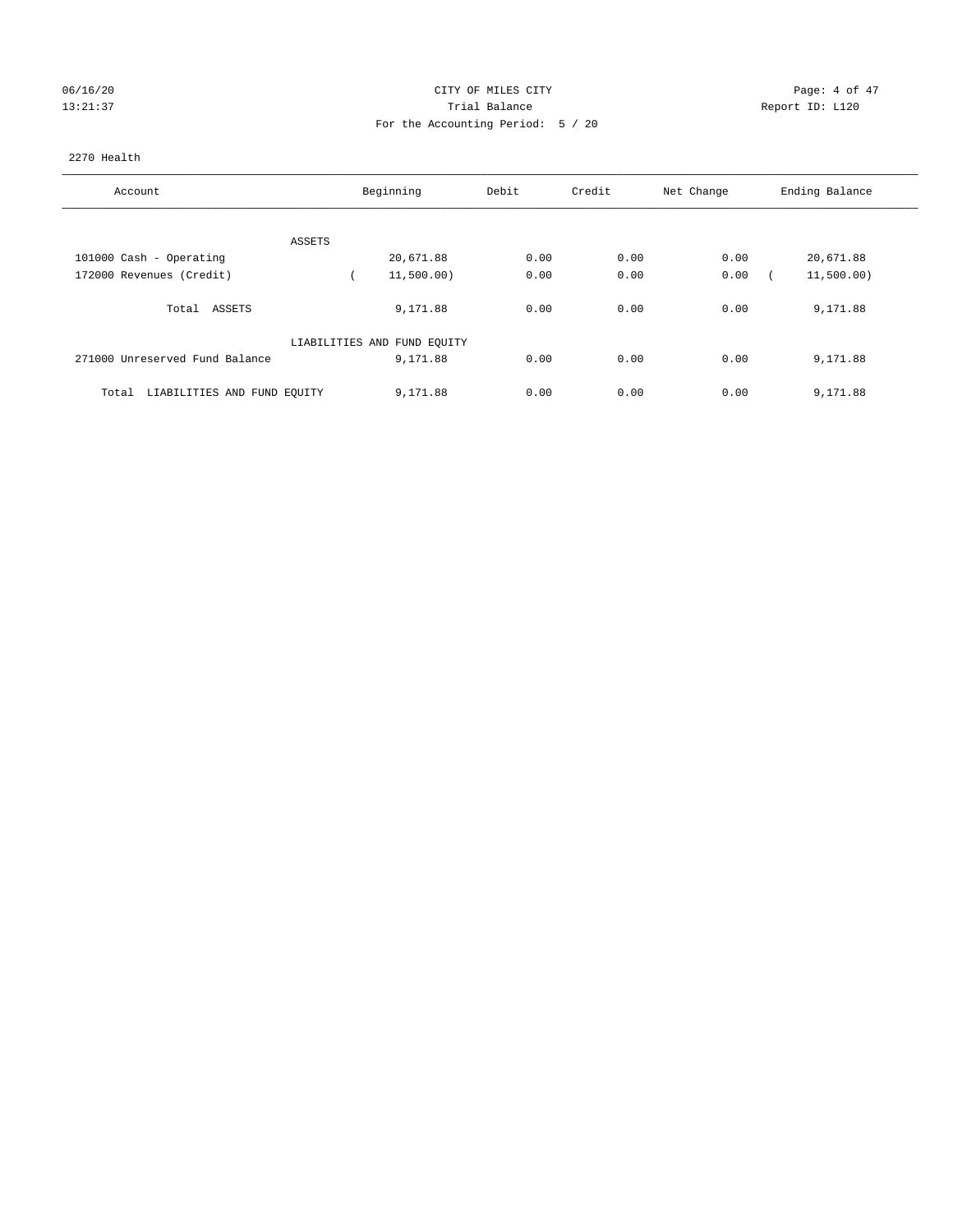## 06/16/20 CITY OF MILES CITY Page: 4 of 47 13:21:37 Trial Balance Report ID: L120 For the Accounting Period: 5 / 20

### 2270 Health

| Account                              | Beginning                   | Debit | Credit | Net Change | Ending Balance |
|--------------------------------------|-----------------------------|-------|--------|------------|----------------|
|                                      |                             |       |        |            |                |
| ASSETS                               |                             |       |        |            |                |
| 101000 Cash - Operating              | 20,671.88                   | 0.00  | 0.00   | 0.00       | 20,671.88      |
| 172000 Revenues (Credit)             | 11,500.00)                  | 0.00  | 0.00   | 0.00       | 11,500.00)     |
| Total ASSETS                         | 9,171.88                    | 0.00  | 0.00   | 0.00       | 9,171.88       |
|                                      | LIABILITIES AND FUND EQUITY |       |        |            |                |
| 271000 Unreserved Fund Balance       | 9,171.88                    | 0.00  | 0.00   | 0.00       | 9,171.88       |
| LIABILITIES AND FUND EQUITY<br>Total | 9,171.88                    | 0.00  | 0.00   | 0.00       | 9,171.88       |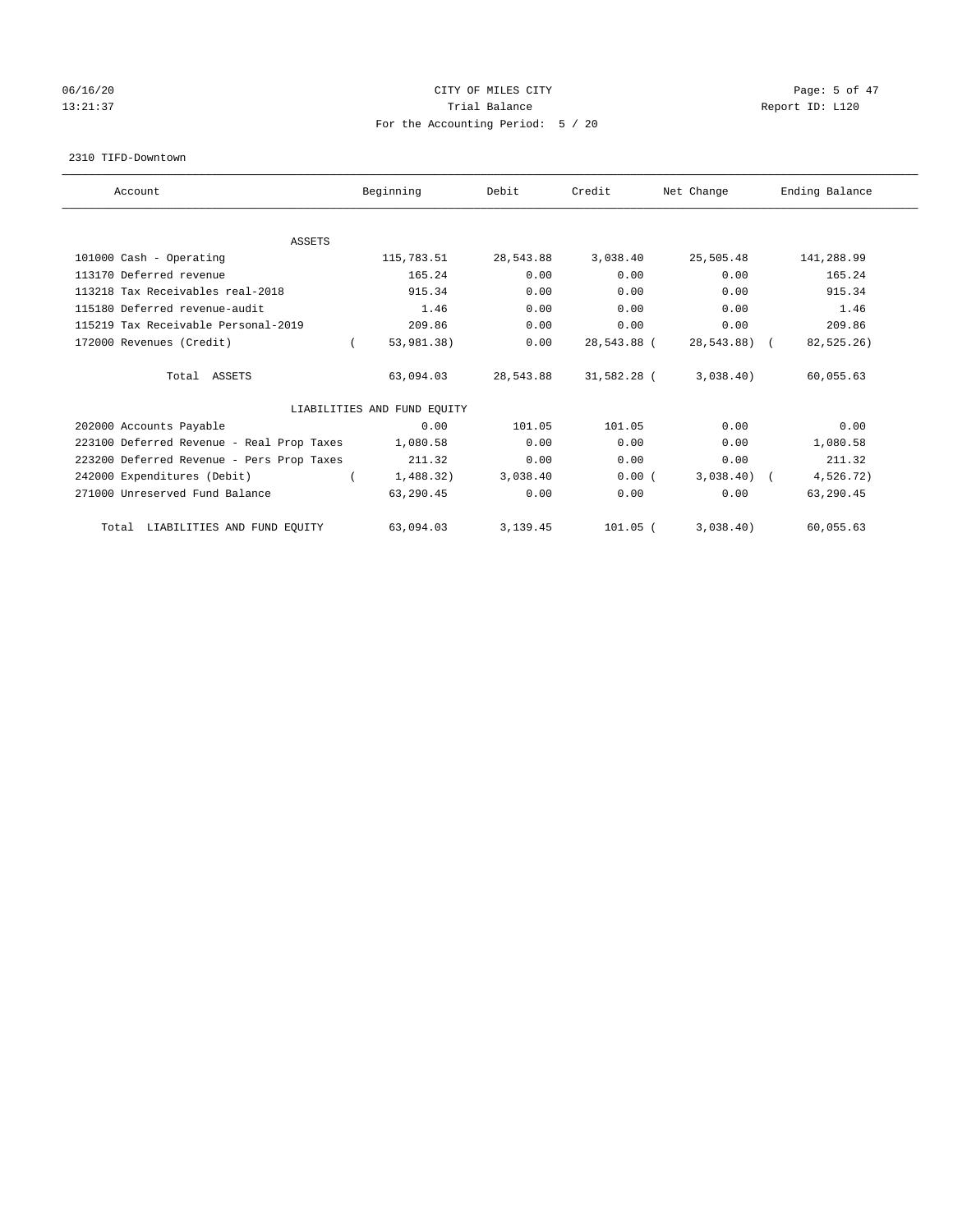## 06/16/20 Page: 5 of 47 13:21:37 Trial Balance Trial Balance Report ID: L120 For the Accounting Period: 5 / 20

#### 2310 TIFD-Downtown

| Account                                   | Beginning                   | Debit     | Credit      | Net Change   | Ending Balance |
|-------------------------------------------|-----------------------------|-----------|-------------|--------------|----------------|
|                                           |                             |           |             |              |                |
| <b>ASSETS</b><br>101000 Cash - Operating  | 115,783.51                  | 28,543.88 | 3,038.40    | 25,505.48    | 141,288.99     |
|                                           |                             |           |             |              |                |
| 113170 Deferred revenue                   | 165.24                      | 0.00      | 0.00        | 0.00         | 165.24         |
| 113218 Tax Receivables real-2018          | 915.34                      | 0.00      | 0.00        | 0.00         | 915.34         |
| 115180 Deferred revenue-audit             | 1.46                        | 0.00      | 0.00        | 0.00         | 1.46           |
| 115219 Tax Receivable Personal-2019       | 209.86                      | 0.00      | 0.00        | 0.00         | 209.86         |
| 172000 Revenues (Credit)                  | 53,981.38)                  | 0.00      | 28,543.88 ( | 28,543.88) ( | 82,525.26)     |
| Total ASSETS                              | 63,094.03                   | 28,543.88 | 31,582.28 ( | 3,038.40)    | 60,055.63      |
|                                           | LIABILITIES AND FUND EQUITY |           |             |              |                |
| 202000 Accounts Payable                   | 0.00                        | 101.05    | 101.05      | 0.00         | 0.00           |
| 223100 Deferred Revenue - Real Prop Taxes | 1,080.58                    | 0.00      | 0.00        | 0.00         | 1,080.58       |
| 223200 Deferred Revenue - Pers Prop Taxes | 211.32                      | 0.00      | 0.00        | 0.00         | 211.32         |
| 242000 Expenditures (Debit)               | 1,488.32)                   | 3,038.40  | 0.00(       | $3,038.40$ ( | 4,526.72)      |
| 271000 Unreserved Fund Balance            | 63,290.45                   | 0.00      | 0.00        | 0.00         | 63,290.45      |
| Total LIABILITIES AND FUND EQUITY         | 63,094.03                   | 3,139.45  | $101.05$ (  | 3,038.40)    | 60,055.63      |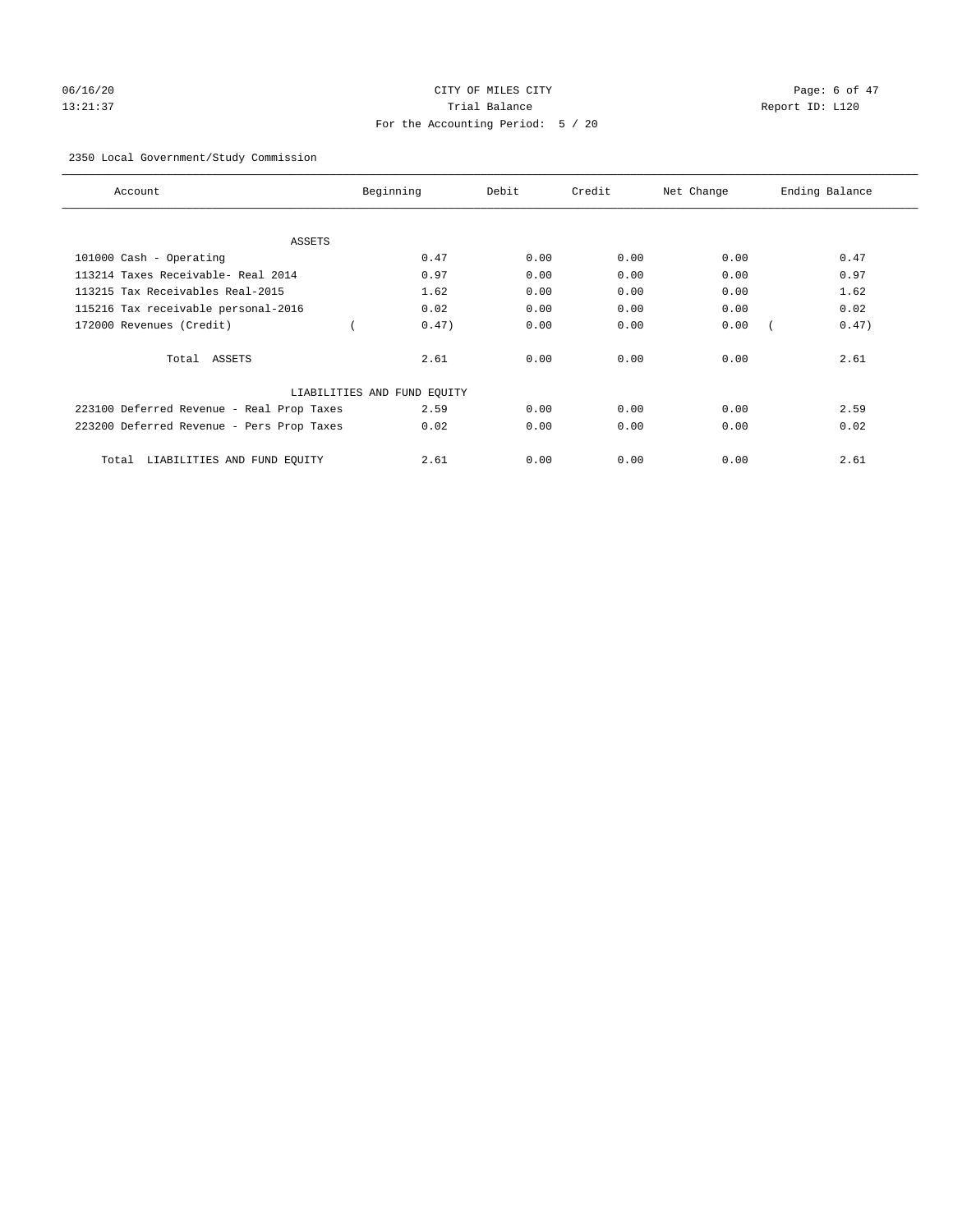# 06/16/20 CITY OF MILES CITY Page: 6 of 47 13:21:37 Trial Balance Report ID: L120 For the Accounting Period: 5 / 20

## 2350 Local Government/Study Commission

| Account                                   | Beginning                   | Debit | Credit | Net Change | Ending Balance |
|-------------------------------------------|-----------------------------|-------|--------|------------|----------------|
| <b>ASSETS</b>                             |                             |       |        |            |                |
| 101000 Cash - Operating                   | 0.47                        | 0.00  | 0.00   | 0.00       | 0.47           |
| 113214 Taxes Receivable- Real 2014        | 0.97                        | 0.00  | 0.00   | 0.00       | 0.97           |
| 113215 Tax Receivables Real-2015          | 1.62                        | 0.00  | 0.00   | 0.00       | 1.62           |
| 115216 Tax receivable personal-2016       | 0.02                        | 0.00  | 0.00   | 0.00       | 0.02           |
| 172000 Revenues (Credit)                  | 0.47)                       | 0.00  | 0.00   | 0.00       | 0.47)          |
| Total ASSETS                              | 2.61                        | 0.00  | 0.00   | 0.00       | 2.61           |
|                                           | LIABILITIES AND FUND EQUITY |       |        |            |                |
| 223100 Deferred Revenue - Real Prop Taxes | 2.59                        | 0.00  | 0.00   | 0.00       | 2.59           |
| 223200 Deferred Revenue - Pers Prop Taxes | 0.02                        | 0.00  | 0.00   | 0.00       | 0.02           |
| LIABILITIES AND FUND EQUITY<br>Total      | 2.61                        | 0.00  | 0.00   | 0.00       | 2.61           |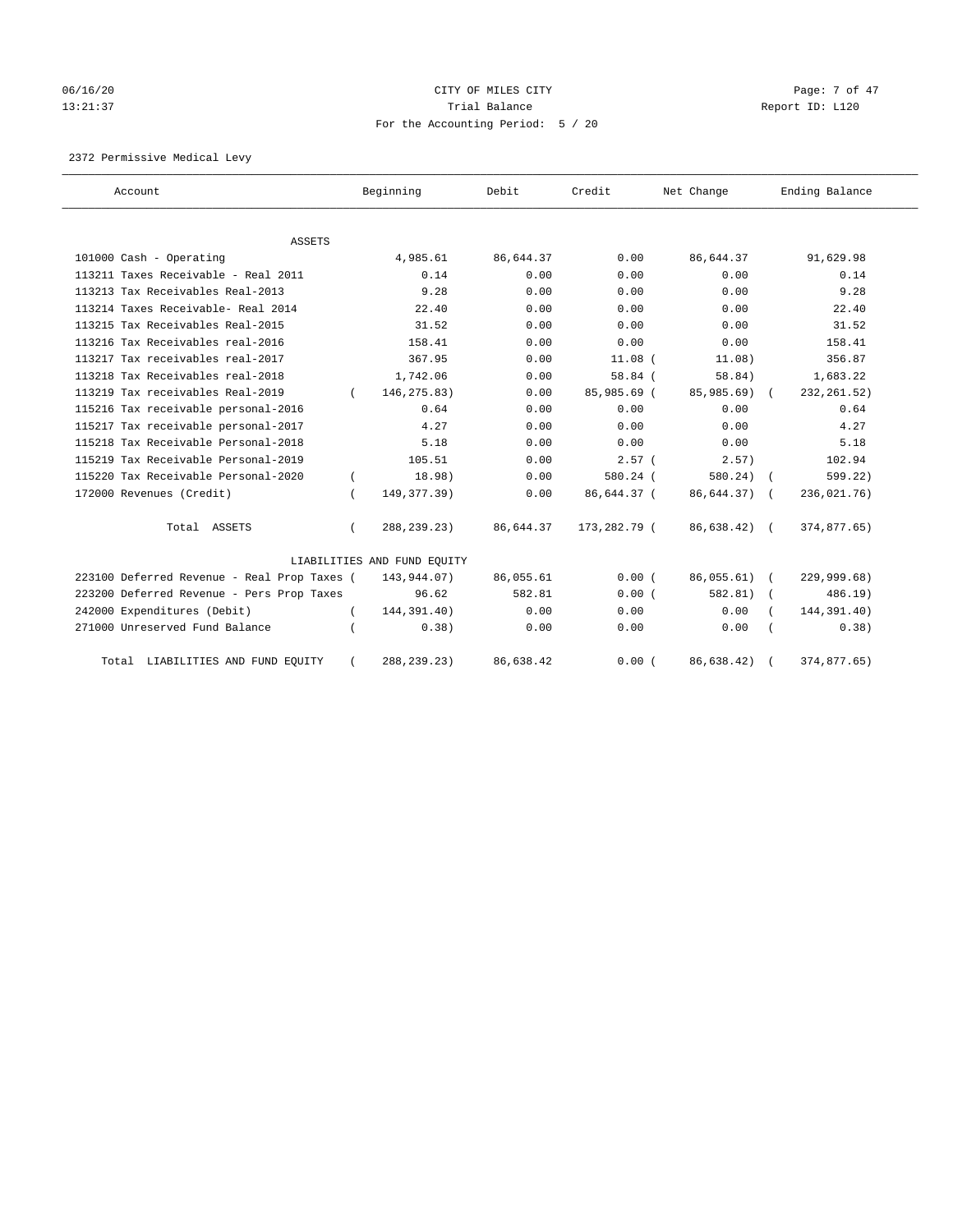# 06/16/20 Page: 7 of 47 13:21:37 Trial Balance Report ID: L120 For the Accounting Period: 5 / 20

2372 Permissive Medical Levy

| Account                                     |          | Beginning                   | Debit     | Credit       | Net Change | Ending Balance |
|---------------------------------------------|----------|-----------------------------|-----------|--------------|------------|----------------|
| <b>ASSETS</b>                               |          |                             |           |              |            |                |
| 101000 Cash - Operating                     |          | 4,985.61                    | 86,644.37 | 0.00         | 86,644.37  | 91,629.98      |
| 113211 Taxes Receivable - Real 2011         |          | 0.14                        | 0.00      | 0.00         | 0.00       | 0.14           |
| 113213 Tax Receivables Real-2013            |          | 9.28                        | 0.00      | 0.00         | 0.00       | 9.28           |
| 113214 Taxes Receivable- Real 2014          |          | 22.40                       | 0.00      | 0.00         | 0.00       | 22.40          |
| 113215 Tax Receivables Real-2015            |          | 31.52                       | 0.00      | 0.00         | 0.00       | 31.52          |
| 113216 Tax Receivables real-2016            |          | 158.41                      | 0.00      | 0.00         | 0.00       | 158.41         |
| 113217 Tax receivables real-2017            |          | 367.95                      | 0.00      | $11.08$ $($  | 11.08)     | 356.87         |
| 113218 Tax Receivables real-2018            |          | 1,742.06                    | 0.00      | 58.84(       | 58.84)     | 1,683.22       |
| 113219 Tax receivables Real-2019            |          | 146, 275.83)                | 0.00      | 85,985.69 (  | 85,985.69) | 232, 261.52)   |
|                                             |          | 0.64                        | 0.00      | 0.00         | 0.00       | 0.64           |
| 115216 Tax receivable personal-2016         |          |                             |           |              |            |                |
| 115217 Tax receivable personal-2017         |          | 4.27                        | 0.00      | 0.00         | 0.00       | 4.27           |
| 115218 Tax Receivable Personal-2018         |          | 5.18                        | 0.00      | 0.00         | 0.00       | 5.18           |
| 115219 Tax Receivable Personal-2019         |          | 105.51                      | 0.00      | $2.57$ (     | 2.57)      | 102.94         |
| 115220 Tax Receivable Personal-2020         |          | 18.98)                      | 0.00      | 580.24 (     | 580.24)    | 599.22)        |
| 172000 Revenues (Credit)                    |          | 149, 377. 39)               | 0.00      | 86,644.37 (  | 86,644.37) | 236,021.76)    |
| Total ASSETS                                |          | 288, 239. 23)               | 86,644.37 | 173,282.79 ( | 86,638.42) | 374,877.65)    |
|                                             |          | LIABILITIES AND FUND EQUITY |           |              |            |                |
| 223100 Deferred Revenue - Real Prop Taxes ( |          | 143,944.07)                 | 86,055.61 | 0.00(        | 86,055.61) | 229,999.68)    |
| 223200 Deferred Revenue - Pers Prop Taxes   |          | 96.62                       | 582.81    | 0.00(        | 582.81)    | 486.19)        |
| 242000 Expenditures (Debit)                 | $\left($ | 144,391.40)                 | 0.00      | 0.00         | 0.00       | 144,391.40)    |
| 271000 Unreserved Fund Balance              |          | 0.38)                       | 0.00      | 0.00         | 0.00       | 0.38)          |
| Total LIABILITIES AND FUND EQUITY           |          | 288, 239. 23)               | 86,638.42 | 0.00(        | 86,638.42) | 374,877.65)    |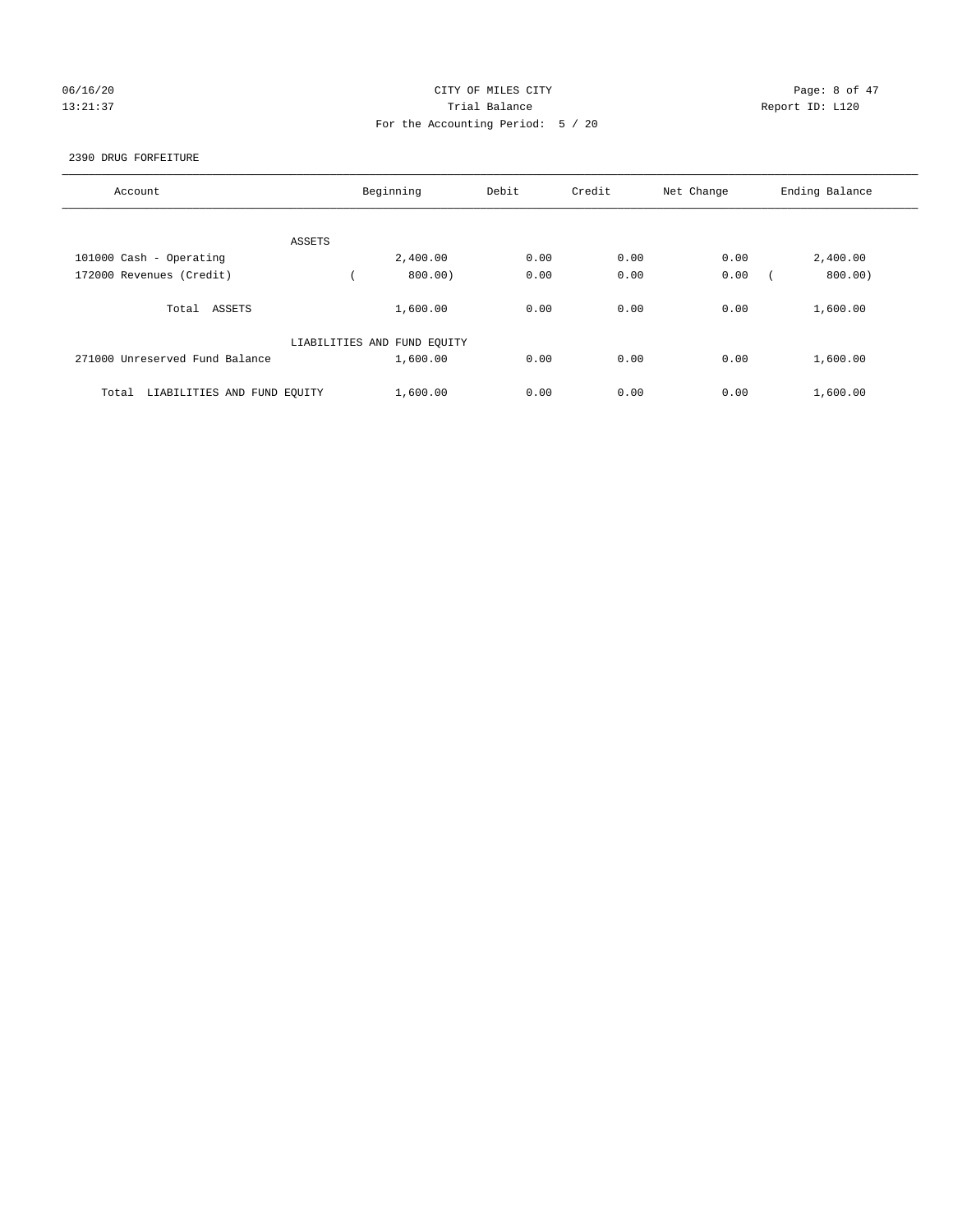## 06/16/20 CITY OF MILES CITY Page: 8 of 47 13:21:37 Trial Balance Report ID: L120 For the Accounting Period: 5 / 20

### 2390 DRUG FORFEITURE

| Account                              | Beginning                   | Debit | Credit | Net Change | Ending Balance |
|--------------------------------------|-----------------------------|-------|--------|------------|----------------|
| ASSETS                               |                             |       |        |            |                |
| 101000 Cash - Operating              | 2,400.00                    | 0.00  | 0.00   | 0.00       | 2,400.00       |
| 172000 Revenues (Credit)             | 800.00)                     | 0.00  | 0.00   | 0.00       | 800.00)        |
| Total ASSETS                         | 1,600.00                    | 0.00  | 0.00   | 0.00       | 1,600.00       |
|                                      | LIABILITIES AND FUND EQUITY |       |        |            |                |
| 271000 Unreserved Fund Balance       | 1,600.00                    | 0.00  | 0.00   | 0.00       | 1,600.00       |
| LIABILITIES AND FUND EQUITY<br>Total | 1,600.00                    | 0.00  | 0.00   | 0.00       | 1,600.00       |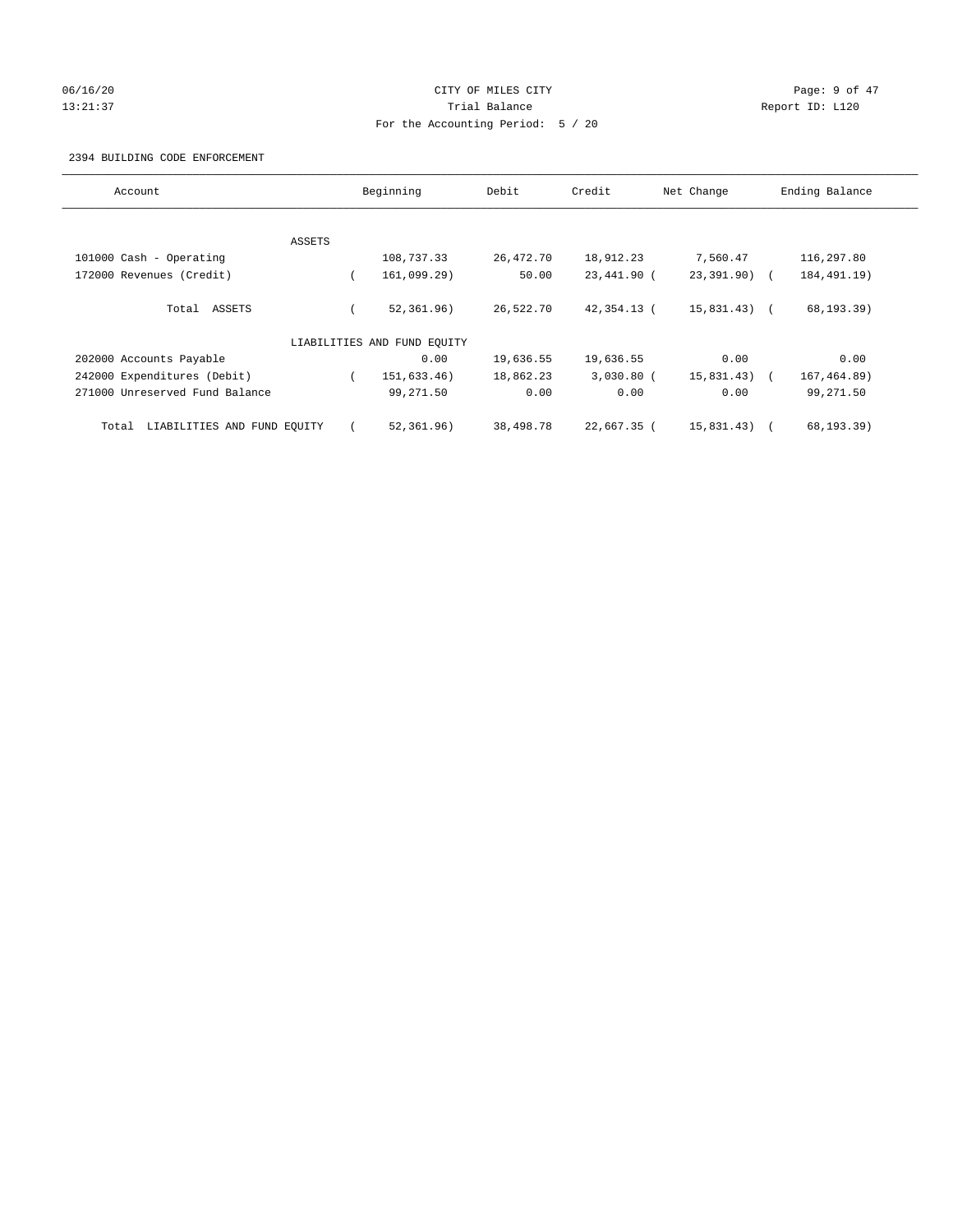## 06/16/20 Page: 9 of 47 13:21:37 Trial Balance Report ID: L120 For the Accounting Period: 5 / 20

### 2394 BUILDING CODE ENFORCEMENT

| Account                              |        | Beginning                   | Debit     | Credit       | Net Change     | Ending Balance |
|--------------------------------------|--------|-----------------------------|-----------|--------------|----------------|----------------|
|                                      |        |                             |           |              |                |                |
|                                      | ASSETS |                             |           |              |                |                |
| 101000 Cash - Operating              |        | 108,737.33                  | 26,472.70 | 18,912.23    | 7,560.47       | 116,297.80     |
| 172000 Revenues (Credit)             |        | 161,099.29)                 | 50.00     | 23,441.90 (  | 23,391.90) (   | 184, 491. 19)  |
| Total ASSETS                         |        | 52, 361.96)                 | 26,522.70 | 42,354.13 (  | $15,831.43)$ ( | 68, 193.39)    |
|                                      |        | LIABILITIES AND FUND EQUITY |           |              |                |                |
| 202000 Accounts Payable              |        | 0.00                        | 19,636.55 | 19,636.55    | 0.00           | 0.00           |
| 242000 Expenditures (Debit)          |        | 151,633.46)                 | 18,862.23 | $3,030.80$ ( | 15,831.43)     | 167, 464.89)   |
| 271000 Unreserved Fund Balance       |        | 99,271.50                   | 0.00      | 0.00         | 0.00           | 99,271.50      |
| LIABILITIES AND FUND EQUITY<br>Total |        | 52, 361.96)                 | 38,498.78 | 22,667.35 (  | 15,831.43)     | 68, 193.39)    |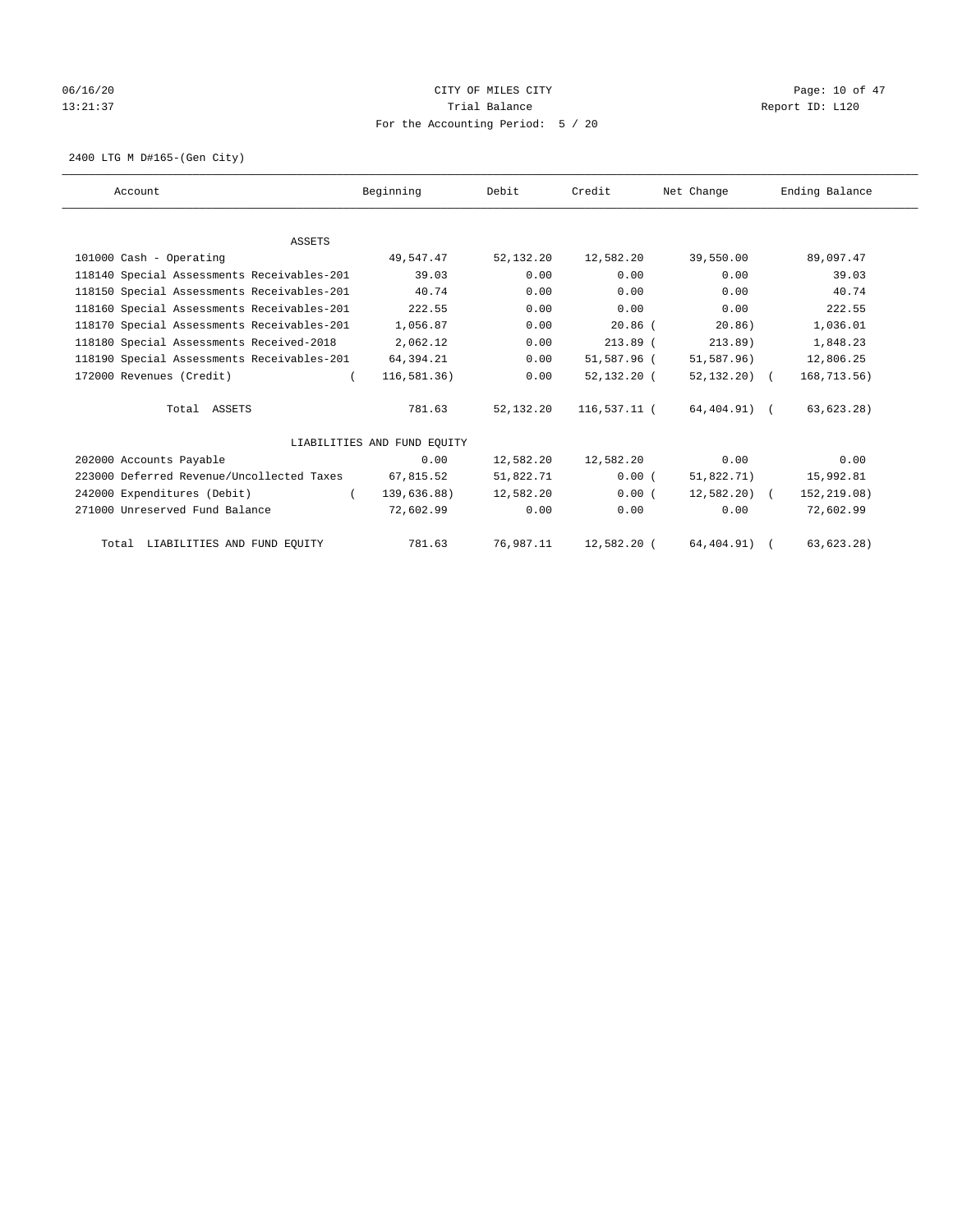## 06/16/20 Page: 10 of 47 13:21:37 Trial Balance Trial Balance Report ID: L120 For the Accounting Period: 5 / 20

2400 LTG M D#165-(Gen City)

| Account                                    | Beginning                   | Debit       | Credit       | Net Change    | Ending Balance |
|--------------------------------------------|-----------------------------|-------------|--------------|---------------|----------------|
|                                            |                             |             |              |               |                |
| <b>ASSETS</b>                              |                             |             |              |               |                |
| 101000 Cash - Operating                    | 49,547.47                   | 52,132.20   | 12,582.20    | 39,550.00     | 89,097.47      |
| 118140 Special Assessments Receivables-201 | 39.03                       | 0.00        | 0.00         | 0.00          | 39.03          |
| 118150 Special Assessments Receivables-201 | 40.74                       | 0.00        | 0.00         | 0.00          | 40.74          |
| 118160 Special Assessments Receivables-201 | 222.55                      | 0.00        | 0.00         | 0.00          | 222.55         |
| 118170 Special Assessments Receivables-201 | 1,056.87                    | 0.00        | $20.86$ (    | 20.86)        | 1,036.01       |
| 118180 Special Assessments Received-2018   | 2,062.12                    | 0.00        | $213.89$ (   | 213.89)       | 1,848.23       |
| 118190 Special Assessments Receivables-201 | 64,394.21                   | 0.00        | 51,587.96 (  | 51,587.96)    | 12,806.25      |
| 172000 Revenues (Credit)                   | 116, 581.36)                | 0.00        | 52,132.20 (  | $52,132,20$ ( | 168,713.56)    |
| Total ASSETS                               | 781.63                      | 52, 132, 20 | 116,537.11 ( | 64,404.91) (  | 63, 623.28)    |
|                                            | LIABILITIES AND FUND EQUITY |             |              |               |                |
| 202000 Accounts Payable                    | 0.00                        | 12,582.20   | 12,582.20    | 0.00          | 0.00           |
| 223000 Deferred Revenue/Uncollected Taxes  | 67,815.52                   | 51,822.71   | 0.00(        | 51,822.71)    | 15,992.81      |
| 242000 Expenditures (Debit)<br>$\left($    | 139,636.88)                 | 12,582.20   | 0.00(        | $12,582.20$ ( | 152,219.08)    |
| 271000 Unreserved Fund Balance             | 72,602.99                   | 0.00        | 0.00         | 0.00          | 72,602.99      |
| Total LIABILITIES AND FUND EQUITY          | 781.63                      | 76,987.11   | 12,582.20 (  | 64, 404. 91)  | 63, 623.28)    |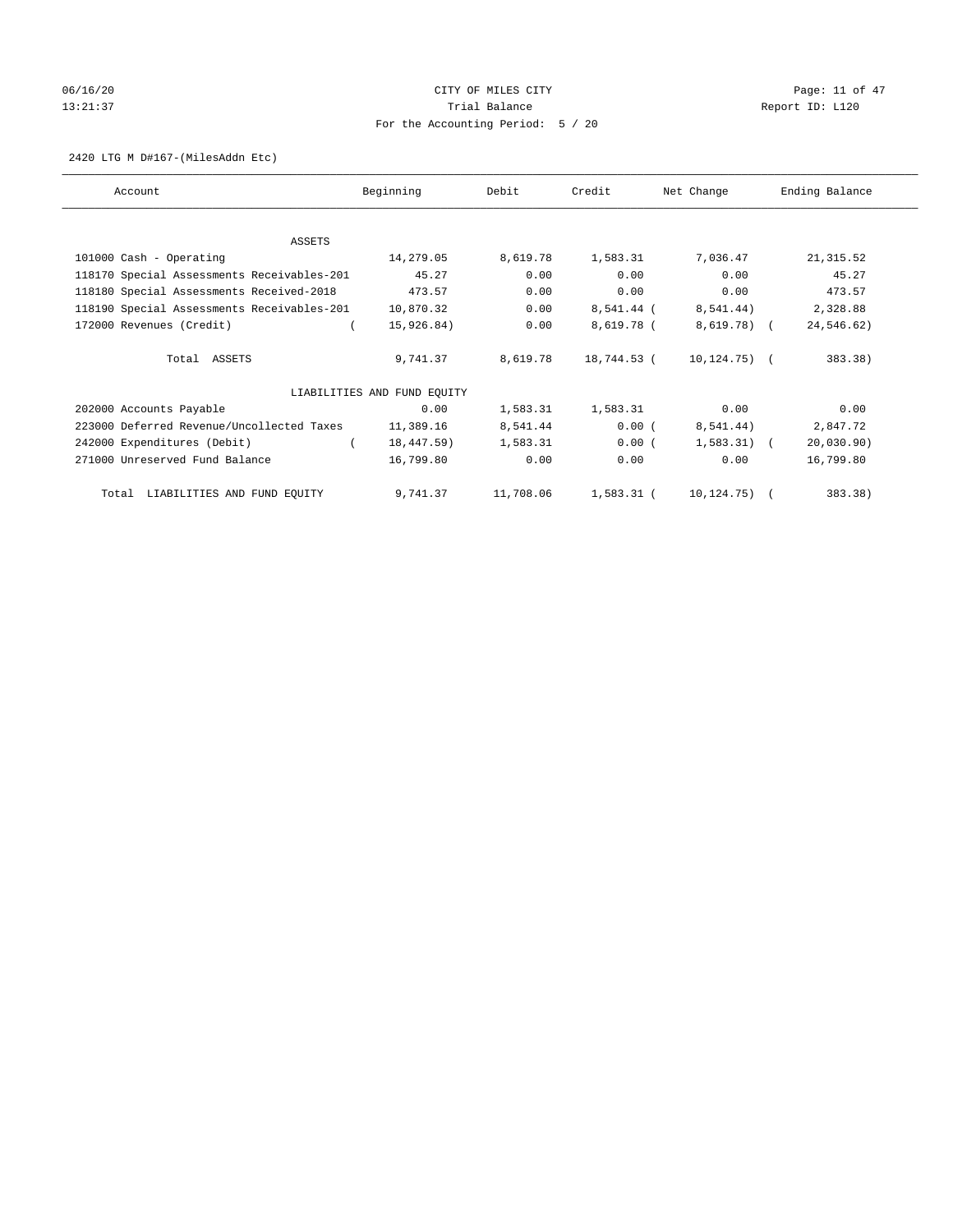# 06/16/20 Page: 11 of 47 13:21:37 Trial Balance Trial Balance Report ID: L120 For the Accounting Period: 5 / 20

2420 LTG M D#167-(MilesAddn Etc)

| Account                                    | Beginning                   | Debit     | Credit      | Net Change       | Ending Balance |
|--------------------------------------------|-----------------------------|-----------|-------------|------------------|----------------|
| ASSETS                                     |                             |           |             |                  |                |
| 101000 Cash - Operating                    | 14,279.05                   | 8,619.78  | 1,583.31    | 7,036.47         | 21, 315.52     |
| 118170 Special Assessments Receivables-201 | 45.27                       | 0.00      | 0.00        | 0.00             | 45.27          |
| 118180 Special Assessments Received-2018   | 473.57                      | 0.00      | 0.00        | 0.00             | 473.57         |
| 118190 Special Assessments Receivables-201 | 10,870.32                   | 0.00      | 8,541.44 (  | 8,541.44)        | 2,328.88       |
| 172000 Revenues (Credit)                   | 15,926.84)                  | 0.00      | 8,619.78 (  | 8,619.78) (      | 24,546.62)     |
| Total ASSETS                               | 9,741.37                    | 8,619.78  | 18,744.53 ( | $10, 124, 75)$ ( | 383.38)        |
|                                            | LIABILITIES AND FUND EQUITY |           |             |                  |                |
| 202000 Accounts Payable                    | 0.00                        | 1,583.31  | 1,583.31    | 0.00             | 0.00           |
| 223000 Deferred Revenue/Uncollected Taxes  | 11,389.16                   | 8,541.44  | 0.00(       | 8,541.44)        | 2,847.72       |
| 242000 Expenditures (Debit)                | 18,447.59)                  | 1,583.31  | 0.00(       | $1,583.31$ (     | 20,030.90)     |
| 271000 Unreserved Fund Balance             | 16,799.80                   | 0.00      | 0.00        | 0.00             | 16,799.80      |
| LIABILITIES AND FUND EQUITY<br>Total       | 9,741.37                    | 11,708.06 | 1,583.31 (  | $10, 124, 75)$ ( | 383.38)        |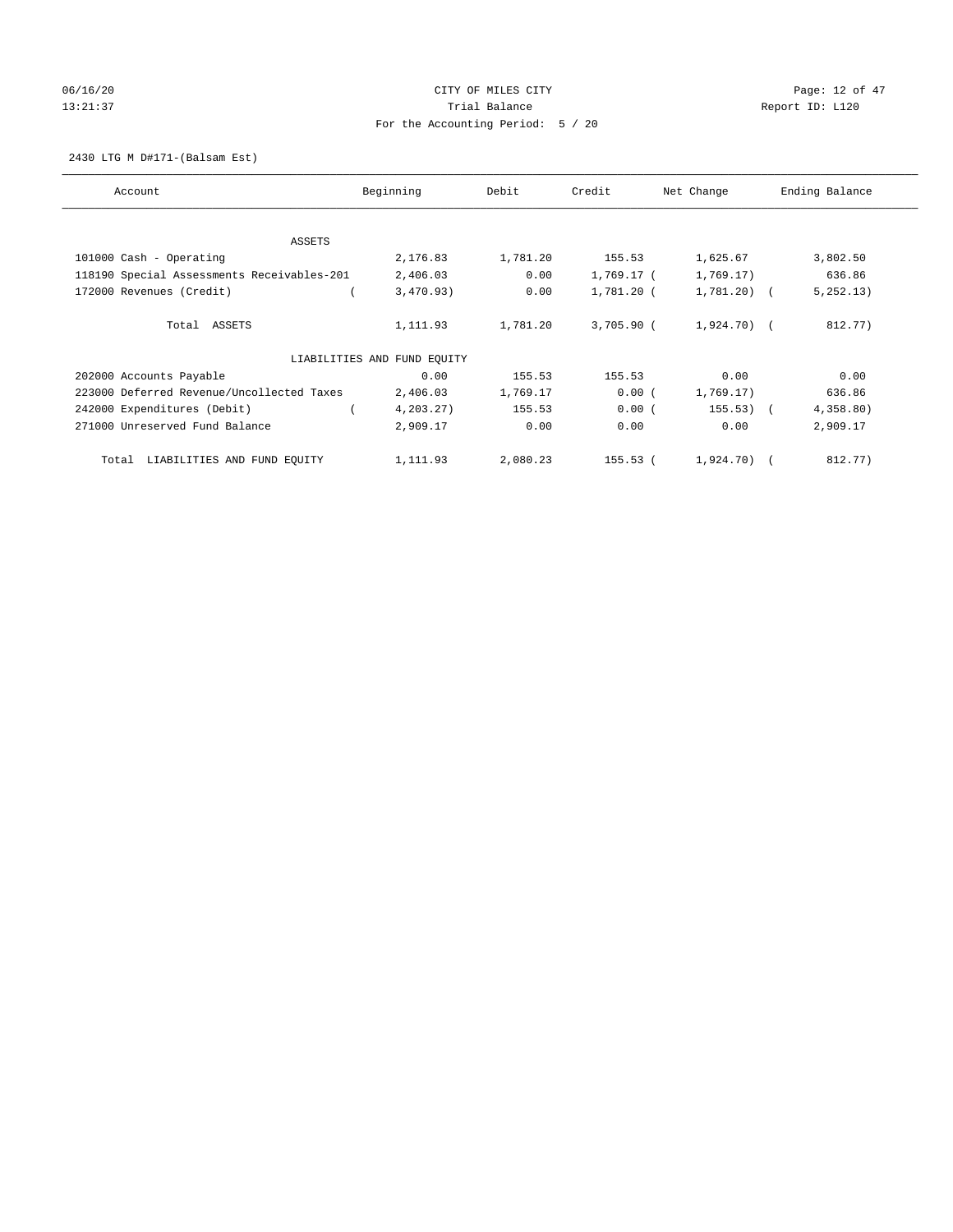# 06/16/20 Page: 12 of 47 13:21:37 Trial Balance Trial Balance Report ID: L120 For the Accounting Period: 5 / 20

2430 LTG M D#171-(Balsam Est)

| Account                                    | Beginning                   | Debit    | Credit     | Net Change   | Ending Balance |
|--------------------------------------------|-----------------------------|----------|------------|--------------|----------------|
| ASSETS                                     |                             |          |            |              |                |
| 101000 Cash - Operating                    | 2,176.83                    | 1,781.20 | 155.53     | 1,625.67     | 3,802.50       |
| 118190 Special Assessments Receivables-201 | 2,406.03                    | 0.00     | 1,769.17 ( | 1,769.17)    | 636.86         |
| 172000 Revenues (Credit)                   | 3,470.93)                   | 0.00     | 1,781.20 ( | 1,781.20) (  | 5, 252, 13)    |
| Total ASSETS                               | 1,111.93                    | 1,781.20 | 3,705.90 ( | 1,924.70) (  | 812.77)        |
|                                            | LIABILITIES AND FUND EQUITY |          |            |              |                |
| 202000 Accounts Payable                    | 0.00                        | 155.53   | 155.53     | 0.00         | 0.00           |
| 223000 Deferred Revenue/Uncollected Taxes  | 2,406.03                    | 1,769.17 | 0.00(      | 1,769.17)    | 636.86         |
| 242000 Expenditures (Debit)                | 4, 203.27)                  | 155.53   | 0.00(      | $155.53)$ (  | 4,358.80)      |
| 271000 Unreserved Fund Balance             | 2,909.17                    | 0.00     | 0.00       | 0.00         | 2,909.17       |
| LIABILITIES AND FUND EQUITY<br>Total       | 1,111.93                    | 2,080.23 | 155.53 (   | $1,924.70$ ( | 812.77)        |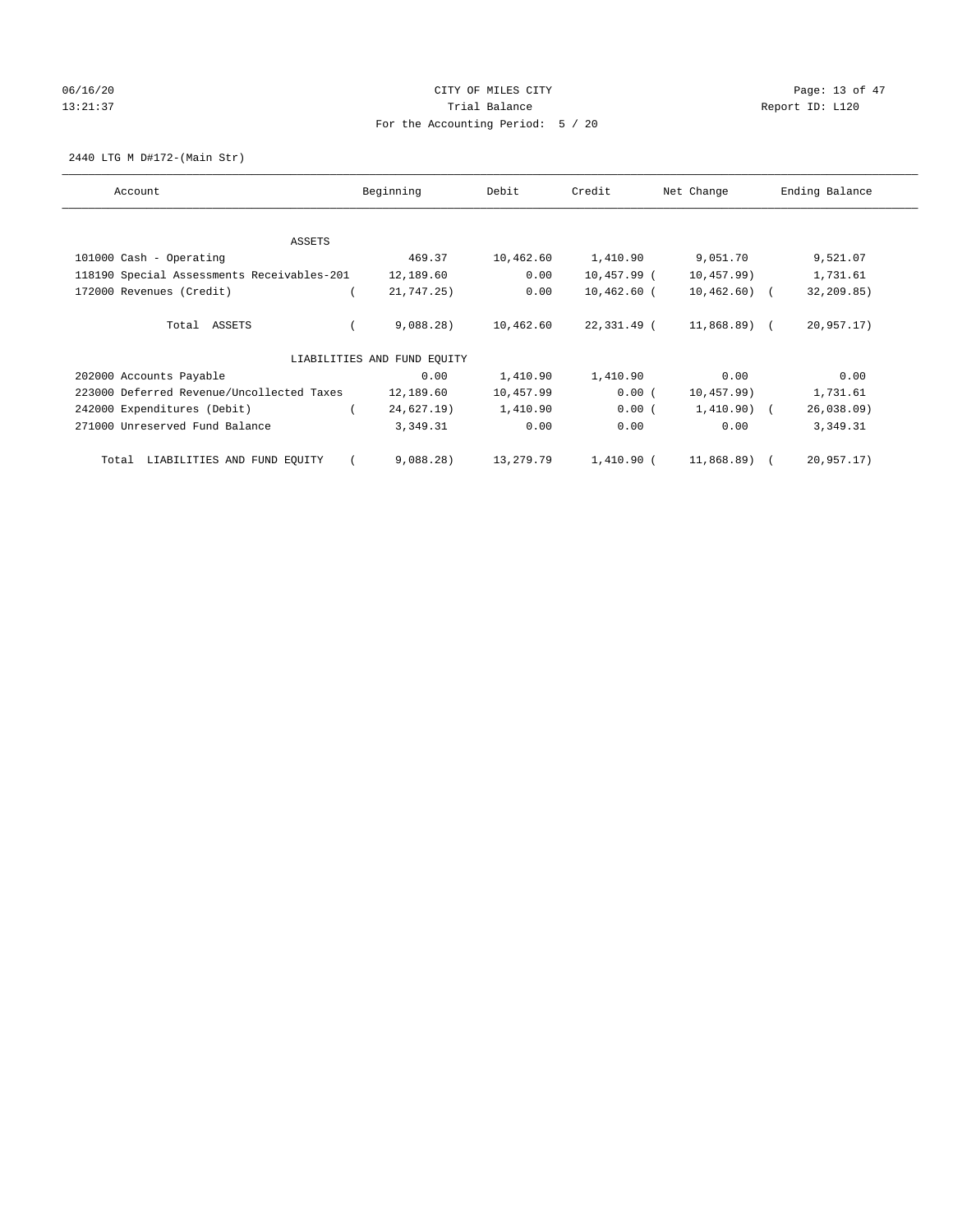# 06/16/20 Page: 13 of 47 13:21:37 Trial Balance Trial Balance Report ID: L120 For the Accounting Period: 5 / 20

2440 LTG M D#172-(Main Str)

| Account                                    | Beginning                   | Debit     | Credit        | Net Change    | Ending Balance |  |
|--------------------------------------------|-----------------------------|-----------|---------------|---------------|----------------|--|
| ASSETS                                     |                             |           |               |               |                |  |
| 101000 Cash - Operating                    | 469.37                      | 10,462.60 | 1,410.90      | 9,051.70      | 9,521.07       |  |
| 118190 Special Assessments Receivables-201 | 12,189.60                   | 0.00      | 10,457.99 (   | 10,457.99)    | 1,731.61       |  |
| 172000 Revenues (Credit)                   | 21,747.25)                  | 0.00      | $10,462.60$ ( | $10,462.60$ ( | 32,209.85)     |  |
| Total ASSETS                               | 9,088.28)                   | 10,462.60 | 22,331.49 (   | 11,868.89) (  | 20,957.17)     |  |
|                                            | LIABILITIES AND FUND EQUITY |           |               |               |                |  |
| 202000 Accounts Payable                    | 0.00                        | 1,410.90  | 1,410.90      | 0.00          | 0.00           |  |
| 223000 Deferred Revenue/Uncollected Taxes  | 12,189.60                   | 10,457.99 | 0.00(         | 10,457.99)    | 1,731.61       |  |
| 242000 Expenditures (Debit)                | 24,627.19)                  | 1,410.90  | 0.00(         | $1,410.90)$ ( | 26,038.09      |  |
| 271000 Unreserved Fund Balance             | 3,349.31                    | 0.00      | 0.00          | 0.00          | 3,349.31       |  |
| LIABILITIES AND FUND EQUITY<br>Total       | 9,088.28)                   | 13,279.79 | 1,410.90 (    | 11,868.89) (  | 20,957.17)     |  |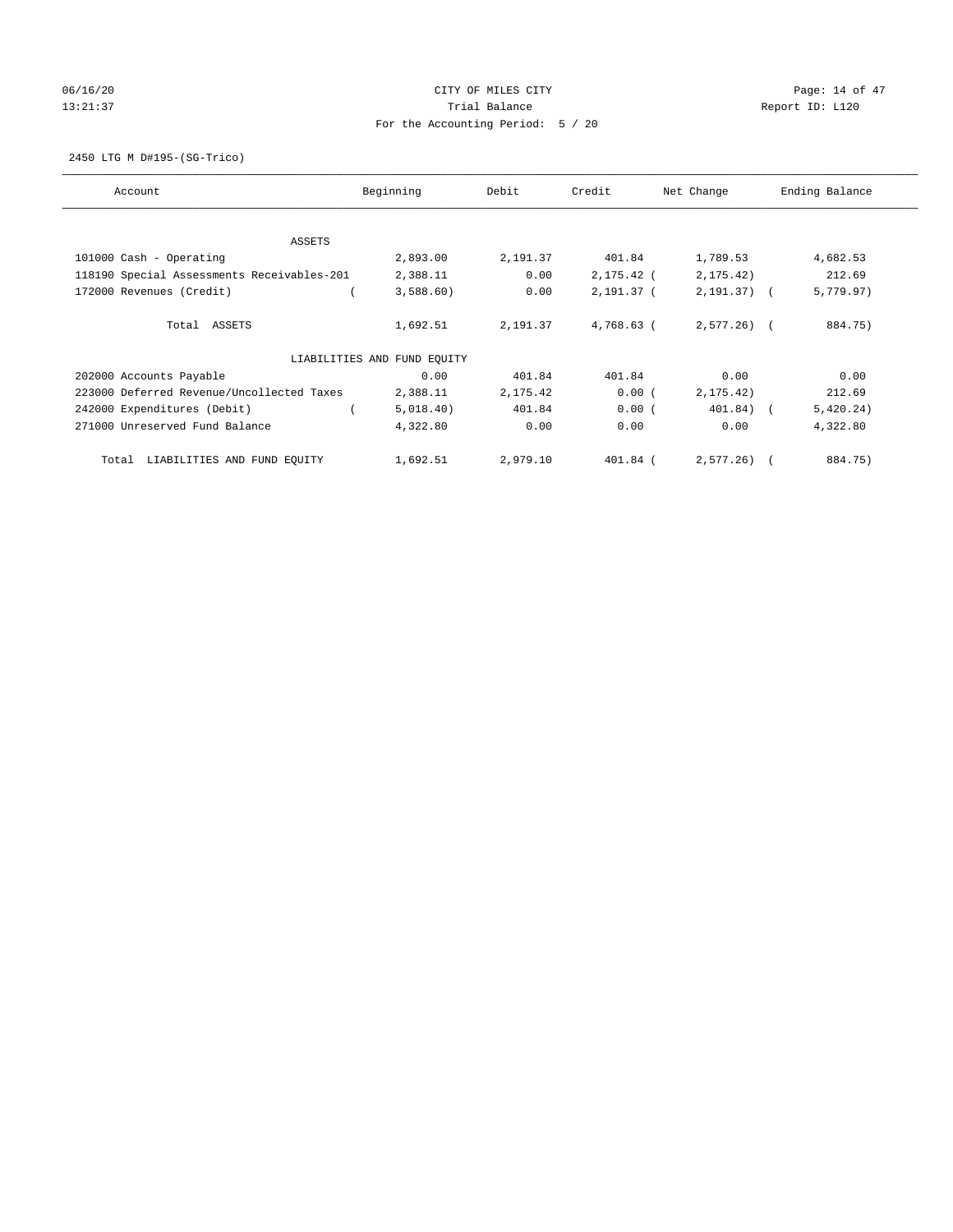## 06/16/20 Page: 14 of 47 13:21:37 Trial Balance Trial Balance Report ID: L120 For the Accounting Period: 5 / 20

2450 LTG M D#195-(SG-Trico)

| Account                                    | Beginning                   | Debit    | Credit     | Net Change   | Ending Balance |
|--------------------------------------------|-----------------------------|----------|------------|--------------|----------------|
| ASSETS                                     |                             |          |            |              |                |
| 101000 Cash - Operating                    | 2,893.00                    | 2,191.37 | 401.84     | 1,789.53     | 4,682.53       |
| 118190 Special Assessments Receivables-201 | 2,388.11                    | 0.00     | 2,175.42 ( | 2, 175.42)   | 212.69         |
| 172000 Revenues (Credit)                   | 3,588.60                    | 0.00     | 2,191.37 ( | $2,191.37$ ( | 5,779.97)      |
| Total ASSETS                               | 1,692.51                    | 2,191.37 | 4,768.63 ( | $2.577.26$ ( | 884.75)        |
|                                            | LIABILITIES AND FUND EQUITY |          |            |              |                |
| 202000 Accounts Payable                    | 0.00                        | 401.84   | 401.84     | 0.00         | 0.00           |
| 223000 Deferred Revenue/Uncollected Taxes  | 2,388.11                    | 2,175.42 | 0.00(      | 2, 175.42)   | 212.69         |
| 242000 Expenditures (Debit)                | 5,018.40)                   | 401.84   | 0.00(      | 401.84) (    | 5,420.24)      |
| 271000 Unreserved Fund Balance             | 4,322.80                    | 0.00     | 0.00       | 0.00         | 4,322.80       |
| LIABILITIES AND FUND EQUITY<br>Total       | 1,692.51                    | 2,979.10 | 401.84 (   | $2.577.26$ ( | 884.75)        |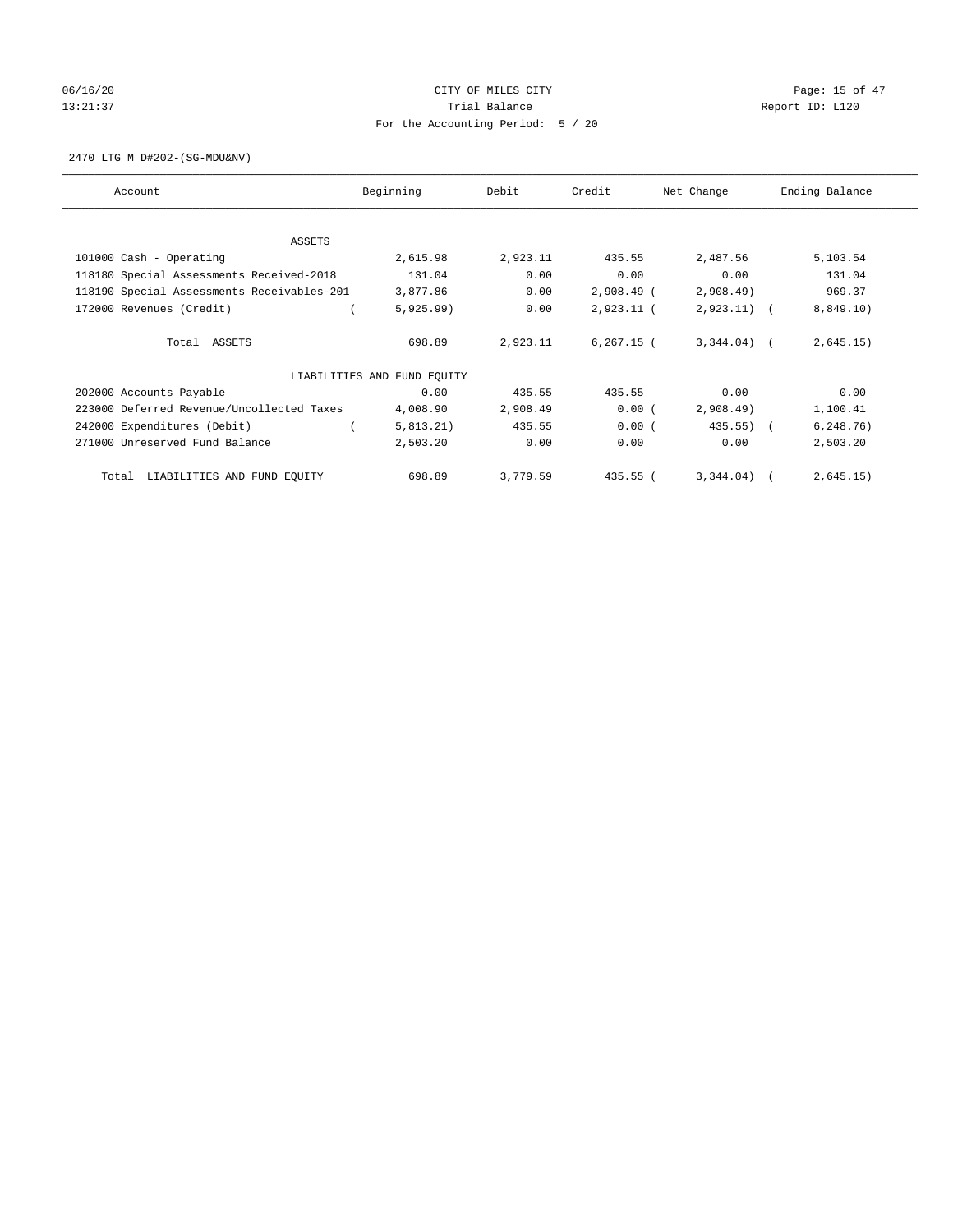# 06/16/20 Page: 15 of 47 13:21:37 Trial Balance Trial Balance Report ID: L120 For the Accounting Period: 5 / 20

2470 LTG M D#202-(SG-MDU&NV)

| Account                                    | Beginning                   |          | Credit        | Net Change    | Ending Balance |
|--------------------------------------------|-----------------------------|----------|---------------|---------------|----------------|
| ASSETS                                     |                             |          |               |               |                |
| 101000 Cash - Operating                    | 2,615.98                    | 2,923.11 | 435.55        | 2,487.56      | 5,103.54       |
| 118180 Special Assessments Received-2018   | 131.04                      | 0.00     | 0.00          | 0.00          | 131.04         |
| 118190 Special Assessments Receivables-201 | 3,877.86                    | 0.00     | $2,908.49$ (  | 2,908.49      | 969.37         |
| 172000 Revenues (Credit)                   | 5,925.99)                   | 0.00     | $2,923.11$ (  | $2,923.11)$ ( | 8,849.10)      |
|                                            |                             |          |               |               |                |
| Total ASSETS                               | 698.89                      | 2,923.11 | $6, 267.15$ ( | $3,344.04$ (  | 2,645.15)      |
|                                            | LIABILITIES AND FUND EQUITY |          |               |               |                |
| 202000 Accounts Payable                    | 0.00                        | 435.55   | 435.55        | 0.00          | 0.00           |
| 223000 Deferred Revenue/Uncollected Taxes  | 4,008.90                    | 2,908.49 | 0.00(         | 2,908.49      | 1,100.41       |
| 242000 Expenditures (Debit)                | 5,813.21)                   | 435.55   | 0.00(         | 435.55)       | 6, 248.76)     |
| 271000 Unreserved Fund Balance             | 2,503.20                    | 0.00     | 0.00          | 0.00          | 2,503.20       |
| LIABILITIES AND FUND EQUITY<br>Total       | 698.89                      | 3,779.59 | 435.55 (      | $3,344.04$ (  | 2,645.15)      |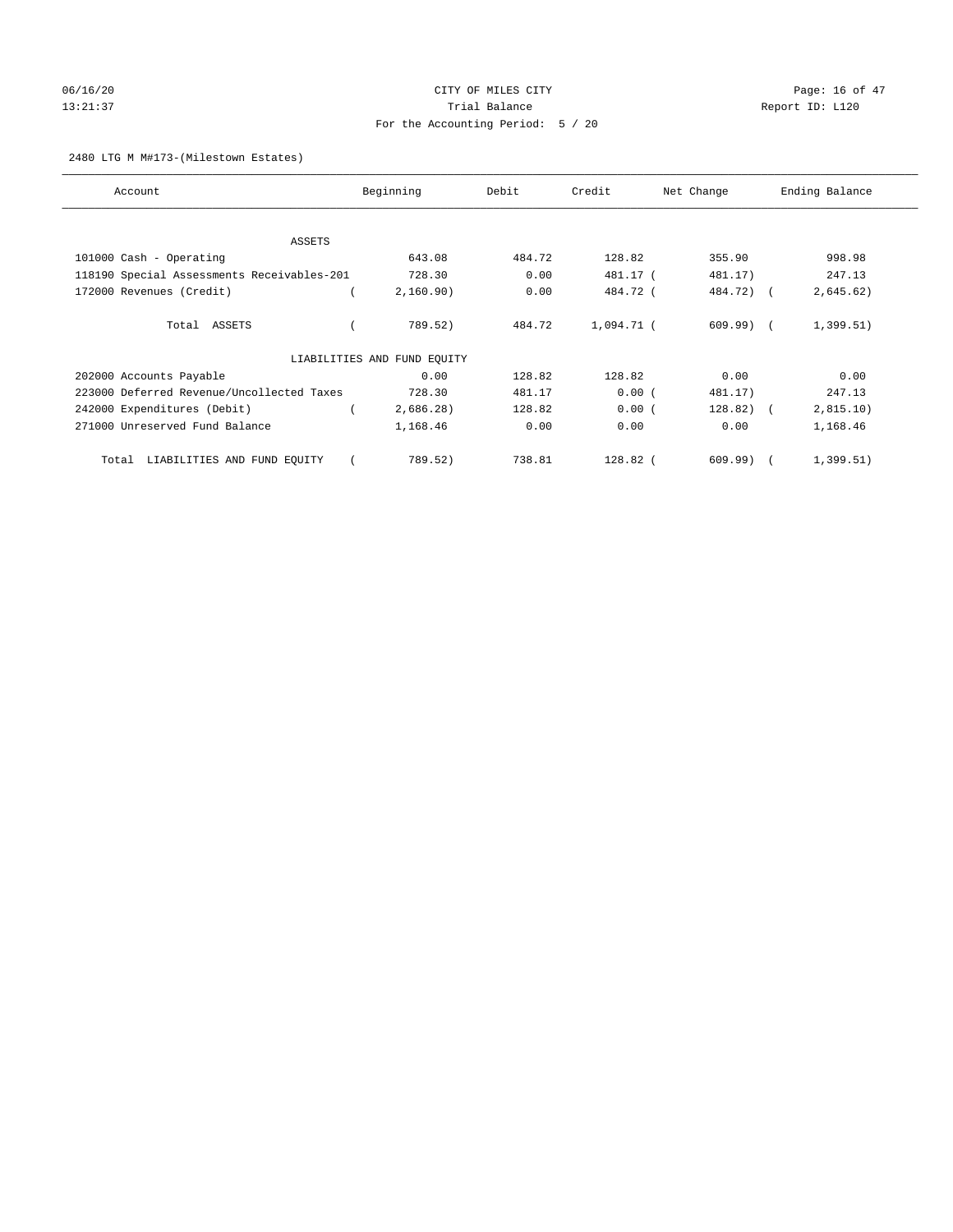# 06/16/20 Page: 16 of 47 13:21:37 Trial Balance Trial Balance Report ID: L120 For the Accounting Period: 5 / 20

2480 LTG M M#173-(Milestown Estates)

| Account                                    | Beginning                   |           | Debit  | Credit     | Net Change   | Ending Balance |
|--------------------------------------------|-----------------------------|-----------|--------|------------|--------------|----------------|
| ASSETS                                     |                             |           |        |            |              |                |
| 101000 Cash - Operating                    |                             | 643.08    | 484.72 | 128.82     | 355.90       | 998.98         |
| 118190 Special Assessments Receivables-201 |                             | 728.30    | 0.00   | 481.17 (   | 481.17)      | 247.13         |
| 172000 Revenues (Credit)                   |                             | 2,160.90) | 0.00   | 484.72 (   | 484.72) (    | 2,645.62)      |
| Total ASSETS                               |                             | 789.52)   | 484.72 | 1,094.71 ( | $609.99)$ (  | 1,399.51)      |
|                                            | LIABILITIES AND FUND EQUITY |           |        |            |              |                |
| 202000 Accounts Payable                    |                             | 0.00      | 128.82 | 128.82     | 0.00         | 0.00           |
| 223000 Deferred Revenue/Uncollected Taxes  |                             | 728.30    | 481.17 | 0.00(      | 481.17)      | 247.13         |
| 242000 Expenditures (Debit)                |                             | 2,686.28) | 128.82 | 0.00(      | $128.82$ ) ( | 2,815.10)      |
| 271000 Unreserved Fund Balance             |                             | 1,168.46  | 0.00   | 0.00       | 0.00         | 1,168.46       |
| LIABILITIES AND FUND EQUITY<br>Total       |                             | 789.52)   | 738.81 | 128.82 (   | 609.99)      | 1,399.51)      |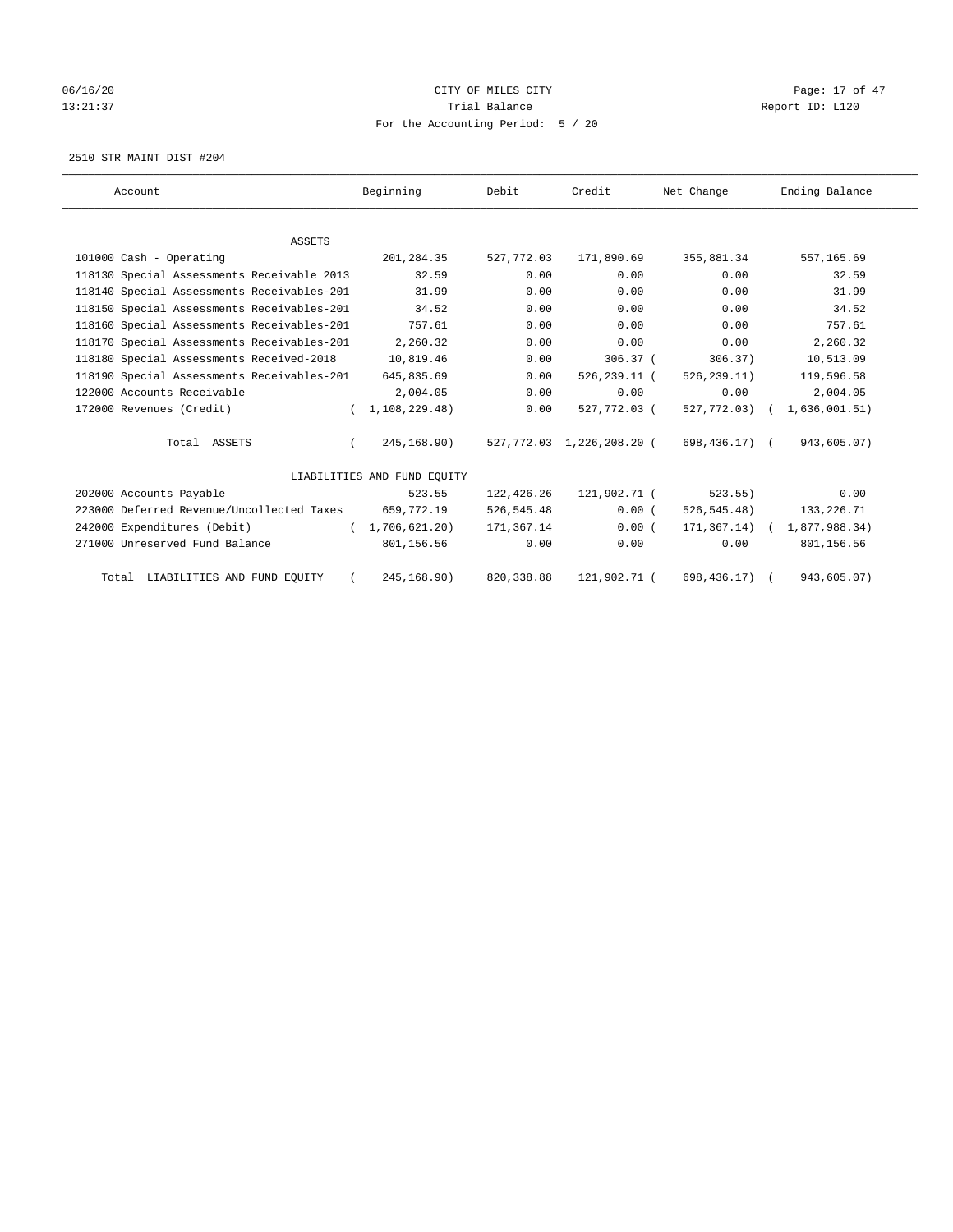# 06/16/20 Page: 17 of 47 13:21:37 Trial Balance Trial Balance Report ID: L120 For the Accounting Period: 5 / 20

2510 STR MAINT DIST #204

| Account                                    | Beginning                   | Debit       | Credit                    | Net Change       | Ending Balance |
|--------------------------------------------|-----------------------------|-------------|---------------------------|------------------|----------------|
|                                            |                             |             |                           |                  |                |
| <b>ASSETS</b>                              |                             |             |                           |                  |                |
| 101000 Cash - Operating                    | 201,284.35                  | 527,772.03  | 171,890.69                | 355,881.34       | 557,165.69     |
| 118130 Special Assessments Receivable 2013 | 32.59                       | 0.00        | 0.00                      | 0.00             | 32.59          |
| 118140 Special Assessments Receivables-201 | 31.99                       | 0.00        | 0.00                      | 0.00             | 31.99          |
| 118150 Special Assessments Receivables-201 | 34.52                       | 0.00        | 0.00                      | 0.00             | 34.52          |
| 118160 Special Assessments Receivables-201 | 757.61                      | 0.00        | 0.00                      | 0.00             | 757.61         |
| 118170 Special Assessments Receivables-201 | 2,260.32                    | 0.00        | 0.00                      | 0.00             | 2,260.32       |
| 118180 Special Assessments Received-2018   | 10,819.46                   | 0.00        | $306.37$ (                | 306.37)          | 10,513.09      |
| 118190 Special Assessments Receivables-201 | 645,835.69                  | 0.00        | 526,239.11 (              | 526, 239.11)     | 119,596.58     |
| 122000 Accounts Receivable                 | 2,004.05                    | 0.00        | 0.00                      | 0.00             | 2,004.05       |
| 172000 Revenues (Credit)                   | 1, 108, 229.48              | 0.00        | 527,772.03 (              | 527,772.03)      | 1,636,001.51)  |
| Total ASSETS                               | 245,168.90)                 |             | 527,772.03 1,226,208.20 ( | 698,436.17) (    | 943,605.07)    |
|                                            | LIABILITIES AND FUND EQUITY |             |                           |                  |                |
| 202000 Accounts Payable                    | 523.55                      | 122,426.26  | 121,902.71 (              | 523.55)          | 0.00           |
| 223000 Deferred Revenue/Uncollected Taxes  | 659,772.19                  | 526, 545.48 | 0.00(                     | 526, 545.48)     | 133,226.71     |
| 242000 Expenditures (Debit)                | (1, 706, 621.20)            | 171,367.14  | 0.00(                     | $171, 367.14)$ ( | 1,877,988.34)  |
| 271000 Unreserved Fund Balance             | 801,156.56                  | 0.00        | 0.00                      | 0.00             | 801,156.56     |
| Total LIABILITIES AND FUND EQUITY          | 245, 168.90)                | 820, 338.88 | 121,902.71 (              | 698, 436.17)     | 943,605.07)    |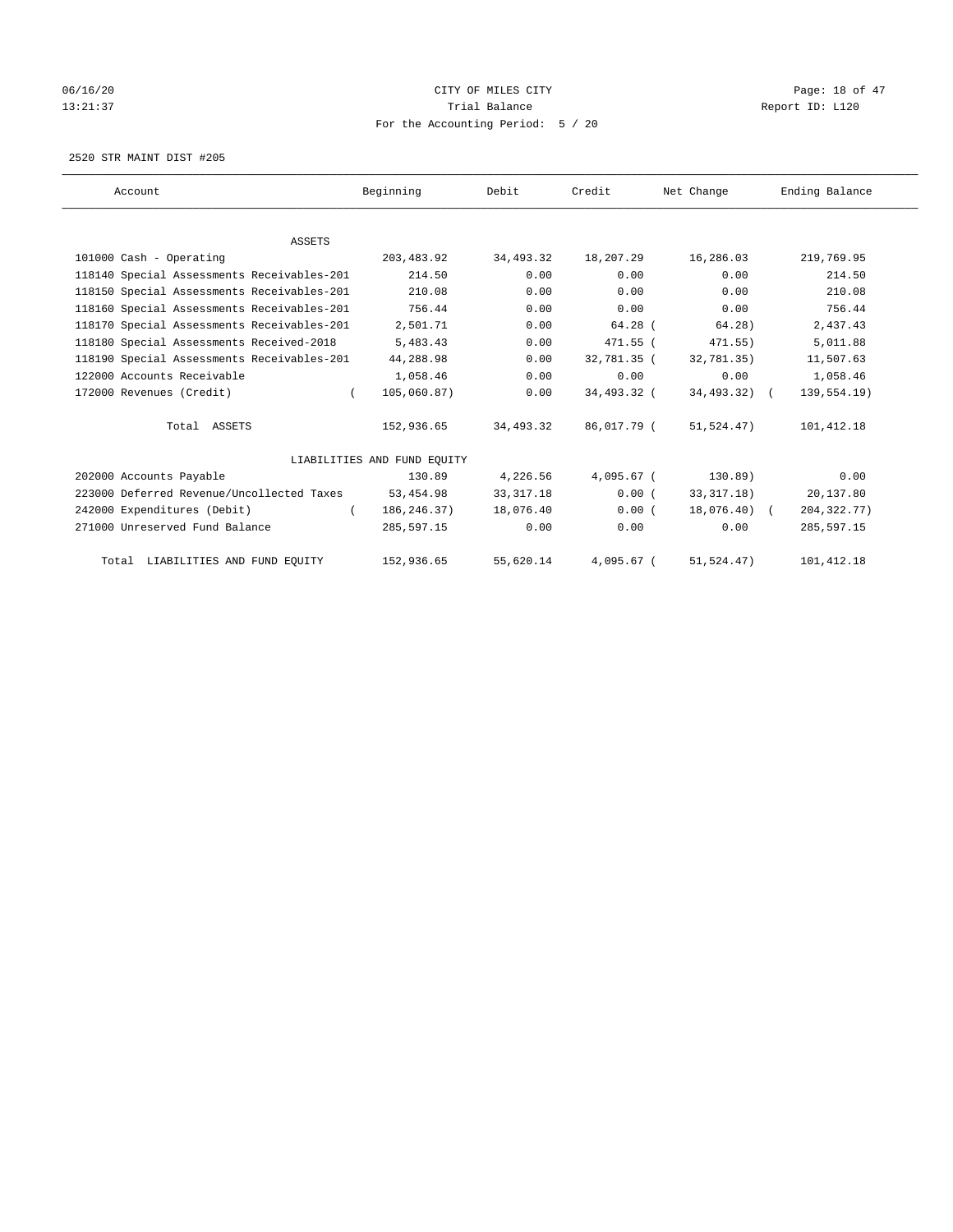# 06/16/20 Page: 18 of 47 13:21:37 Trial Balance Trial Balance Report ID: L120 For the Accounting Period: 5 / 20

2520 STR MAINT DIST #205

| Account                                    | Beginning                   | Debit       | Credit       | Net Change   | Ending Balance |
|--------------------------------------------|-----------------------------|-------------|--------------|--------------|----------------|
|                                            |                             |             |              |              |                |
| ASSETS                                     |                             |             |              |              |                |
| 101000 Cash - Operating                    | 203,483.92                  | 34,493.32   | 18,207.29    | 16,286.03    | 219,769.95     |
| 118140 Special Assessments Receivables-201 | 214.50                      | 0.00        | 0.00         | 0.00         | 214.50         |
| 118150 Special Assessments Receivables-201 | 210.08                      | 0.00        | 0.00         | 0.00         | 210.08         |
| 118160 Special Assessments Receivables-201 | 756.44                      | 0.00        | 0.00         | 0.00         | 756.44         |
| 118170 Special Assessments Receivables-201 | 2,501.71                    | 0.00        | $64.28$ (    | 64.28)       | 2,437.43       |
| 118180 Special Assessments Received-2018   | 5,483.43                    | 0.00        | 471.55 (     | $471.55$ )   | 5,011.88       |
| 118190 Special Assessments Receivables-201 | 44,288.98                   | 0.00        | 32,781.35 (  | 32.781.35    | 11,507.63      |
| 122000 Accounts Receivable                 | 1,058.46                    | 0.00        | 0.00         | 0.00         | 1,058.46       |
| 172000 Revenues (Credit)<br>$\left($       | 105,060.87)                 | 0.00        | 34,493.32 (  | 34,493.32) ( | 139,554.19)    |
| Total ASSETS                               | 152,936.65                  | 34,493.32   | 86,017.79 (  | 51,524.47)   | 101, 412.18    |
|                                            | LIABILITIES AND FUND EQUITY |             |              |              |                |
| 202000 Accounts Payable                    | 130.89                      | 4,226.56    | $4,095.67$ ( | 130.89)      | 0.00           |
| 223000 Deferred Revenue/Uncollected Taxes  | 53,454.98                   | 33, 317. 18 | 0.00(        | 33, 317. 18) | 20,137.80      |
| 242000 Expenditures (Debit)                | 186,246.37)<br>$\left($     | 18,076.40   | 0.00(        | 18,076.40) ( | 204, 322. 77)  |
| 271000 Unreserved Fund Balance             | 285,597.15                  | 0.00        | 0.00         | 0.00         | 285,597.15     |
| Total LIABILITIES AND FUND EQUITY          | 152,936.65                  | 55,620.14   | $4.095.67$ ( | 51,524.47)   | 101, 412.18    |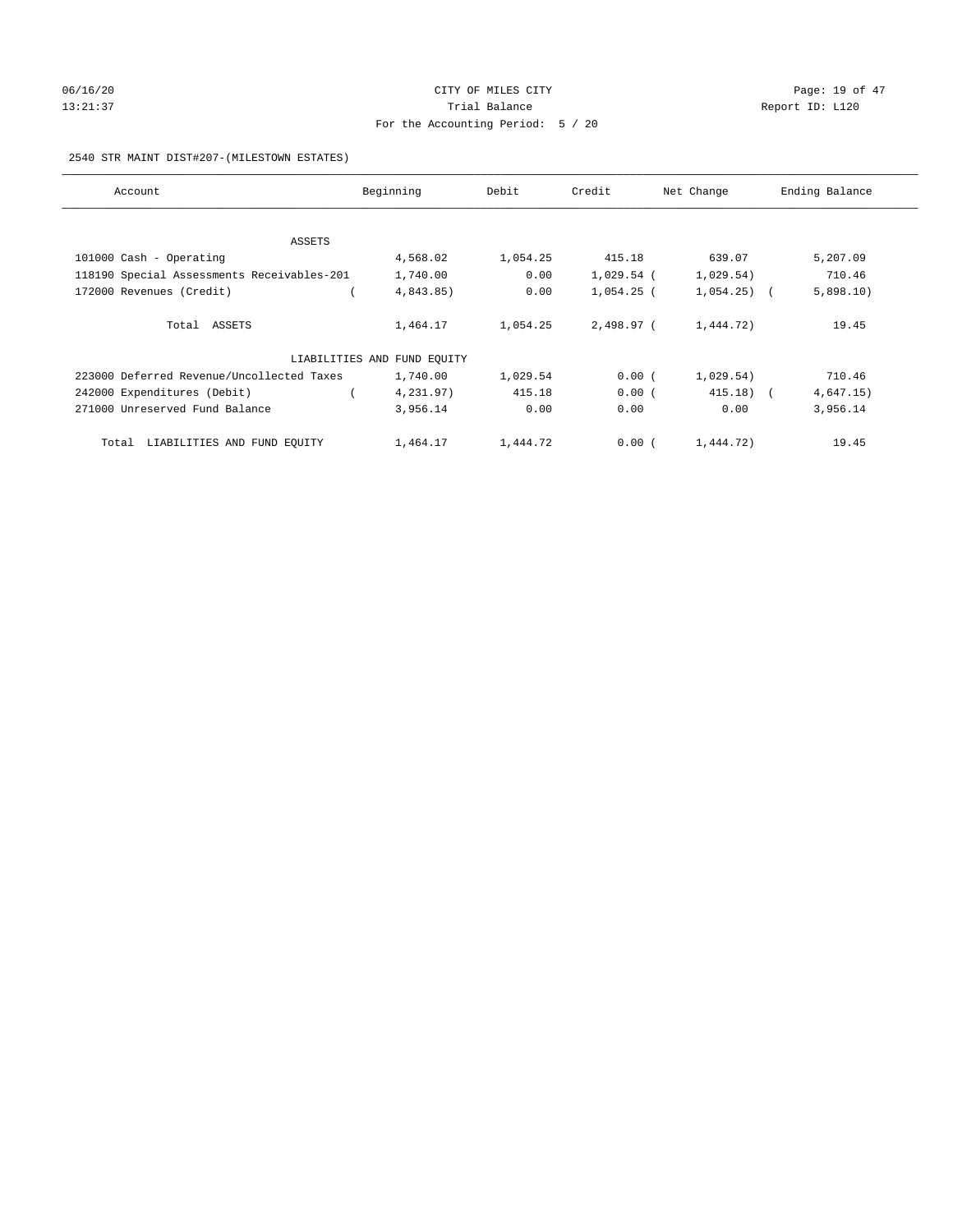# 06/16/20 Page: 19 of 47 13:21:37 Trial Balance Trial Balance Report ID: L120 For the Accounting Period: 5 / 20

### 2540 STR MAINT DIST#207-(MILESTOWN ESTATES)

| Account                                    | Beginning                   |          | Credit<br>Net Change |              | Ending Balance |  |  |
|--------------------------------------------|-----------------------------|----------|----------------------|--------------|----------------|--|--|
|                                            |                             |          |                      |              |                |  |  |
| ASSETS                                     |                             |          |                      |              |                |  |  |
| 101000 Cash - Operating                    | 4,568.02                    | 1,054.25 | 415.18               | 639.07       | 5,207.09       |  |  |
| 118190 Special Assessments Receivables-201 | 1,740.00                    | 0.00     | 1,029.54 (           | 1,029.54)    | 710.46         |  |  |
| 172000 Revenues (Credit)                   | 4,843.85)                   | 0.00     | $1,054.25$ (         | $1,054.25$ ( | 5,898.10)      |  |  |
| Total ASSETS                               | 1,464.17                    | 1,054.25 | 2,498.97 (           | 1,444.72)    | 19.45          |  |  |
|                                            | LIABILITIES AND FUND EQUITY |          |                      |              |                |  |  |
| 223000 Deferred Revenue/Uncollected Taxes  | 1,740.00                    | 1,029.54 | 0.00(                | 1,029.54)    | 710.46         |  |  |
| 242000 Expenditures (Debit)                | 4,231.97)                   | 415.18   | 0.00(                | $415.18$ (   | 4,647.15)      |  |  |
| 271000 Unreserved Fund Balance             | 3,956.14                    | 0.00     | 0.00                 | 0.00         | 3,956.14       |  |  |
| LIABILITIES AND FUND EQUITY<br>Total       | 1,464.17                    | 1,444.72 | 0.00(                | 1,444.72)    | 19.45          |  |  |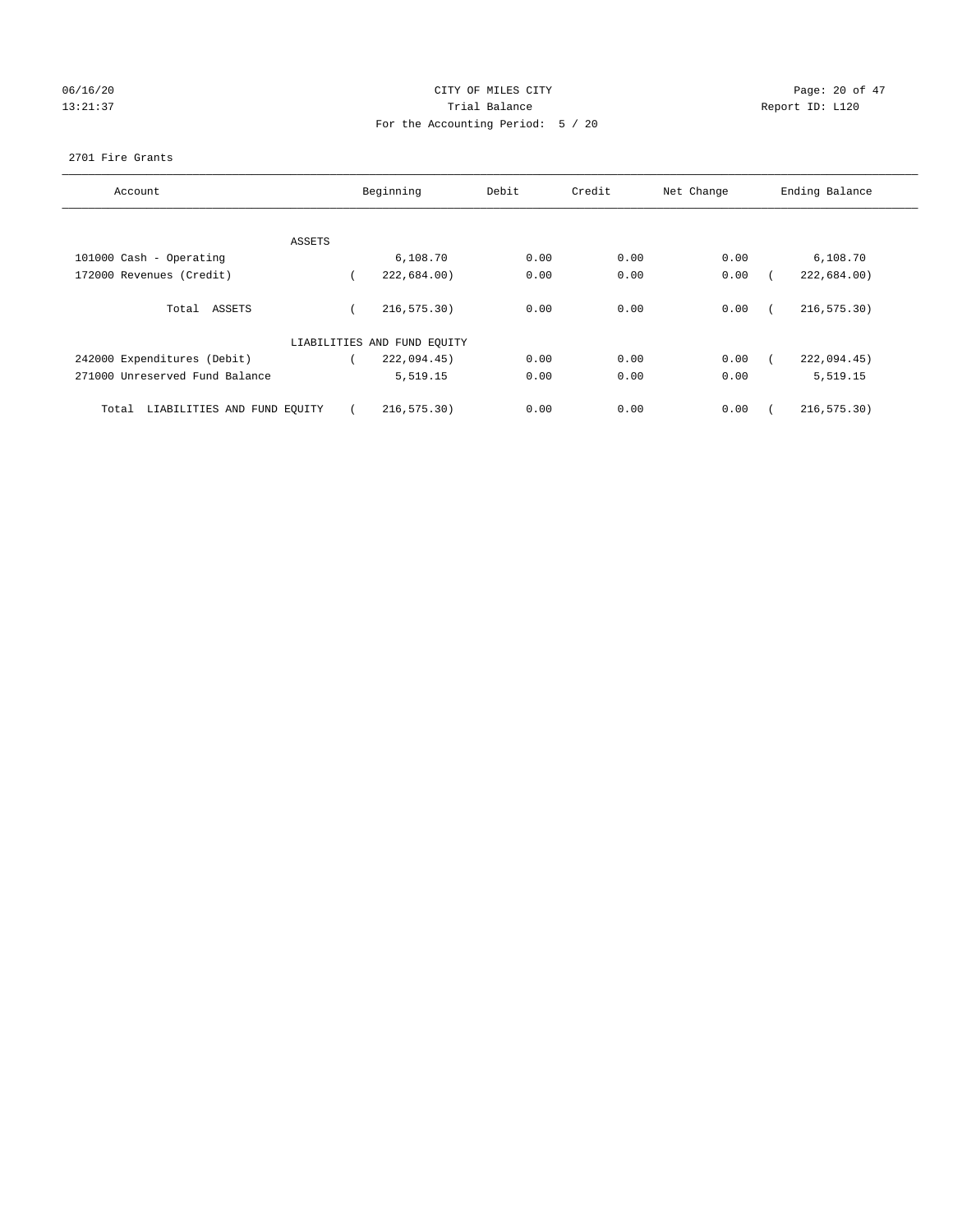## 06/16/20 Page: 20 of 47 13:21:37 Trial Balance Trial Balance Report ID: L120 For the Accounting Period: 5 / 20

### 2701 Fire Grants

| Account                              | Beginning<br>Debit          |      | Credit | Net Change | Ending Balance |
|--------------------------------------|-----------------------------|------|--------|------------|----------------|
|                                      |                             |      |        |            |                |
| ASSETS                               |                             |      |        |            |                |
| 101000 Cash - Operating              | 6,108.70                    | 0.00 | 0.00   | 0.00       | 6,108.70       |
| 172000 Revenues (Credit)             | 222,684.00)                 | 0.00 | 0.00   | 0.00       | 222,684.00)    |
| Total ASSETS                         | 216, 575.30)                | 0.00 | 0.00   | 0.00       | 216, 575.30)   |
|                                      | LIABILITIES AND FUND EQUITY |      |        |            |                |
| 242000 Expenditures (Debit)          | 222,094.45)                 | 0.00 | 0.00   | 0.00       | 222,094.45)    |
| 271000 Unreserved Fund Balance       | 5,519.15                    | 0.00 | 0.00   | 0.00       | 5,519.15       |
| LIABILITIES AND FUND EQUITY<br>Total | 216, 575.30)                | 0.00 | 0.00   | 0.00       | 216, 575.30)   |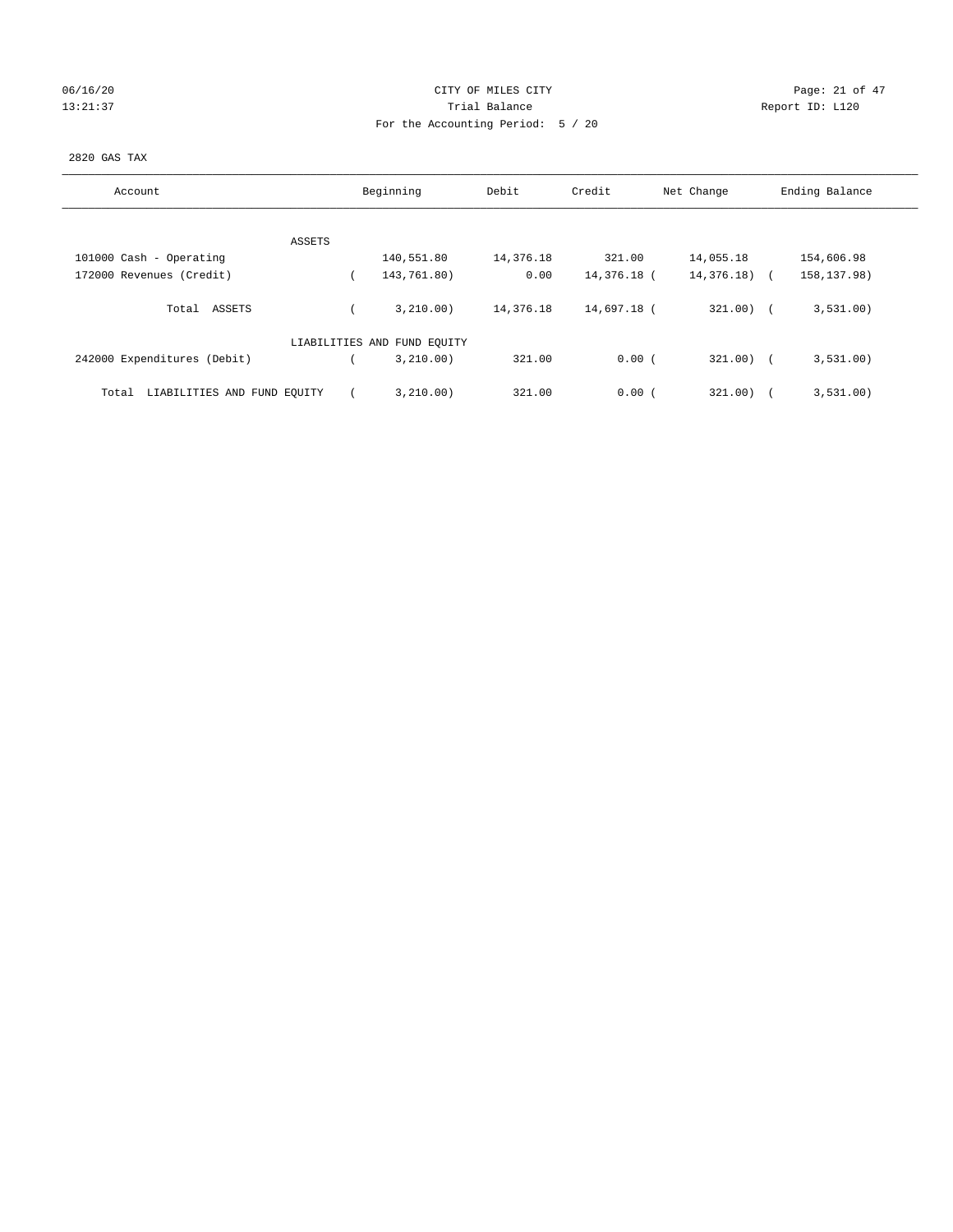## 06/16/20 Page: 21 of 47 13:21:37 Trial Balance Trial Balance Report ID: L120 For the Accounting Period: 5 / 20

### 2820 GAS TAX

| Account                              |  | Beginning                   | Debit     | Credit      | Net Change   | Ending Balance |
|--------------------------------------|--|-----------------------------|-----------|-------------|--------------|----------------|
|                                      |  |                             |           |             |              |                |
| ASSETS                               |  |                             |           |             |              |                |
| 101000 Cash - Operating              |  | 140,551.80                  | 14,376.18 | 321.00      | 14,055.18    | 154,606.98     |
| 172000 Revenues (Credit)             |  | 143,761.80)                 | 0.00      | 14,376.18 ( | 14,376.18)   | 158, 137.98)   |
| Total<br>ASSETS                      |  | 3,210.00)                   | 14,376.18 | 14,697.18 ( | $321.00$ ) ( | 3,531.00)      |
|                                      |  | LIABILITIES AND FUND EQUITY |           |             |              |                |
| 242000 Expenditures (Debit)          |  | 3,210.00)                   | 321.00    | 0.00(       | $321.00$ ) ( | 3,531.00)      |
| LIABILITIES AND FUND EQUITY<br>Total |  | 3,210.00)                   | 321.00    | 0.00(       | 321.00)      | 3,531.00)      |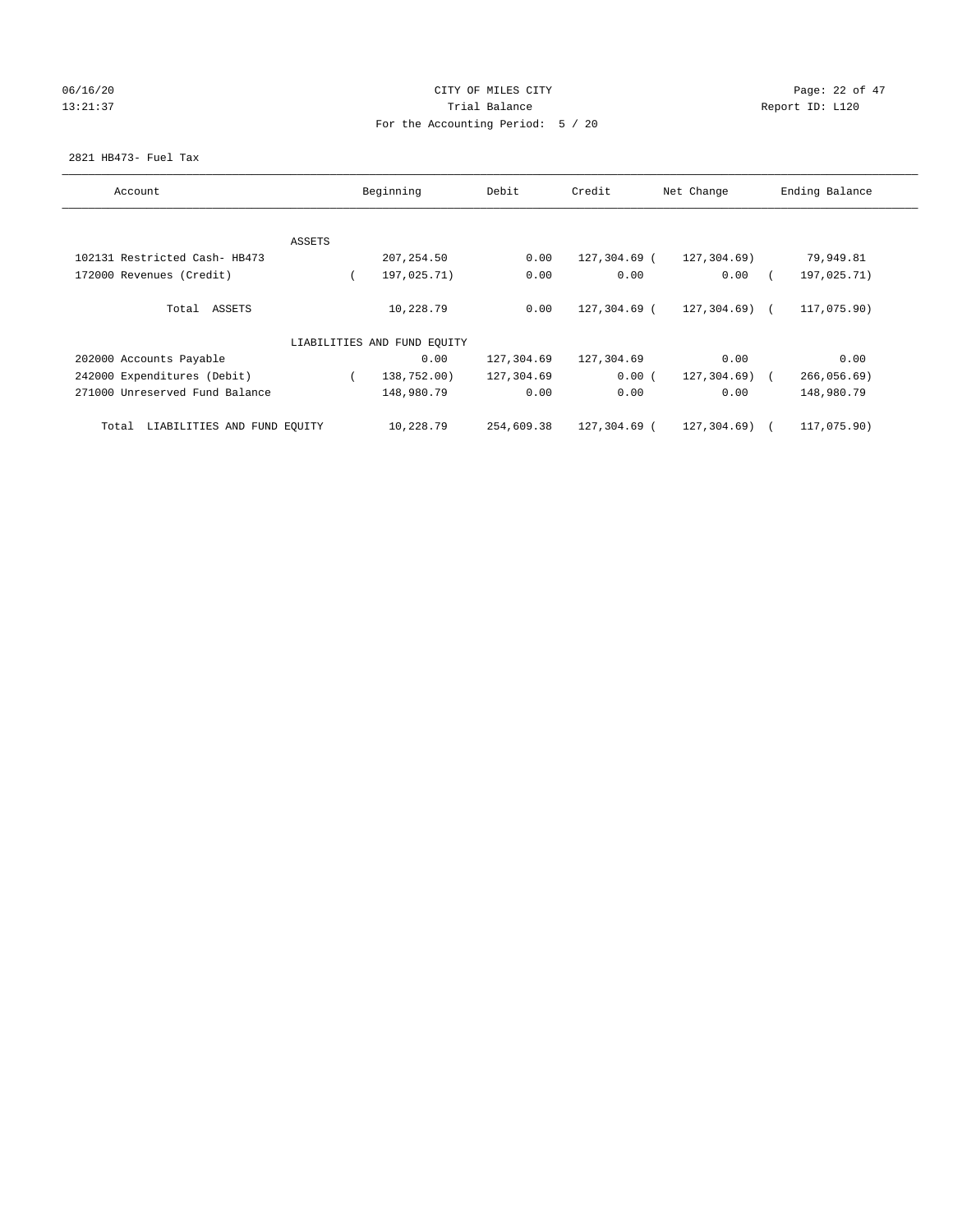## 06/16/20 Page: 22 of 47 13:21:37 Trial Balance Trial Balance Report ID: L120 For the Accounting Period: 5 / 20

### 2821 HB473- Fuel Tax

| Account                              |        | Beginning<br>Debit          |            | Credit       | Net Change      | Ending Balance |
|--------------------------------------|--------|-----------------------------|------------|--------------|-----------------|----------------|
|                                      |        |                             |            |              |                 |                |
|                                      | ASSETS |                             |            |              |                 |                |
| 102131 Restricted Cash- HB473        |        | 207,254.50                  | 0.00       | 127,304.69 ( | 127,304.69)     | 79,949.81      |
| 172000 Revenues (Credit)             |        | 197,025.71)                 | 0.00       | 0.00         | 0.00            | 197,025.71)    |
| Total ASSETS                         |        | 10,228.79                   | 0.00       | 127,304.69 ( | $127, 304.69$ ( | 117,075.90)    |
|                                      |        | LIABILITIES AND FUND EQUITY |            |              |                 |                |
| 202000 Accounts Payable              |        | 0.00                        | 127,304.69 | 127,304.69   | 0.00            | 0.00           |
| 242000 Expenditures (Debit)          |        | 138,752.00)                 | 127,304.69 | 0.00(        | 127,304.69)     | 266,056.69     |
| 271000 Unreserved Fund Balance       |        | 148,980.79                  | 0.00       | 0.00         | 0.00            | 148,980.79     |
| LIABILITIES AND FUND EQUITY<br>Total |        | 10,228.79                   | 254,609.38 | 127,304.69 ( | $127, 304.69$ ( | 117,075.90)    |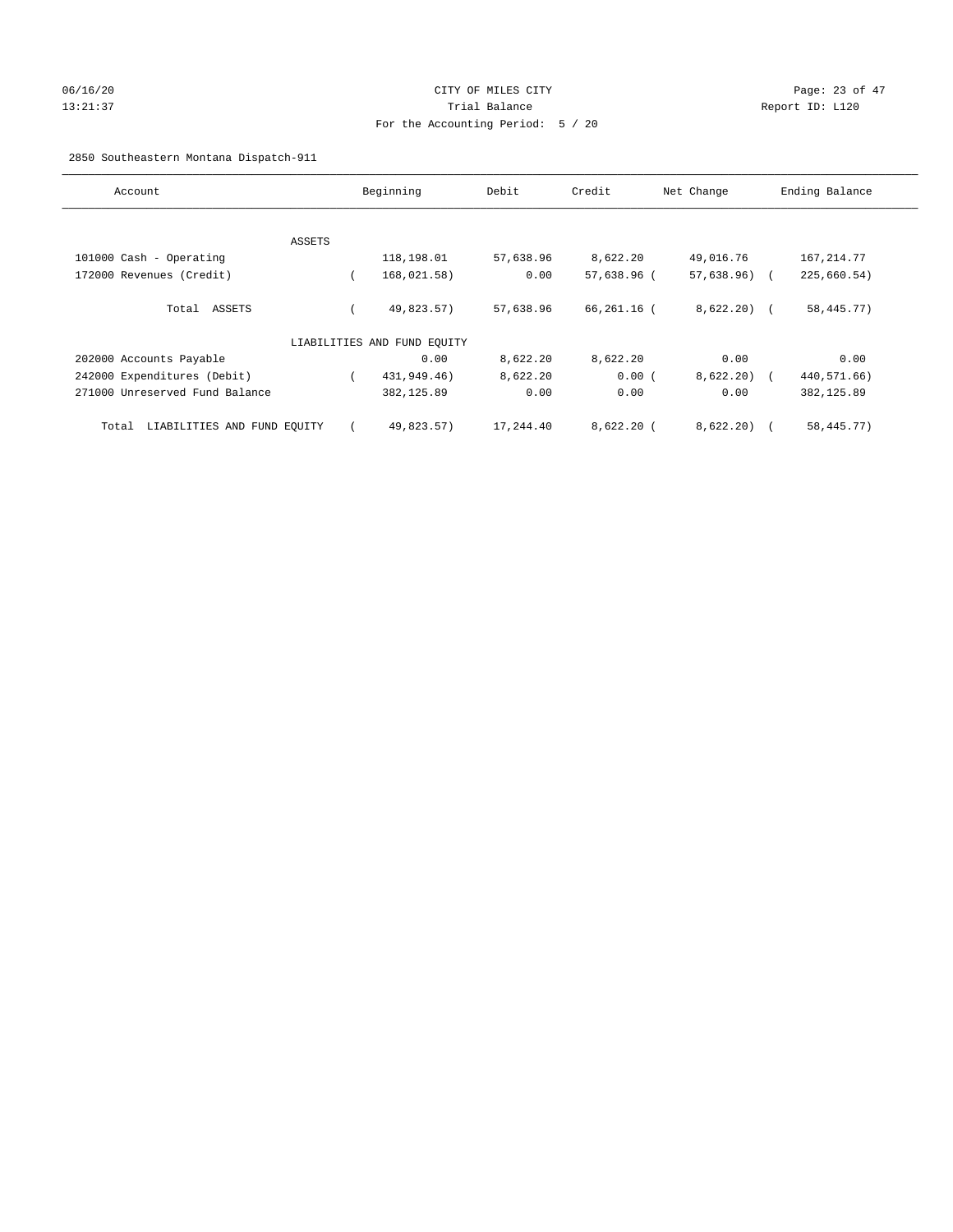# 06/16/20 Page: 23 of 47 13:21:37 Trial Balance Report ID: L120 For the Accounting Period: 5 / 20

## 2850 Southeastern Montana Dispatch-911

| Account                              | Beginning |                             | Debit     | Credit<br>Net Change |               | Ending Balance |
|--------------------------------------|-----------|-----------------------------|-----------|----------------------|---------------|----------------|
|                                      |           |                             |           |                      |               |                |
|                                      | ASSETS    |                             |           |                      |               |                |
| 101000 Cash - Operating              |           | 118,198.01                  | 57,638.96 | 8,622.20             | 49,016.76     | 167,214.77     |
| 172000 Revenues (Credit)             |           | 168,021.58)                 | 0.00      | 57,638.96 (          | $57,638.96$ ( | 225,660.54)    |
| Total ASSETS                         |           | 49,823.57)                  | 57,638.96 | 66,261.16 (          | $8,622.20$ (  | 58, 445. 77)   |
|                                      |           | LIABILITIES AND FUND EQUITY |           |                      |               |                |
| 202000 Accounts Payable              |           | 0.00                        | 8,622.20  | 8,622.20             | 0.00          | 0.00           |
| 242000 Expenditures (Debit)          |           | 431,949.46)                 | 8,622.20  | 0.00(                | 8,622.20      | 440,571.66)    |
| 271000 Unreserved Fund Balance       |           | 382,125.89                  | 0.00      | 0.00                 | 0.00          | 382, 125.89    |
| LIABILITIES AND FUND EQUITY<br>Total |           | 49,823.57)                  | 17,244.40 | $8,622.20$ (         | 8,622.20      | 58, 445. 77)   |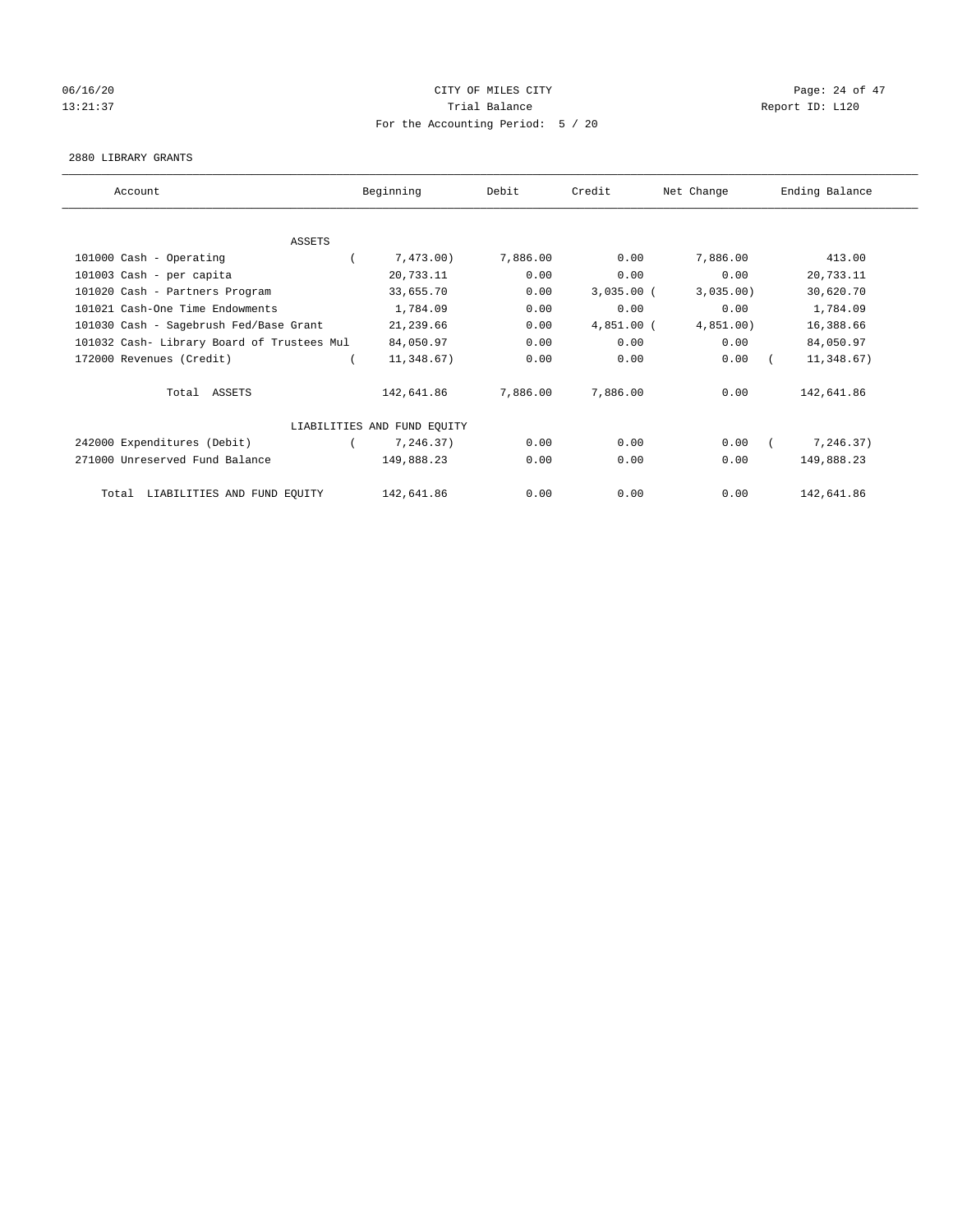## 06/16/20 Page: 24 of 47 13:21:37 Trial Balance Report ID: L120 For the Accounting Period: 5 / 20

#### 2880 LIBRARY GRANTS

| Account                                    | Beginning                   | Debit    | Credit       | Net Change | Ending Balance |  |
|--------------------------------------------|-----------------------------|----------|--------------|------------|----------------|--|
|                                            |                             |          |              |            |                |  |
| ASSETS                                     |                             |          |              |            |                |  |
| 101000 Cash - Operating                    | 7,473.00                    | 7,886.00 | 0.00         | 7,886.00   | 413.00         |  |
| 101003 Cash - per capita                   | 20,733.11                   | 0.00     | 0.00         | 0.00       | 20,733.11      |  |
| 101020 Cash - Partners Program             | 33,655.70                   | 0.00     | $3,035.00$ ( | 3,035.00   | 30,620.70      |  |
| 101021 Cash-One Time Endowments            | 1,784.09                    | 0.00     | 0.00         | 0.00       | 1,784.09       |  |
| 101030 Cash - Sagebrush Fed/Base Grant     | 21,239.66                   | 0.00     | $4,851.00$ ( | 4,851.00)  | 16,388.66      |  |
| 101032 Cash- Library Board of Trustees Mul | 84,050.97                   | 0.00     | 0.00         | 0.00       | 84,050.97      |  |
| 172000 Revenues (Credit)                   | 11,348.67)                  | 0.00     | 0.00         | 0.00       | 11,348.67)     |  |
| Total ASSETS                               | 142,641.86                  | 7,886.00 | 7,886.00     | 0.00       | 142,641.86     |  |
|                                            | LIABILITIES AND FUND EQUITY |          |              |            |                |  |
| 242000 Expenditures (Debit)                | 7,246.37)                   | 0.00     | 0.00         | 0.00       | 7,246.37)      |  |
| 271000 Unreserved Fund Balance             | 149,888.23                  | 0.00     | 0.00         | 0.00       | 149,888.23     |  |
| LIABILITIES AND FUND EQUITY<br>Total       | 142,641.86                  | 0.00     | 0.00         | 0.00       | 142,641.86     |  |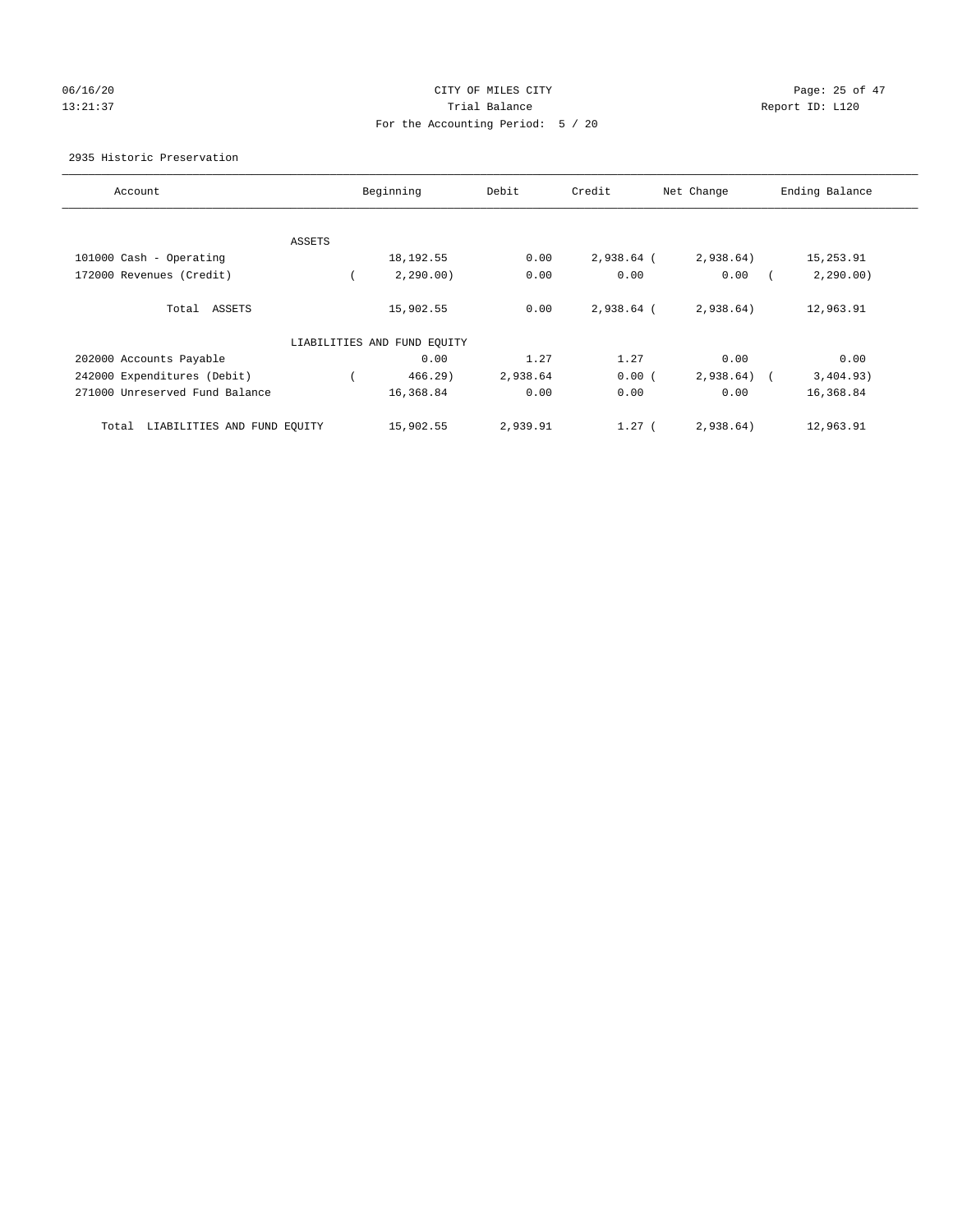## 06/16/20 Page: 25 of 47 13:21:37 Trial Balance Trial Balance Report ID: L120 For the Accounting Period: 5 / 20

### 2935 Historic Preservation

| Account                              | Beginning                   | Debit    | Credit     | Net Change | Ending Balance |
|--------------------------------------|-----------------------------|----------|------------|------------|----------------|
|                                      |                             |          |            |            |                |
| ASSETS                               |                             |          |            |            |                |
| 101000 Cash - Operating              | 18,192.55                   | 0.00     | 2,938.64 ( | 2,938.64)  | 15,253.91      |
| 172000 Revenues (Credit)             | 2, 290.00)                  | 0.00     | 0.00       | 0.00       | 2, 290.00)     |
| Total ASSETS                         | 15,902.55                   | 0.00     | 2,938.64 ( | 2,938.64)  | 12,963.91      |
|                                      | LIABILITIES AND FUND EQUITY |          |            |            |                |
| 202000 Accounts Payable              | 0.00                        | 1.27     | 1.27       | 0.00       | 0.00           |
| 242000 Expenditures (Debit)          | $466.29$ )                  | 2,938.64 | 0.00(      | 2,938.64)  | 3,404.93)      |
| 271000 Unreserved Fund Balance       | 16,368.84                   | 0.00     | 0.00       | 0.00       | 16,368.84      |
| LIABILITIES AND FUND EQUITY<br>Total | 15,902.55                   | 2,939.91 | $1.27$ (   | 2,938.64)  | 12,963.91      |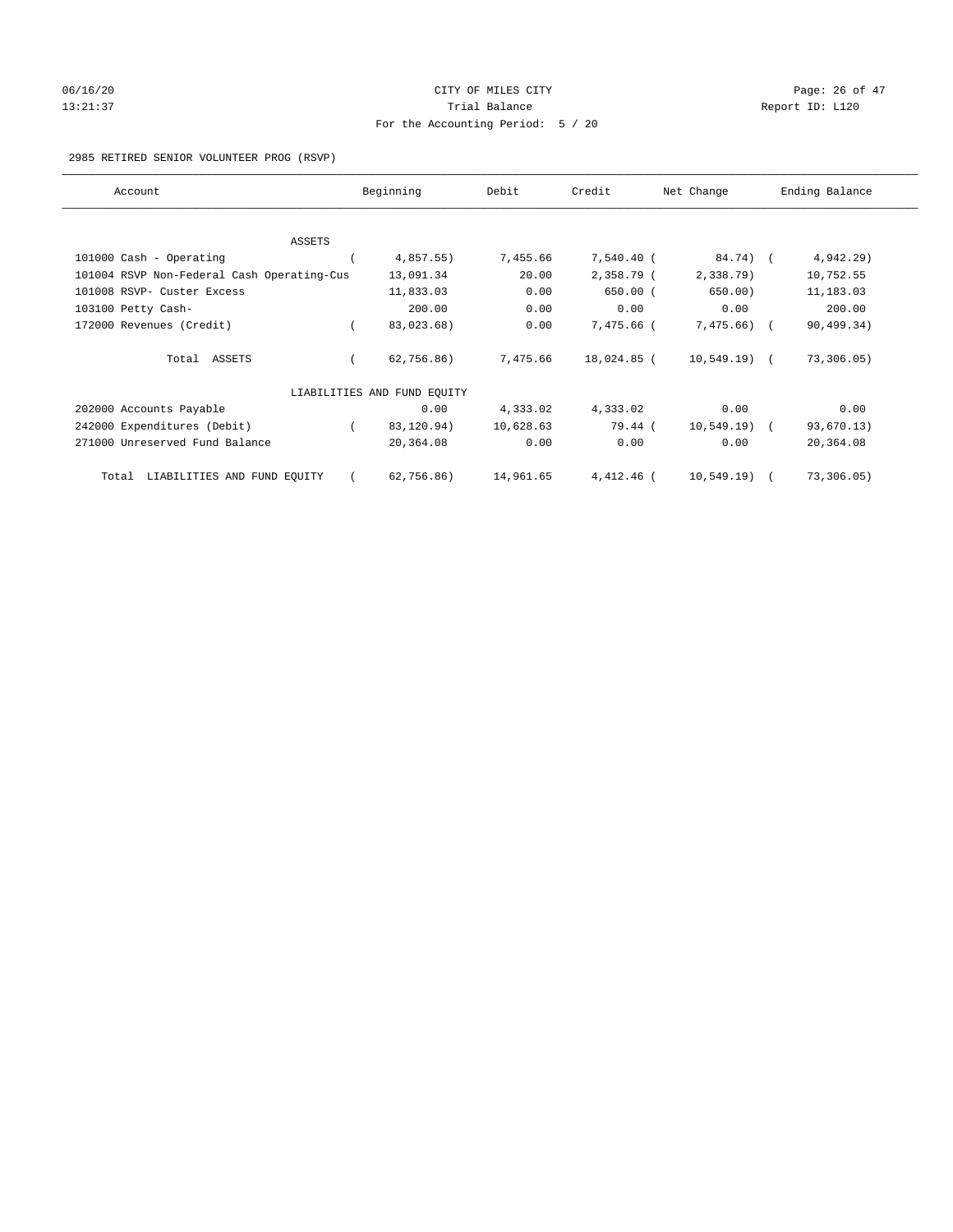# 06/16/20 Page: 26 of 47 13:21:37 Trial Balance Report ID: L120 For the Accounting Period: 5 / 20

### 2985 RETIRED SENIOR VOLUNTEER PROG (RSVP)

| Account                                    | Beginning                   | Debit     | Credit      | Net Change     | Ending Balance |
|--------------------------------------------|-----------------------------|-----------|-------------|----------------|----------------|
|                                            |                             |           |             |                |                |
| ASSETS                                     |                             |           |             |                |                |
| 101000 Cash - Operating                    | 4,857.55)                   | 7,455.66  | 7,540.40 (  | 84.74) (       | 4,942.29       |
| 101004 RSVP Non-Federal Cash Operating-Cus | 13,091.34                   | 20.00     | 2,358.79 (  | 2,338.79)      | 10,752.55      |
| 101008 RSVP- Custer Excess                 | 11,833.03                   | 0.00      | $650.00$ (  | 650.00)        | 11,183.03      |
| 103100 Petty Cash-                         | 200.00                      | 0.00      | 0.00        | 0.00           | 200.00         |
| 172000 Revenues (Credit)                   | 83,023.68)                  | 0.00      | 7,475.66 (  | $7,475.66$ ) ( | 90,499.34)     |
| Total ASSETS                               | 62, 756.86)                 | 7,475.66  | 18,024.85 ( | $10,549.19$ (  | 73,306.05)     |
|                                            | LIABILITIES AND FUND EQUITY |           |             |                |                |
| 202000 Accounts Payable                    | 0.00                        | 4,333.02  | 4,333.02    | 0.00           | 0.00           |
| 242000 Expenditures (Debit)                | 83,120.94)                  | 10,628.63 | 79.44 (     | $10,549.19$ (  | 93,670.13)     |
| 271000 Unreserved Fund Balance             | 20,364.08                   | 0.00      | 0.00        | 0.00           | 20,364.08      |
| LIABILITIES AND FUND EQUITY<br>Total       | 62, 756.86)                 | 14,961.65 | 4,412.46 (  | 10,549.19)     | 73,306.05)     |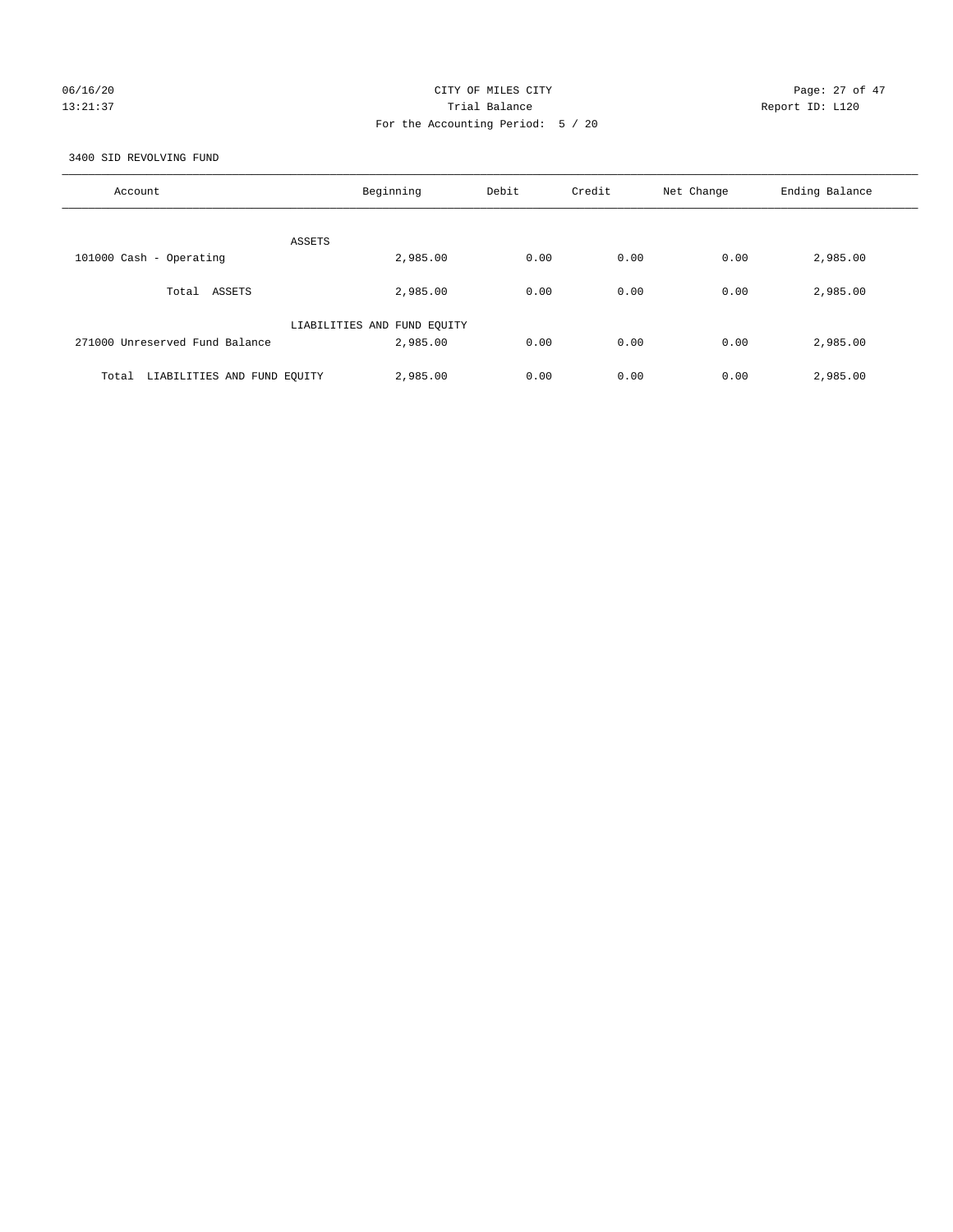## 06/16/20 Page: 27 of 47 13:21:37 Trial Balance Report ID: L120 For the Accounting Period: 5 / 20

3400 SID REVOLVING FUND

| Account                              | Beginning                   | Debit | Credit | Net Change | Ending Balance |
|--------------------------------------|-----------------------------|-------|--------|------------|----------------|
| ASSETS                               |                             |       |        |            |                |
| 101000 Cash - Operating              | 2,985.00                    | 0.00  | 0.00   | 0.00       | 2,985.00       |
| Total ASSETS                         | 2,985.00                    | 0.00  | 0.00   | 0.00       | 2,985.00       |
|                                      | LIABILITIES AND FUND EQUITY |       |        |            |                |
| 271000 Unreserved Fund Balance       | 2,985.00                    | 0.00  | 0.00   | 0.00       | 2,985.00       |
| LIABILITIES AND FUND EQUITY<br>Total | 2,985.00                    | 0.00  | 0.00   | 0.00       | 2,985.00       |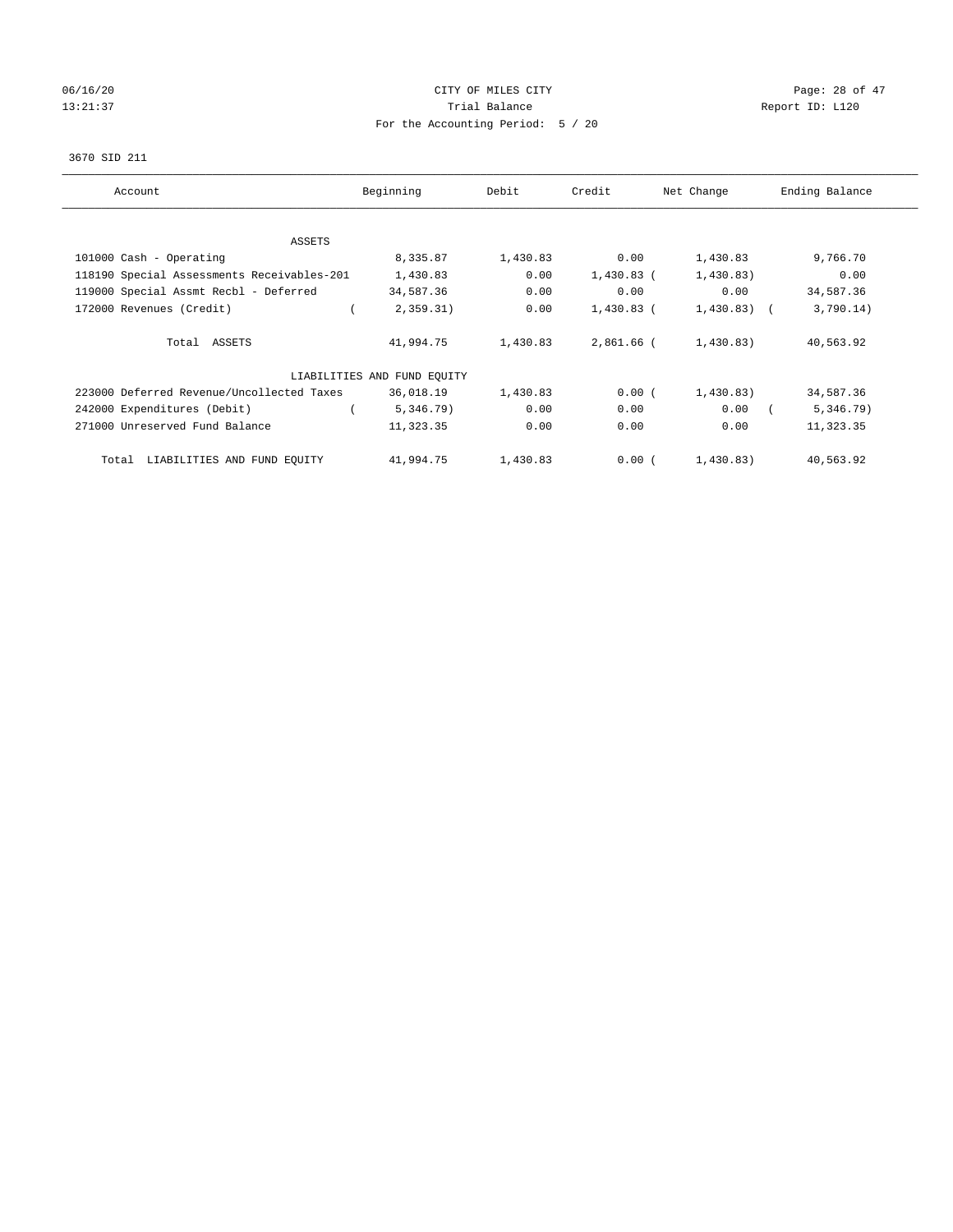# 06/16/20 Page: 28 of 47 13:21:37 Trial Balance Trial Balance Report ID: L120 For the Accounting Period: 5 / 20

### 3670 SID 211

| Account                                    | Beginning                   | Debit    | Credit       | Net Change     | Ending Balance |
|--------------------------------------------|-----------------------------|----------|--------------|----------------|----------------|
| ASSETS                                     |                             |          |              |                |                |
| 101000 Cash - Operating                    | 8,335.87                    | 1,430.83 | 0.00         | 1,430.83       | 9,766.70       |
| 118190 Special Assessments Receivables-201 | 1,430.83                    | 0.00     | $1,430.83$ ( | 1,430.83)      | 0.00           |
| 119000 Special Assmt Recbl - Deferred      | 34,587.36                   | 0.00     | 0.00         | 0.00           | 34,587.36      |
| 172000 Revenues (Credit)                   | 2,359.31)                   | 0.00     | $1,430.83$ ( | $1,430.83$ ) ( | 3,790.14)      |
| Total ASSETS                               | 41,994.75                   | 1,430.83 | 2,861.66 (   | 1,430.83)      | 40,563.92      |
|                                            | LIABILITIES AND FUND EQUITY |          |              |                |                |
| 223000 Deferred Revenue/Uncollected Taxes  | 36,018.19                   | 1,430.83 | 0.00(        | 1,430.83)      | 34,587.36      |
| 242000 Expenditures (Debit)                | 5,346.79)                   | 0.00     | 0.00         | 0.00           | 5,346.79)      |
| 271000 Unreserved Fund Balance             | 11,323.35                   | 0.00     | 0.00         | 0.00           | 11,323.35      |
| LIABILITIES AND FUND EQUITY<br>Total       | 41,994.75                   | 1,430.83 | 0.00(        | 1,430.83)      | 40,563.92      |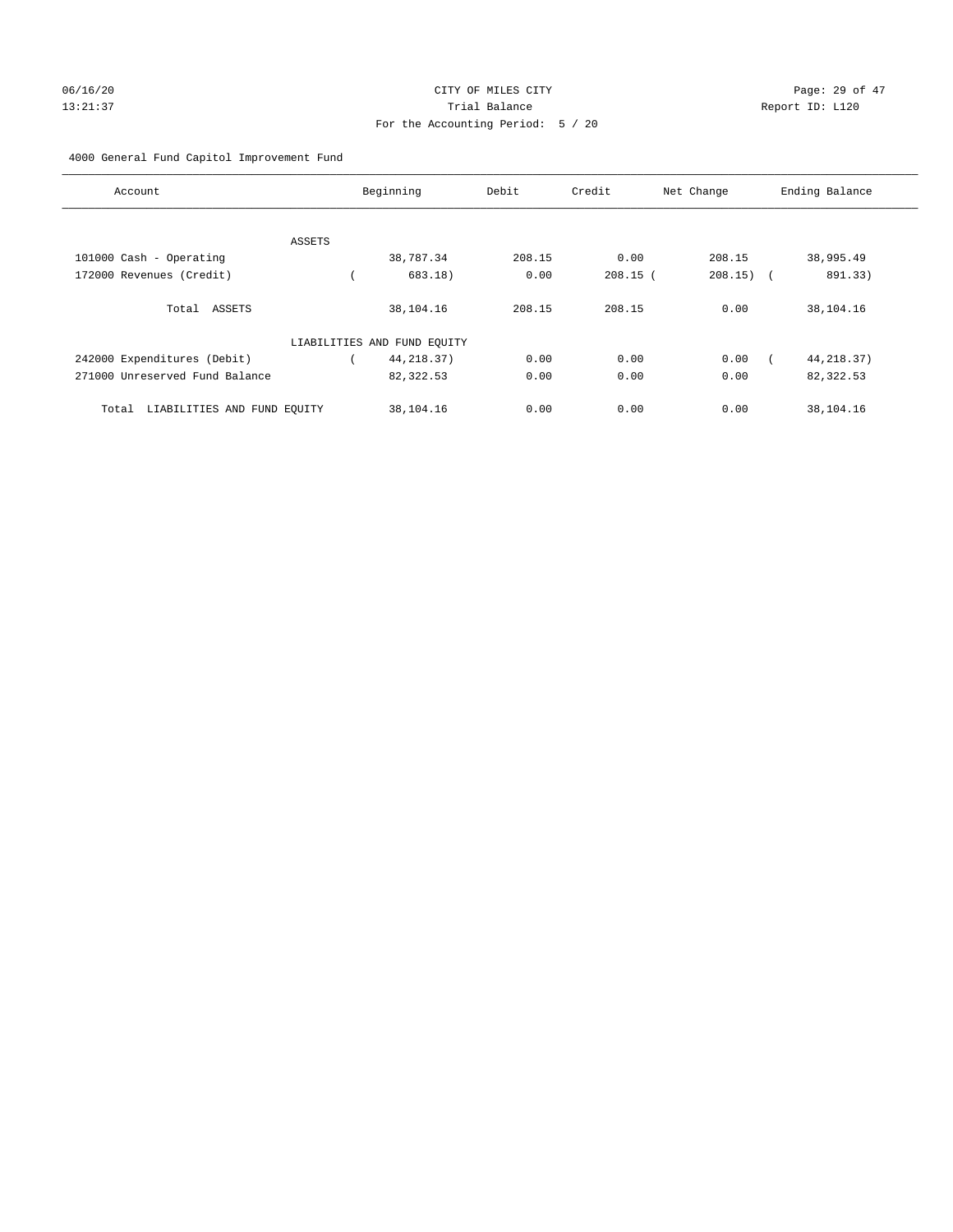# 06/16/20 Page: 29 of 47 13:21:37 Trial Balance Report ID: L120 For the Accounting Period: 5 / 20

## 4000 General Fund Capitol Improvement Fund

| Account                              |        | Beginning                   | Debit  | Credit     | Net Change            | Ending Balance |
|--------------------------------------|--------|-----------------------------|--------|------------|-----------------------|----------------|
|                                      |        |                             |        |            |                       |                |
|                                      | ASSETS |                             |        |            |                       |                |
| 101000 Cash - Operating              |        | 38,787.34                   | 208.15 | 0.00       | 208.15                | 38,995.49      |
| 172000 Revenues (Credit)             |        | 683.18)                     | 0.00   | $208.15$ ( | 208.15)<br>$\sqrt{2}$ | 891.33)        |
| Total ASSETS                         |        | 38,104.16                   | 208.15 | 208.15     | 0.00                  | 38,104.16      |
|                                      |        | LIABILITIES AND FUND EQUITY |        |            |                       |                |
| 242000 Expenditures (Debit)          |        | 44, 218.37)                 | 0.00   | 0.00       | 0.00                  | 44, 218.37)    |
| 271000 Unreserved Fund Balance       |        | 82,322.53                   | 0.00   | 0.00       | 0.00                  | 82,322.53      |
| LIABILITIES AND FUND EQUITY<br>Total |        | 38,104.16                   | 0.00   | 0.00       | 0.00                  | 38,104.16      |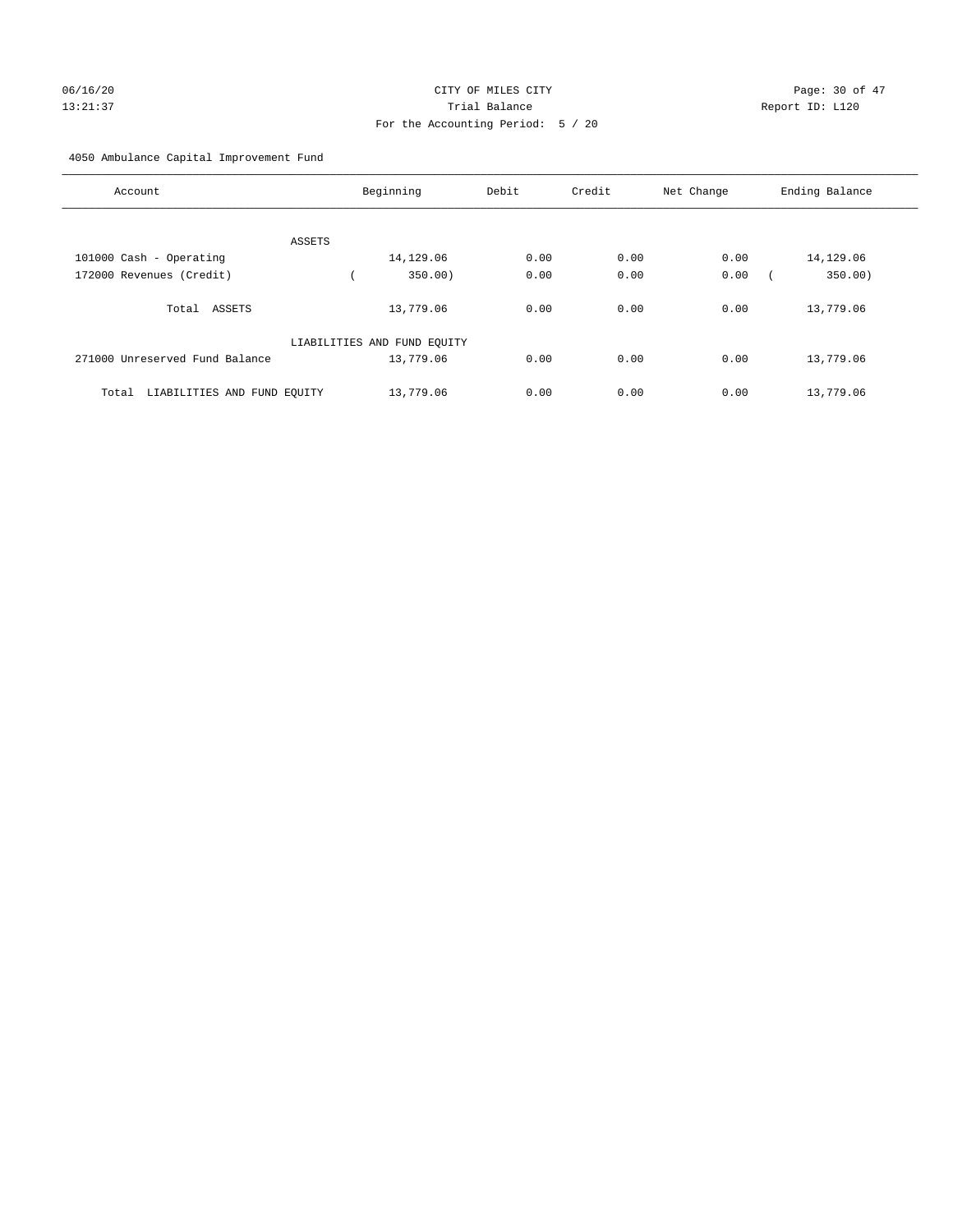# 06/16/20 Page: 30 of 47 13:21:37 Trial Balance Report ID: L120 For the Accounting Period: 5 / 20

4050 Ambulance Capital Improvement Fund

| Account                              | Beginning                   | Debit | Credit | Net Change | Ending Balance |
|--------------------------------------|-----------------------------|-------|--------|------------|----------------|
| ASSETS                               |                             |       |        |            |                |
| 101000 Cash - Operating              | 14,129.06                   | 0.00  | 0.00   | 0.00       | 14,129.06      |
| 172000 Revenues (Credit)             | 350.00                      | 0.00  | 0.00   | 0.00       | 350.00)        |
| Total ASSETS                         | 13,779.06                   | 0.00  | 0.00   | 0.00       | 13,779.06      |
|                                      | LIABILITIES AND FUND EQUITY |       |        |            |                |
| 271000 Unreserved Fund Balance       | 13,779.06                   | 0.00  | 0.00   | 0.00       | 13,779.06      |
| LIABILITIES AND FUND EQUITY<br>Total | 13,779.06                   | 0.00  | 0.00   | 0.00       | 13,779.06      |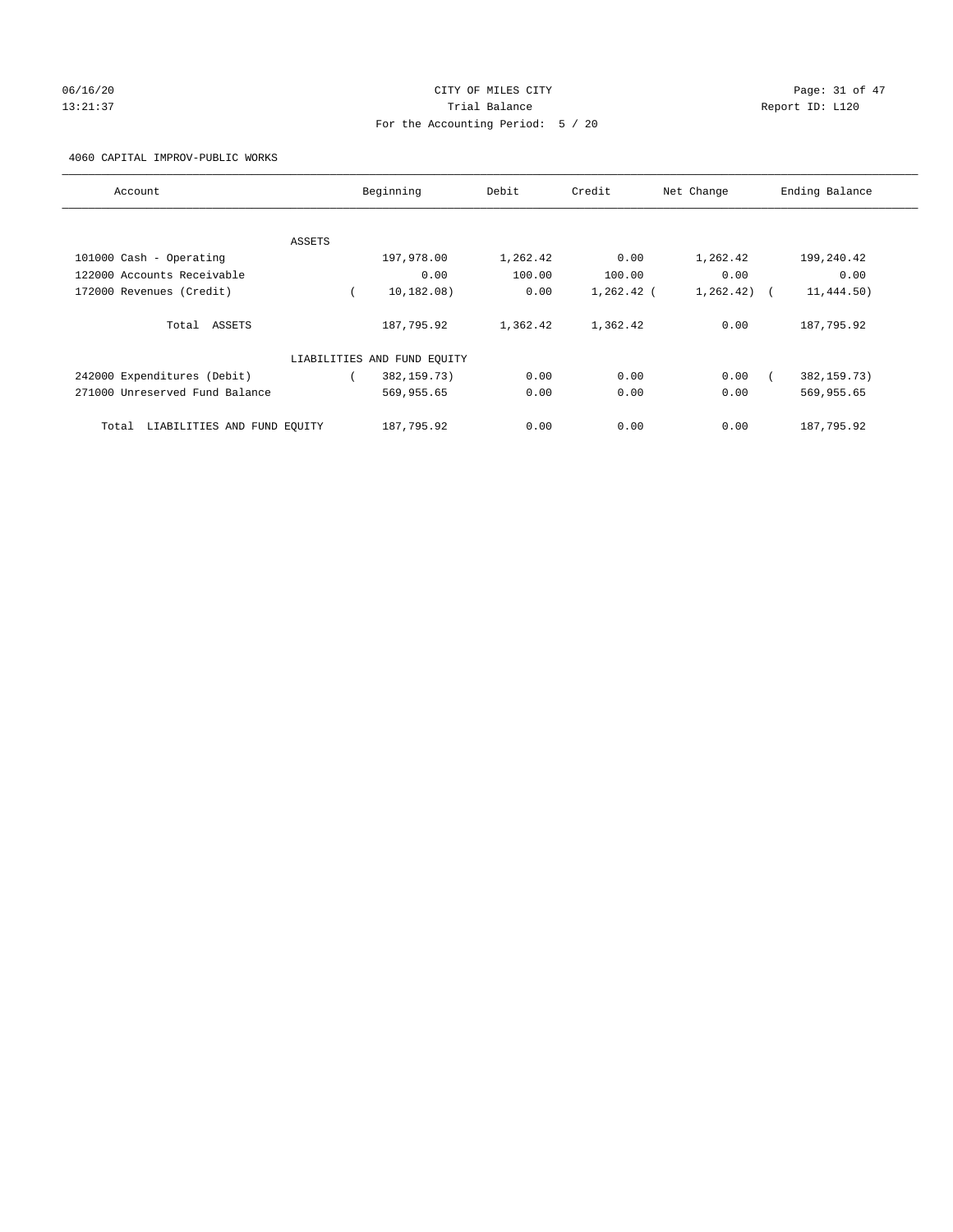## 06/16/20 Page: 31 of 47 13:21:37 Trial Balance Report ID: L120 For the Accounting Period: 5 / 20

4060 CAPITAL IMPROV-PUBLIC WORKS

| Account                              |        | Beginning                   | Debit    | Credit       | Net Change  | Ending Balance |
|--------------------------------------|--------|-----------------------------|----------|--------------|-------------|----------------|
|                                      |        |                             |          |              |             |                |
|                                      | ASSETS |                             |          |              |             |                |
| 101000 Cash - Operating              |        | 197,978.00                  | 1,262.42 | 0.00         | 1,262.42    | 199,240.42     |
| 122000 Accounts Receivable           |        | 0.00                        | 100.00   | 100.00       | 0.00        | 0.00           |
| 172000 Revenues (Credit)             |        | 10, 182, 08)                | 0.00     | $1,262.42$ ( | 1, 262, 42) | 11,444.50)     |
| Total ASSETS                         |        | 187,795.92                  | 1,362.42 | 1,362.42     | 0.00        | 187,795.92     |
|                                      |        | LIABILITIES AND FUND EQUITY |          |              |             |                |
| 242000 Expenditures (Debit)          |        | 382, 159. 73)               | 0.00     | 0.00         | 0.00        | 382, 159. 73)  |
| 271000 Unreserved Fund Balance       |        | 569,955.65                  | 0.00     | 0.00         | 0.00        | 569,955.65     |
| LIABILITIES AND FUND EQUITY<br>Total |        | 187,795.92                  | 0.00     | 0.00         | 0.00        | 187,795.92     |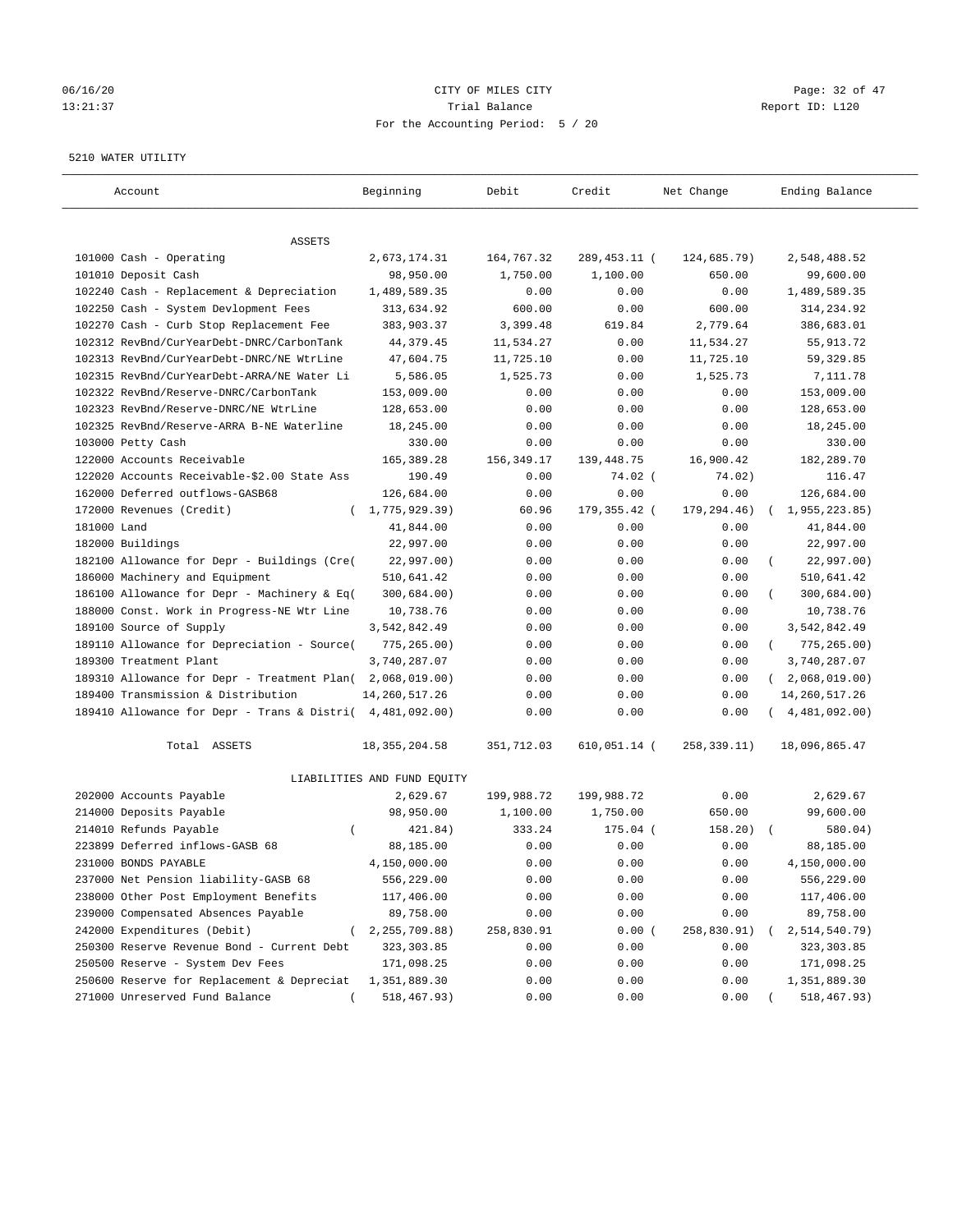## 06/16/20 Page: 32 of 47 13:21:37 Trial Balance Report ID: L120 For the Accounting Period: 5 / 20

#### 5210 WATER UTILITY

| Account                                                   | Beginning                   | Debit       | Credit         | Net Change  | Ending Balance              |
|-----------------------------------------------------------|-----------------------------|-------------|----------------|-------------|-----------------------------|
| ASSETS                                                    |                             |             |                |             |                             |
| 101000 Cash - Operating                                   | 2,673,174.31                | 164,767.32  | 289,453.11 (   | 124,685.79) | 2,548,488.52                |
| 101010 Deposit Cash                                       | 98,950.00                   | 1,750.00    | 1,100.00       | 650.00      | 99,600.00                   |
| 102240 Cash - Replacement & Depreciation                  | 1,489,589.35                | 0.00        | 0.00           | 0.00        | 1,489,589.35                |
| 102250 Cash - System Devlopment Fees                      | 313,634.92                  | 600.00      | 0.00           | 600.00      | 314,234.92                  |
| 102270 Cash - Curb Stop Replacement Fee                   | 383,903.37                  | 3,399.48    | 619.84         | 2,779.64    | 386,683.01                  |
| 102312 RevBnd/CurYearDebt-DNRC/CarbonTank                 | 44, 379.45                  | 11,534.27   | 0.00           | 11,534.27   | 55, 913. 72                 |
| 102313 RevBnd/CurYearDebt-DNRC/NE WtrLine                 | 47,604.75                   | 11,725.10   | 0.00           | 11,725.10   | 59, 329.85                  |
| 102315 RevBnd/CurYearDebt-ARRA/NE Water Li                | 5,586.05                    | 1,525.73    | 0.00           | 1,525.73    | 7,111.78                    |
| 102322 RevBnd/Reserve-DNRC/CarbonTank                     | 153,009.00                  | 0.00        | 0.00           | 0.00        | 153,009.00                  |
| 102323 RevBnd/Reserve-DNRC/NE WtrLine                     | 128,653.00                  | 0.00        | 0.00           | 0.00        | 128,653.00                  |
| 102325 RevBnd/Reserve-ARRA B-NE Waterline                 | 18,245.00                   | 0.00        | 0.00           | 0.00        | 18,245.00                   |
| 103000 Petty Cash                                         | 330.00                      | 0.00        | 0.00           | 0.00        | 330.00                      |
| 122000 Accounts Receivable                                | 165,389.28                  | 156, 349.17 | 139,448.75     | 16,900.42   | 182,289.70                  |
| 122020 Accounts Receivable-\$2.00 State Ass               | 190.49                      | 0.00        | $74.02$ (      | 74.02)      | 116.47                      |
| 162000 Deferred outflows-GASB68                           | 126,684.00                  | 0.00        | 0.00           | 0.00        | 126,684.00                  |
| 172000 Revenues (Credit)                                  | (1, 775, 929.39)            | 60.96       | 179, 355. 42 ( | 179,294.46) | 1,955,223.85)               |
| 181000 Land                                               | 41,844.00                   | 0.00        | 0.00           | 0.00        | 41,844.00                   |
| 182000 Buildings                                          | 22,997.00                   | 0.00        | 0.00           | 0.00        | 22,997.00                   |
| 182100 Allowance for Depr - Buildings (Cre(               | 22,997.00)                  | 0.00        | 0.00           | 0.00        | 22,997.00)                  |
| 186000 Machinery and Equipment                            | 510,641.42                  | 0.00        | 0.00           | 0.00        | 510,641.42                  |
| 186100 Allowance for Depr - Machinery & Eq(               | 300,684.00)                 | 0.00        | 0.00           | 0.00        | 300,684.00)                 |
| 188000 Const. Work in Progress-NE Wtr Line                | 10,738.76                   | 0.00        | 0.00           | 0.00        | 10,738.76                   |
| 189100 Source of Supply                                   | 3,542,842.49                | 0.00        | 0.00           | 0.00        | 3,542,842.49                |
| 189110 Allowance for Depreciation - Source(               | 775,265.00)                 | 0.00        | 0.00           | 0.00        | $\left($<br>775,265.00)     |
| 189300 Treatment Plant                                    | 3,740,287.07                | 0.00        | 0.00           | 0.00        | 3,740,287.07                |
| 189310 Allowance for Depr - Treatment Plan(               | 2,068,019.00)               | 0.00        | 0.00           | 0.00        | 2,068,019.00)<br>$\sqrt{2}$ |
| 189400 Transmission & Distribution                        | 14, 260, 517.26             | 0.00        | 0.00           | 0.00        | 14, 260, 517. 26            |
| 189410 Allowance for Depr - Trans & Distri( 4,481,092.00) |                             | 0.00        | 0.00           | 0.00        | 4,481,092.00)               |
| Total ASSETS                                              | 18, 355, 204.58             | 351,712.03  | 610,051.14 (   | 258,339.11) | 18,096,865.47               |
|                                                           | LIABILITIES AND FUND EQUITY |             |                |             |                             |
| 202000 Accounts Payable                                   | 2,629.67                    | 199,988.72  | 199,988.72     | 0.00        | 2,629.67                    |
| 214000 Deposits Payable                                   | 98,950.00                   | 1,100.00    | 1,750.00       | 650.00      | 99,600.00                   |
| 214010 Refunds Payable<br>$\left($                        | 421.84)                     | 333.24      | 175.04 (       | 158.20)     | 580.04)                     |
| 223899 Deferred inflows-GASB 68                           | 88,185.00                   | 0.00        | 0.00           | 0.00        | 88,185.00                   |
| 231000 BONDS PAYABLE                                      | 4,150,000.00                | 0.00        | 0.00           | 0.00        | 4,150,000.00                |
| 237000 Net Pension liability-GASB 68                      | 556,229.00                  | 0.00        | 0.00           | 0.00        | 556,229.00                  |
| 238000 Other Post Employment Benefits                     | 117,406.00                  | 0.00        | 0.00           | 0.00        | 117,406.00                  |
| 239000 Compensated Absences Payable                       | 89,758.00                   | 0.00        | 0.00           | 0.00        | 89,758.00                   |
| 242000 Expenditures (Debit)                               | 2, 255, 709.88)             | 258,830.91  | 0.00(          | 258,830.91) | 2,514,540.79)               |
| 250300 Reserve Revenue Bond - Current Debt                | 323, 303.85                 | 0.00        | 0.00           | 0.00        | 323, 303.85                 |
| 250500 Reserve - System Dev Fees                          | 171,098.25                  | 0.00        | 0.00           | 0.00        | 171,098.25                  |
| 250600 Reserve for Replacement & Depreciat                | 1,351,889.30                | 0.00        | 0.00           | 0.00        | 1,351,889.30                |
| 271000 Unreserved Fund Balance                            | 518,467.93)                 | 0.00        | 0.00           | 0.00        | 518,467.93)                 |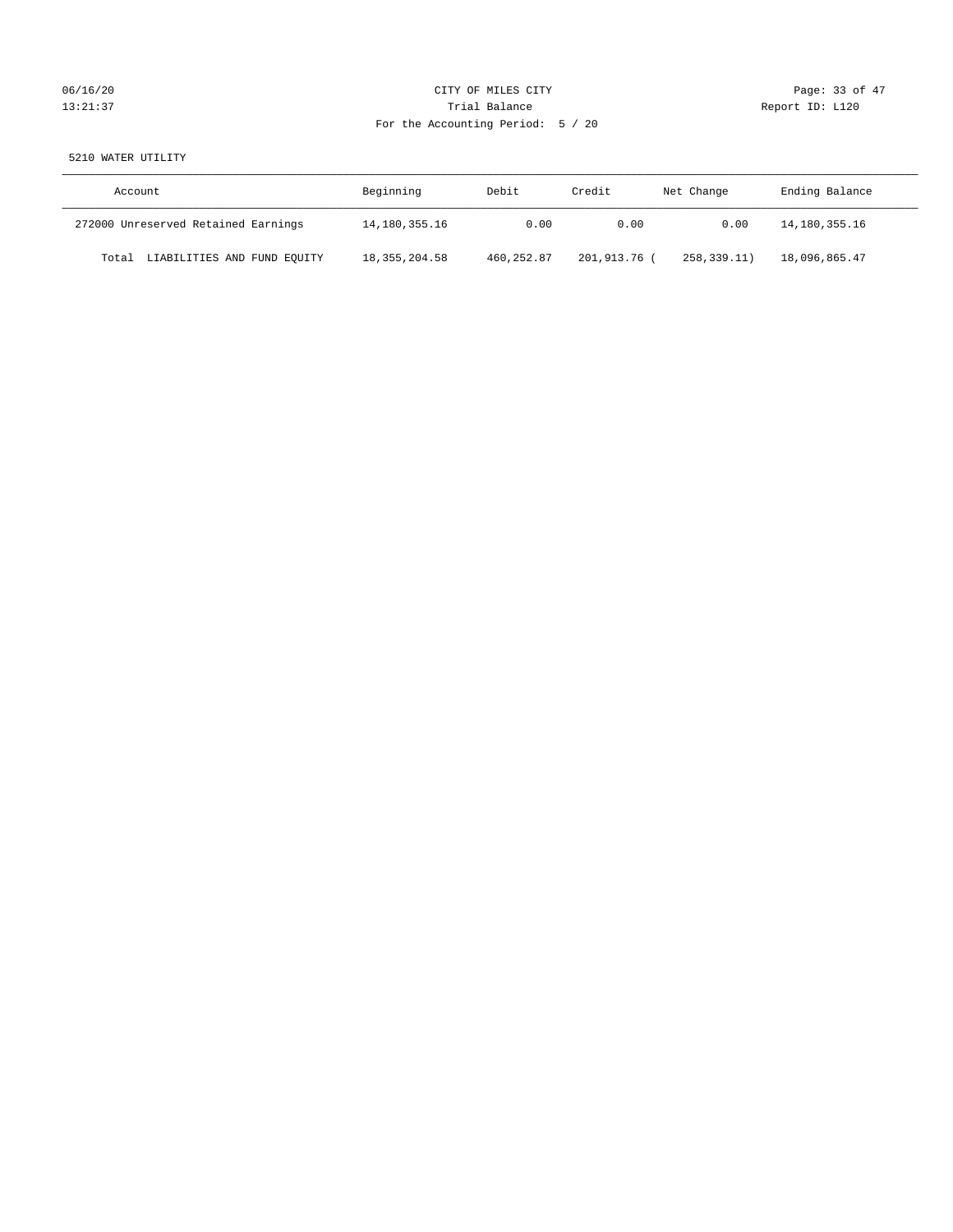# 06/16/20 Page: 33 of 47 13:21:37 Trial Balance Trial Balance Report ID: L120 For the Accounting Period: 5 / 20

# 5210 WATER UTILITY

| Account                              | Beginning       | Debit      | Credit       | Net Change  | Ending Balance |
|--------------------------------------|-----------------|------------|--------------|-------------|----------------|
| 272000 Unreserved Retained Earnings  | 14,180,355.16   | 0.00       | 0.00         | 0.00        | 14,180,355.16  |
| LIABILITIES AND FUND EQUITY<br>Total | 18, 355, 204.58 | 460,252.87 | 201,913.76 ( | 258,339.11) | 18,096,865.47  |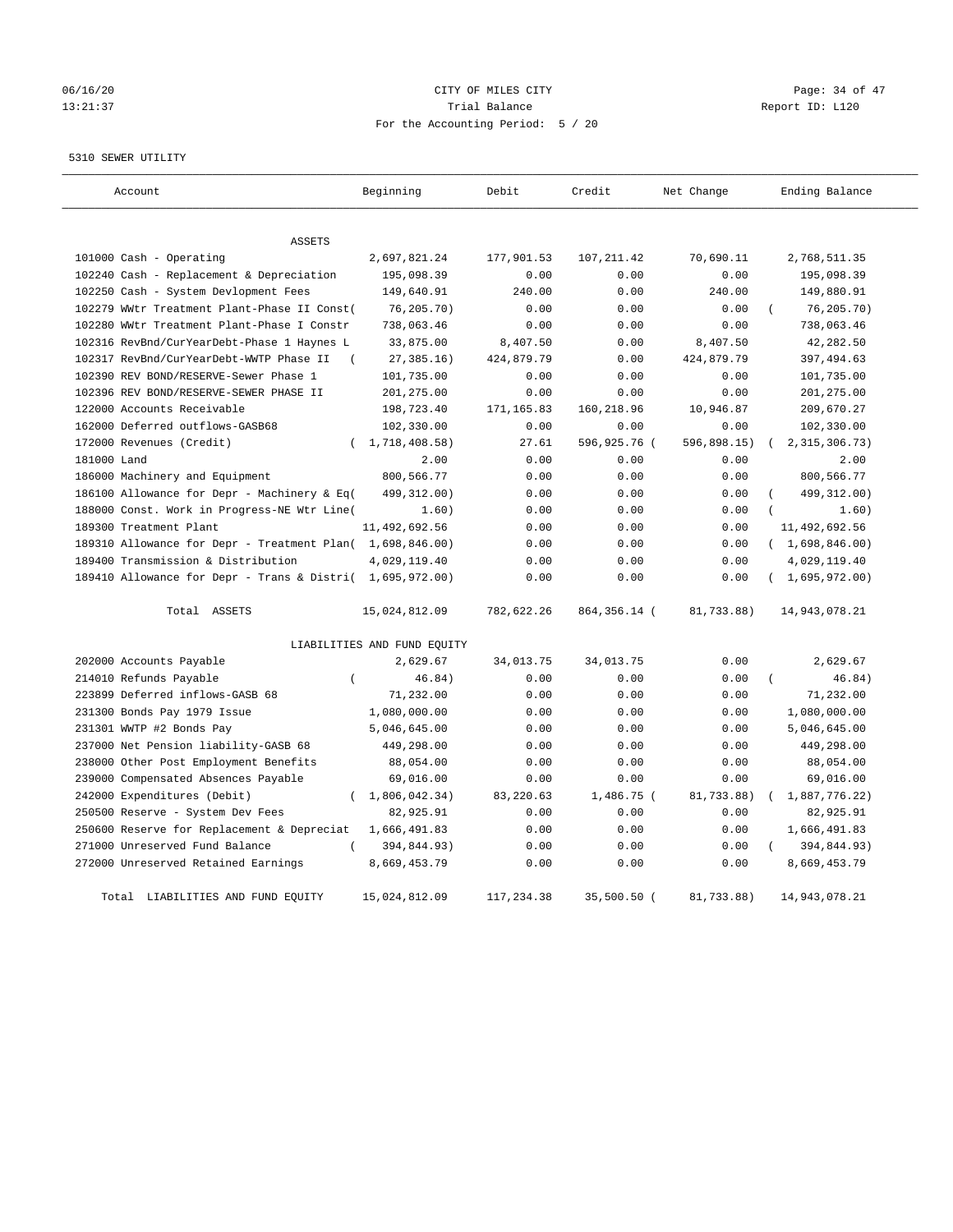# 06/16/20 Page: 34 of 47 13:21:37 Trial Balance Report ID: L120 For the Accounting Period: 5 / 20

#### 5310 SEWER UTILITY

| Account                                                   | Beginning                   | Debit      | Credit       | Net Change  | Ending Balance   |
|-----------------------------------------------------------|-----------------------------|------------|--------------|-------------|------------------|
| ASSETS                                                    |                             |            |              |             |                  |
| 101000 Cash - Operating                                   | 2,697,821.24                | 177,901.53 | 107, 211.42  | 70,690.11   | 2,768,511.35     |
| 102240 Cash - Replacement & Depreciation                  | 195,098.39                  | 0.00       | 0.00         | 0.00        | 195,098.39       |
| 102250 Cash - System Devlopment Fees                      | 149,640.91                  | 240.00     | 0.00         | 240.00      | 149,880.91       |
| 102279 WWtr Treatment Plant-Phase II Const(               | 76, 205.70)                 | 0.00       | 0.00         | 0.00        | 76, 205.70)      |
| 102280 WWtr Treatment Plant-Phase I Constr                | 738,063.46                  | 0.00       | 0.00         | 0.00        | 738,063.46       |
| 102316 RevBnd/CurYearDebt-Phase 1 Haynes L                | 33,875.00                   | 8,407.50   | 0.00         | 8,407.50    | 42,282.50        |
| 102317 RevBnd/CurYearDebt-WWTP Phase II<br>$\left($       | 27, 385.16)                 | 424,879.79 | 0.00         | 424,879.79  | 397, 494.63      |
| 102390 REV BOND/RESERVE-Sewer Phase 1                     | 101,735.00                  | 0.00       | 0.00         | 0.00        | 101,735.00       |
| 102396 REV BOND/RESERVE-SEWER PHASE II                    | 201,275.00                  | 0.00       | 0.00         | 0.00        | 201,275.00       |
| 122000 Accounts Receivable                                | 198,723.40                  | 171,165.83 | 160,218.96   | 10,946.87   | 209,670.27       |
| 162000 Deferred outflows-GASB68                           | 102,330.00                  | 0.00       | 0.00         | 0.00        | 102,330.00       |
| 172000 Revenues (Credit)                                  | (1, 718, 408.58)            | 27.61      | 596,925.76 ( | 596,898.15) | 2, 315, 306. 73) |
| 181000 Land                                               | 2.00                        | 0.00       | 0.00         | 0.00        | 2.00             |
| 186000 Machinery and Equipment                            | 800,566.77                  | 0.00       | 0.00         | 0.00        | 800,566.77       |
| 186100 Allowance for Depr - Machinery & Eq(               | 499,312.00)                 | 0.00       | 0.00         | 0.00        | 499, 312.00)     |
| 188000 Const. Work in Progress-NE Wtr Line(               | 1.60)                       | 0.00       | 0.00         | 0.00        | 1.60)            |
| 189300 Treatment Plant                                    | 11,492,692.56               | 0.00       | 0.00         | 0.00        | 11,492,692.56    |
| 189310 Allowance for Depr - Treatment Plan( 1,698,846.00) |                             | 0.00       | 0.00         | 0.00        | (1,698,846.00)   |
| 189400 Transmission & Distribution                        | 4,029,119.40                | 0.00       | 0.00         | 0.00        | 4,029,119.40     |
| 189410 Allowance for Depr - Trans & Distri( 1,695,972.00) |                             | 0.00       | 0.00         | 0.00        | (1,695,972.00)   |
| Total ASSETS                                              | 15,024,812.09               | 782,622.26 | 864,356.14 ( | 81,733.88)  | 14,943,078.21    |
|                                                           | LIABILITIES AND FUND EQUITY |            |              |             |                  |
| 202000 Accounts Payable                                   | 2,629.67                    | 34,013.75  | 34,013.75    | 0.00        | 2,629.67         |
| 214010 Refunds Payable<br>$\overline{(\ }$                | 46.84)                      | 0.00       | 0.00         | 0.00        | 46.84)           |
| 223899 Deferred inflows-GASB 68                           | 71,232.00                   | 0.00       | 0.00         | 0.00        | 71,232.00        |
| 231300 Bonds Pay 1979 Issue                               | 1,080,000.00                | 0.00       | 0.00         | 0.00        | 1,080,000.00     |
| 231301 WWTP #2 Bonds Pay                                  | 5,046,645.00                | 0.00       | 0.00         | 0.00        | 5,046,645.00     |
| 237000 Net Pension liability-GASB 68                      | 449,298.00                  | 0.00       | 0.00         | 0.00        | 449,298.00       |
| 238000 Other Post Employment Benefits                     | 88,054.00                   | 0.00       | 0.00         | 0.00        | 88,054.00        |
| 239000 Compensated Absences Payable                       | 69,016.00                   | 0.00       | 0.00         | 0.00        | 69,016.00        |
| 242000 Expenditures (Debit)<br>$\left($                   | 1,806,042.34)               | 83, 220.63 | $1,486.75$ ( | 81,733.88)  | 1,887,776.22)    |
| 250500 Reserve - System Dev Fees                          | 82,925.91                   | 0.00       | 0.00         | 0.00        | 82,925.91        |
| 250600 Reserve for Replacement & Depreciat                | 1,666,491.83                | 0.00       | 0.00         | 0.00        | 1,666,491.83     |
| 271000 Unreserved Fund Balance                            | 394,844.93)                 | 0.00       | 0.00         | 0.00        | 394,844.93)      |
| 272000 Unreserved Retained Earnings                       | 8,669,453.79                | 0.00       | 0.00         | 0.00        | 8,669,453.79     |
| Total LIABILITIES AND FUND EOUITY                         | 15,024,812.09               | 117,234.38 | 35,500.50 (  | 81,733.88)  | 14,943,078.21    |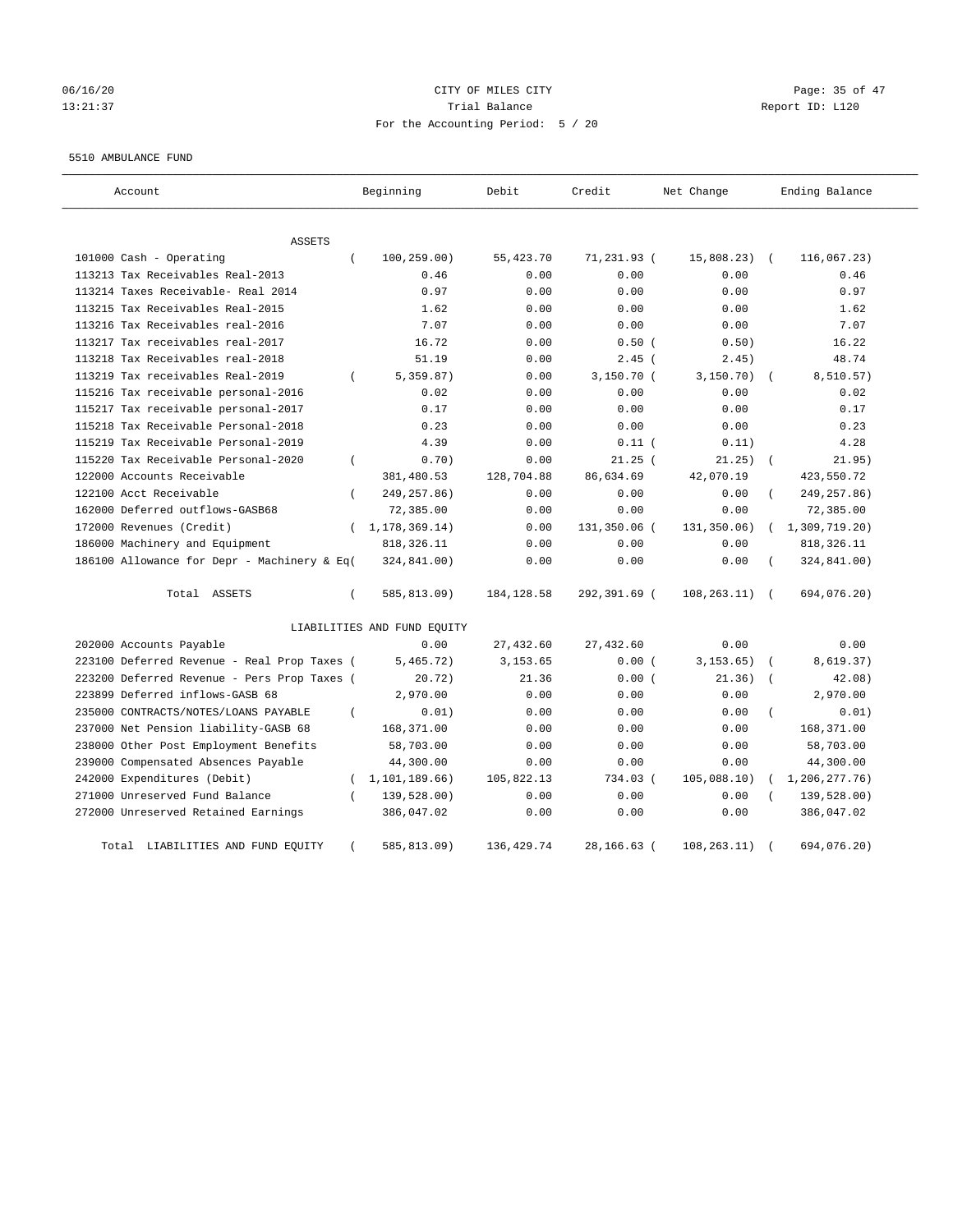# 06/16/20 Page: 35 of 47 13:21:37 Trial Balance Report ID: L120 For the Accounting Period: 5 / 20

#### 5510 AMBULANCE FUND

| Account                                     | Beginning                   | Debit       | Credit       | Net Change   | Ending Balance |
|---------------------------------------------|-----------------------------|-------------|--------------|--------------|----------------|
| ASSETS                                      |                             |             |              |              |                |
| 101000 Cash - Operating                     | $\left($<br>100, 259.00)    | 55, 423.70  | 71,231.93 (  | 15,808.23)   | 116,067.23)    |
| 113213 Tax Receivables Real-2013            | 0.46                        | 0.00        | 0.00         | 0.00         | 0.46           |
| 113214 Taxes Receivable- Real 2014          | 0.97                        | 0.00        | 0.00         | 0.00         | 0.97           |
| 113215 Tax Receivables Real-2015            | 1.62                        | 0.00        | 0.00         | 0.00         | 1.62           |
| 113216 Tax Receivables real-2016            | 7.07                        | 0.00        | 0.00         | 0.00         | 7.07           |
| 113217 Tax receivables real-2017            | 16.72                       | 0.00        | 0.50(        | 0.50)        | 16.22          |
| 113218 Tax Receivables real-2018            | 51.19                       | 0.00        | $2.45$ (     | 2.45)        | 48.74          |
| 113219 Tax receivables Real-2019            | 5,359.87)<br>$\left($       | 0.00        | 3,150.70(    | 3, 150.70)   | 8,510.57)      |
| 115216 Tax receivable personal-2016         | 0.02                        | 0.00        | 0.00         | 0.00         | 0.02           |
| 115217 Tax receivable personal-2017         | 0.17                        | 0.00        | 0.00         | 0.00         | 0.17           |
| 115218 Tax Receivable Personal-2018         | 0.23                        | 0.00        | 0.00         | 0.00         | 0.23           |
| 115219 Tax Receivable Personal-2019         | 4.39                        | 0.00        | $0.11$ (     | 0.11)        | 4.28           |
| 115220 Tax Receivable Personal-2020         | 0.70)<br>$\overline{(\ }$   | 0.00        | $21.25$ (    | 21.25)       | 21.95)         |
| 122000 Accounts Receivable                  | 381,480.53                  | 128,704.88  | 86,634.69    | 42,070.19    | 423,550.72     |
| 122100 Acct Receivable                      | 249, 257.86)<br>$\left($    | 0.00        | 0.00         | 0.00         | 249, 257.86)   |
| 162000 Deferred outflows-GASB68             | 72,385.00                   | 0.00        | 0.00         | 0.00         | 72,385.00      |
| 172000 Revenues (Credit)                    | (1, 178, 369.14)            | 0.00        | 131,350.06 ( | 131,350.06)  | 1,309,719.20)  |
| 186000 Machinery and Equipment              | 818, 326.11                 | 0.00        | 0.00         | 0.00         | 818, 326.11    |
| 186100 Allowance for Depr - Machinery & Eq( | 324,841.00)                 | 0.00        | 0.00         | 0.00         | 324,841.00)    |
| Total ASSETS                                | 585,813.09)<br>$\left($     | 184, 128.58 | 292,391.69 ( | 108, 263.11) | 694,076.20)    |
|                                             | LIABILITIES AND FUND EQUITY |             |              |              |                |
| 202000 Accounts Payable                     | 0.00                        | 27,432.60   | 27,432.60    | 0.00         | 0.00           |
| 223100 Deferred Revenue - Real Prop Taxes ( | 5,465.72)                   | 3,153.65    | 0.00(        | 3, 153.65)   | 8,619.37)      |
| 223200 Deferred Revenue - Pers Prop Taxes ( | 20.72)                      | 21.36       | 0.00(        | 21.36)       | 42.08)         |
| 223899 Deferred inflows-GASB 68             | 2,970.00                    | 0.00        | 0.00         | 0.00         | 2,970.00       |
| 235000 CONTRACTS/NOTES/LOANS PAYABLE        | 0.01)<br>$\left($           | 0.00        | 0.00         | 0.00         | 0.01)          |
| 237000 Net Pension liability-GASB 68        | 168,371.00                  | 0.00        | 0.00         | 0.00         | 168,371.00     |
| 238000 Other Post Employment Benefits       | 58,703.00                   | 0.00        | 0.00         | 0.00         | 58,703.00      |
| 239000 Compensated Absences Payable         | 44,300.00                   | 0.00        | 0.00         | 0.00         | 44,300.00      |
| 242000 Expenditures (Debit)                 | 1,101,189.66)<br>$\left($   | 105,822.13  | 734.03 (     | 105,088.10)  | 1,206,277.76)  |
| 271000 Unreserved Fund Balance              | 139,528.00)                 | 0.00        | 0.00         | 0.00         | 139,528.00)    |
| 272000 Unreserved Retained Earnings         | 386,047.02                  | 0.00        | 0.00         | 0.00         | 386,047.02     |
| LIABILITIES AND FUND EQUITY<br>Total        | 585,813.09)                 | 136, 429.74 | 28,166.63 (  | 108, 263.11) | 694,076.20)    |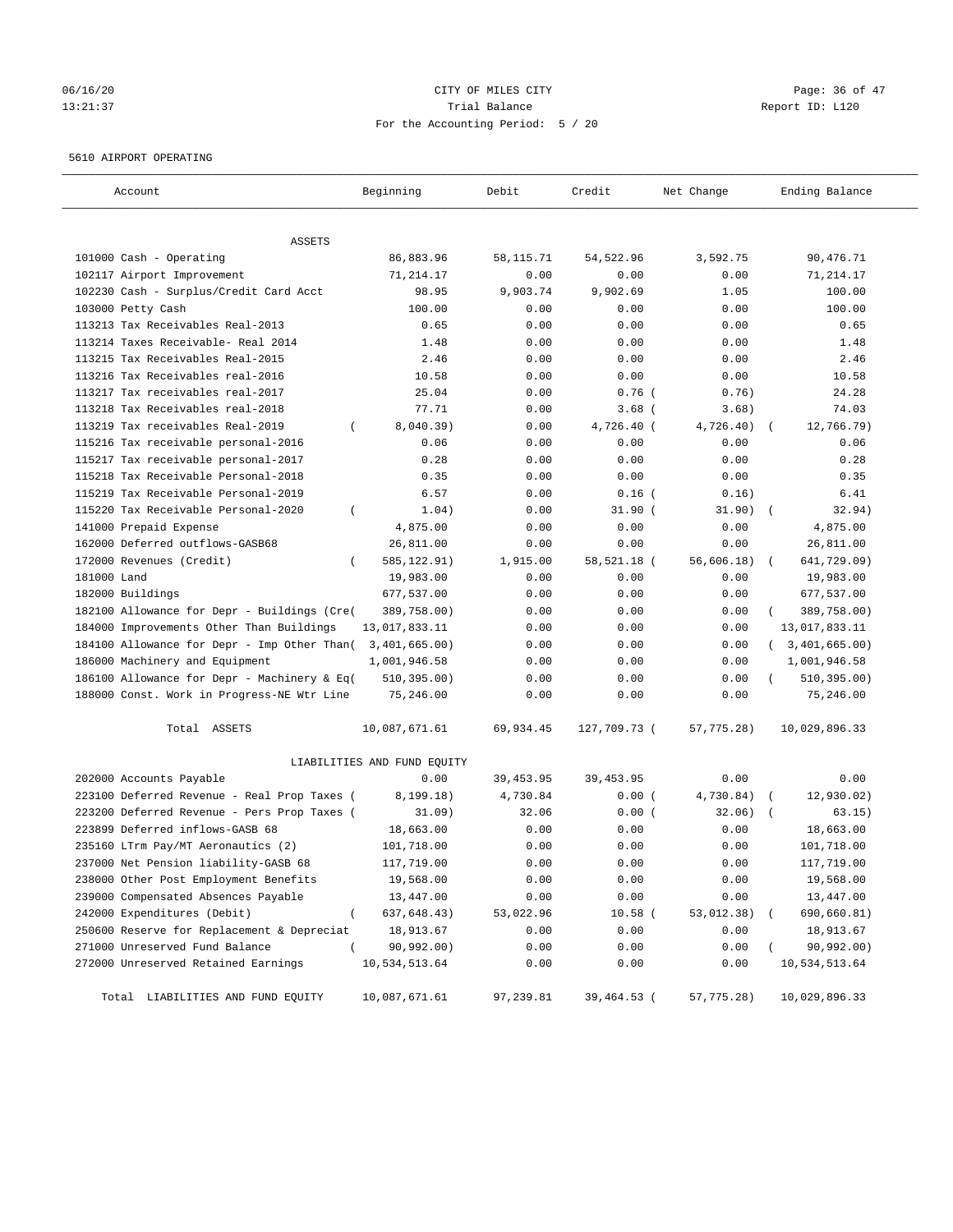## 06/16/20 Page: 36 of 47 13:21:37 Trial Balance Report ID: L120 For the Accounting Period: 5 / 20

### 5610 AIRPORT OPERATING

| Account                                             | Beginning                   | Debit      | Credit       | Net Change | Ending Balance            |
|-----------------------------------------------------|-----------------------------|------------|--------------|------------|---------------------------|
| ASSETS                                              |                             |            |              |            |                           |
| 101000 Cash - Operating                             | 86,883.96                   | 58, 115.71 | 54,522.96    | 3,592.75   | 90,476.71                 |
| 102117 Airport Improvement                          | 71, 214.17                  | 0.00       | 0.00         | 0.00       | 71,214.17                 |
| 102230 Cash - Surplus/Credit Card Acct              | 98.95                       | 9,903.74   | 9,902.69     | 1.05       | 100.00                    |
| 103000 Petty Cash                                   | 100.00                      | 0.00       | 0.00         | 0.00       | 100.00                    |
| 113213 Tax Receivables Real-2013                    | 0.65                        | 0.00       | 0.00         | 0.00       | 0.65                      |
| 113214 Taxes Receivable- Real 2014                  | 1.48                        | 0.00       | 0.00         | 0.00       | 1.48                      |
| 113215 Tax Receivables Real-2015                    | 2.46                        | 0.00       | 0.00         | 0.00       | 2.46                      |
| 113216 Tax Receivables real-2016                    | 10.58                       | 0.00       | 0.00         | 0.00       | 10.58                     |
| 113217 Tax receivables real-2017                    | 25.04                       | 0.00       | $0.76$ (     | 0.76)      | 24.28                     |
| 113218 Tax Receivables real-2018                    | 77.71                       | 0.00       | $3.68$ (     | 3.68)      | 74.03                     |
| 113219 Tax receivables Real-2019<br>$\left($        | 8,040.39)                   | 0.00       | 4,726.40 (   | 4,726.40)  | 12,766.79)                |
| 115216 Tax receivable personal-2016                 | 0.06                        | 0.00       | 0.00         | 0.00       | 0.06                      |
| 115217 Tax receivable personal-2017                 | 0.28                        | 0.00       | 0.00         | 0.00       | 0.28                      |
| 115218 Tax Receivable Personal-2018                 | 0.35                        | 0.00       | 0.00         | 0.00       | 0.35                      |
| 115219 Tax Receivable Personal-2019                 | 6.57                        | 0.00       | $0.16$ (     | 0.16)      | 6.41                      |
| 115220 Tax Receivable Personal-2020<br>$\left($     | 1.04)                       | 0.00       | $31.90$ (    | 31.90)     | 32.94)                    |
| 141000 Prepaid Expense                              | 4,875.00                    | 0.00       | 0.00         | 0.00       | 4,875.00                  |
| 162000 Deferred outflows-GASB68                     | 26,811.00                   | 0.00       | 0.00         | 0.00       | 26,811.00                 |
| 172000 Revenues (Credit)                            | 585, 122.91)                | 1,915.00   | 58,521.18 (  | 56,606.18) | 641,729.09)               |
| 181000 Land                                         | 19,983.00                   | 0.00       | 0.00         | 0.00       | 19,983.00                 |
| 182000 Buildings                                    | 677,537.00                  | 0.00       | 0.00         | 0.00       | 677,537.00                |
| 182100 Allowance for Depr - Buildings (Cre(         | 389,758.00)                 | 0.00       | 0.00         | 0.00       | 389,758.00)               |
| 184000 Improvements Other Than Buildings            | 13,017,833.11               | 0.00       | 0.00         | 0.00       | 13,017,833.11             |
| 184100 Allowance for Depr - Imp Other Than(         | 3,401,665.00)               | 0.00       | 0.00         | 0.00       | 3,401,665.00)<br>$\left($ |
| 186000 Machinery and Equipment                      | 1,001,946.58                | 0.00       | 0.00         | 0.00       | 1,001,946.58              |
| 186100 Allowance for Depr - Machinery & Eq(         | 510, 395.00)                | 0.00       | 0.00         | 0.00       | 510, 395.00)              |
| 188000 Const. Work in Progress-NE Wtr Line          | 75,246.00                   | 0.00       | 0.00         | 0.00       | 75,246.00                 |
| Total ASSETS                                        | 10,087,671.61               | 69,934.45  | 127,709.73 ( | 57,775.28) | 10,029,896.33             |
|                                                     | LIABILITIES AND FUND EQUITY |            |              |            |                           |
| 202000 Accounts Payable                             | 0.00                        | 39, 453.95 | 39, 453.95   | 0.00       | 0.00                      |
| 223100 Deferred Revenue - Real Prop Taxes (         | 8, 199.18)                  | 4,730.84   | 0.00(        | 4,730.84)  | 12,930.02)                |
| 223200 Deferred Revenue - Pers Prop Taxes (         | 31.09)                      | 32.06      | 0.00(        | 32.06)     | 63.15)                    |
| 223899 Deferred inflows-GASB 68                     | 18,663.00                   | 0.00       | 0.00         | 0.00       | 18,663.00                 |
| 235160 LTrm Pay/MT Aeronautics (2)                  | 101,718.00                  | 0.00       | 0.00         | 0.00       | 101,718.00                |
| 237000 Net Pension liability-GASB 68                | 117,719.00                  | 0.00       | 0.00         | 0.00       | 117,719.00                |
| 238000 Other Post Employment Benefits               | 19,568.00                   | 0.00       | 0.00         | 0.00       | 19,568.00                 |
| 239000 Compensated Absences Payable                 | 13,447.00                   | 0.00       | 0.00         | 0.00       | 13,447.00                 |
| 242000 Expenditures (Debit)<br>$\overline{(\cdot)}$ | 637,648.43)                 | 53,022.96  | $10.58$ (    | 53,012.38) | 690,660.81)               |
| 250600 Reserve for Replacement & Depreciat          | 18,913.67                   | 0.00       | 0.00         | 0.00       | 18,913.67                 |
| 271000 Unreserved Fund Balance<br>$\left($          | 90,992.00)                  | 0.00       | 0.00         | 0.00       | 90,992.00)                |
| 272000 Unreserved Retained Earnings                 | 10,534,513.64               | 0.00       | 0.00         | 0.00       | 10,534,513.64             |
| Total LIABILITIES AND FUND EQUITY                   | 10,087,671.61               | 97,239.81  | 39,464.53 (  | 57,775.28) | 10,029,896.33             |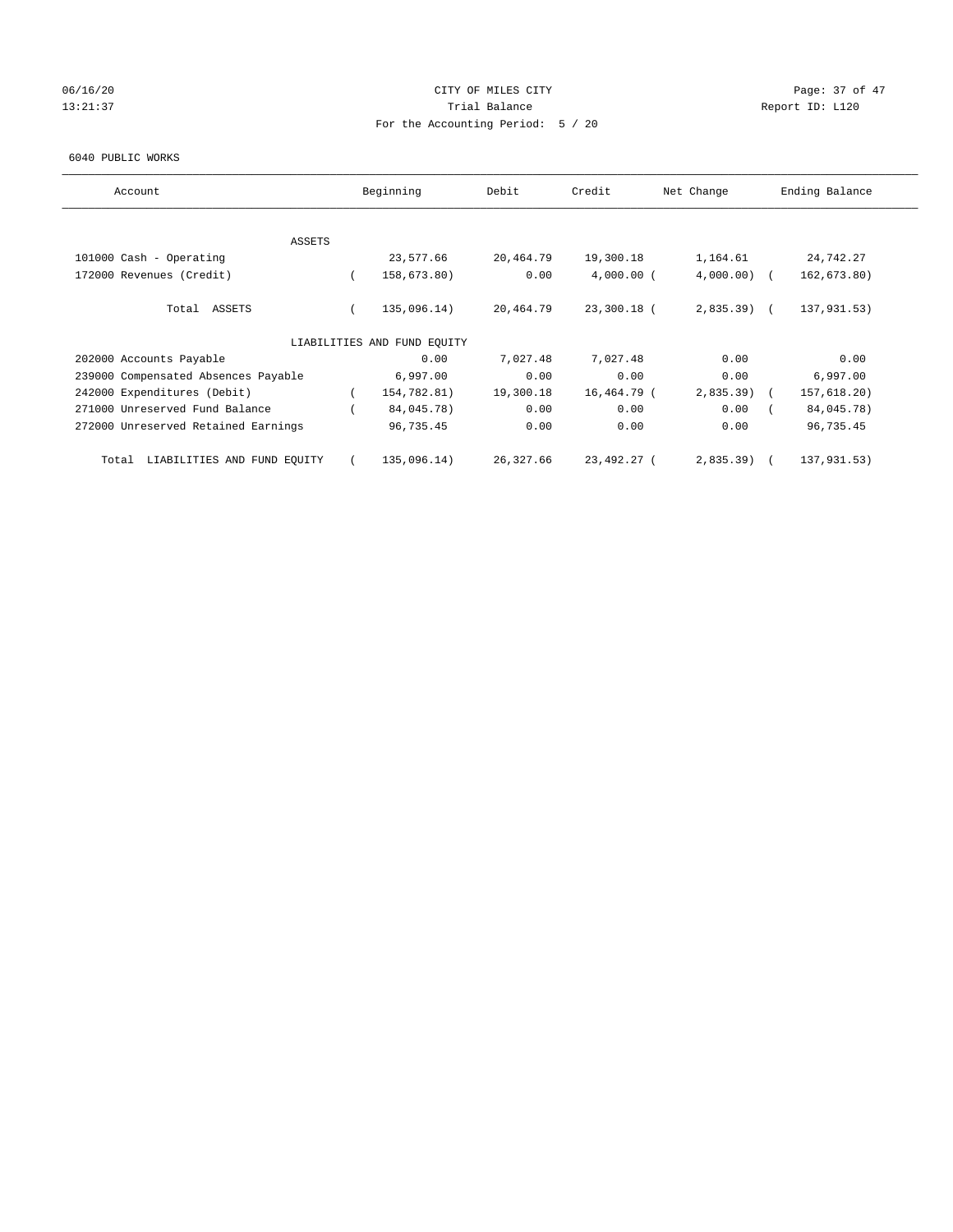## 06/16/20 Page: 37 of 47 13:21:37 Trial Balance Trial Balance Report ID: L120 For the Accounting Period: 5 / 20

#### 6040 PUBLIC WORKS

| Account                              |          | Beginning                   | Debit     | Credit       | Net Change    | Ending Balance |
|--------------------------------------|----------|-----------------------------|-----------|--------------|---------------|----------------|
|                                      |          |                             |           |              |               |                |
| ASSETS<br>101000 Cash - Operating    |          | 23,577.66                   | 20,464.79 | 19,300.18    | 1,164.61      | 24,742.27      |
|                                      |          |                             |           |              |               |                |
| 172000 Revenues (Credit)             | $\left($ | 158,673.80)                 | 0.00      | $4,000.00$ ( | $4,000.00)$ ( | 162,673.80)    |
| Total ASSETS                         |          | 135,096.14)                 | 20,464.79 | 23,300.18 (  | $2,835.39$ (  | 137,931.53)    |
|                                      |          | LIABILITIES AND FUND EQUITY |           |              |               |                |
| 202000 Accounts Payable              |          | 0.00                        | 7,027.48  | 7,027.48     | 0.00          | 0.00           |
| 239000 Compensated Absences Payable  |          | 6,997.00                    | 0.00      | 0.00         | 0.00          | 6,997.00       |
| 242000 Expenditures (Debit)          |          | 154,782.81)                 | 19,300.18 | 16,464.79 (  | $2,835.39$ )  | 157,618.20)    |
| 271000 Unreserved Fund Balance       |          | 84,045.78)                  | 0.00      | 0.00         | 0.00          | 84,045.78)     |
| 272000 Unreserved Retained Earnings  |          | 96,735.45                   | 0.00      | 0.00         | 0.00          | 96,735.45      |
| LIABILITIES AND FUND EQUITY<br>Total |          | 135,096.14)                 | 26,327.66 | 23,492.27 (  | 2,835.39      | 137,931.53)    |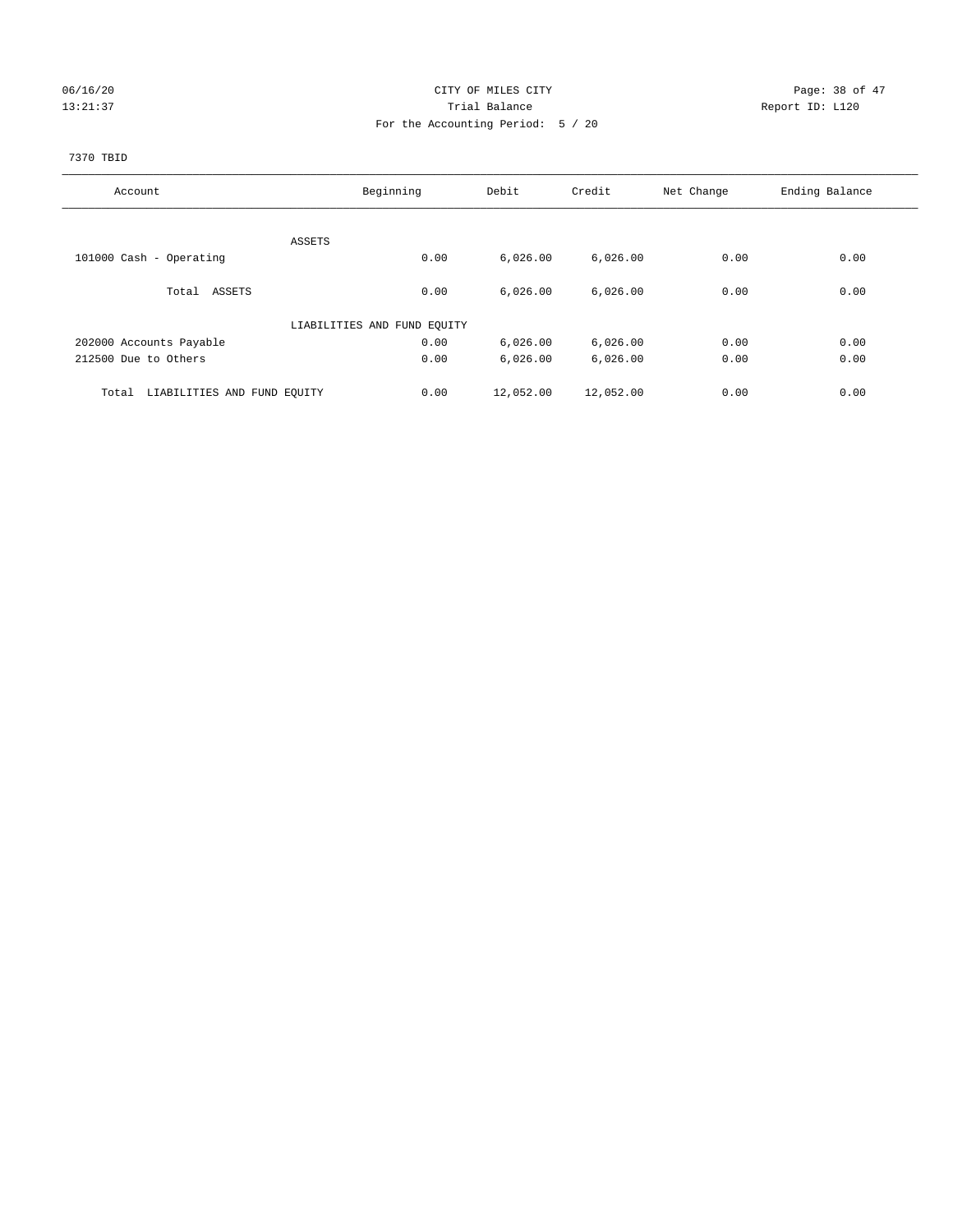## 06/16/20 Page: 38 of 47 13:21:37 Trial Balance Report ID: L120 For the Accounting Period: 5 / 20

### 7370 TBID

| Account                              | Beginning                   | Debit     | Credit    | Net Change | Ending Balance |
|--------------------------------------|-----------------------------|-----------|-----------|------------|----------------|
|                                      |                             |           |           |            |                |
|                                      | ASSETS                      |           |           |            |                |
| 101000 Cash - Operating              | 0.00                        | 6,026.00  | 6,026.00  | 0.00       | 0.00           |
|                                      |                             |           |           |            |                |
| Total ASSETS                         | 0.00                        | 6,026.00  | 6,026.00  | 0.00       | 0.00           |
|                                      | LIABILITIES AND FUND EQUITY |           |           |            |                |
|                                      |                             |           |           |            |                |
| 202000 Accounts Payable              | 0.00                        | 6,026.00  | 6,026.00  | 0.00       | 0.00           |
| 212500 Due to Others                 | 0.00                        | 6,026.00  | 6,026.00  | 0.00       | 0.00           |
| LIABILITIES AND FUND EQUITY<br>Total | 0.00                        | 12,052.00 | 12,052.00 | 0.00       | 0.00           |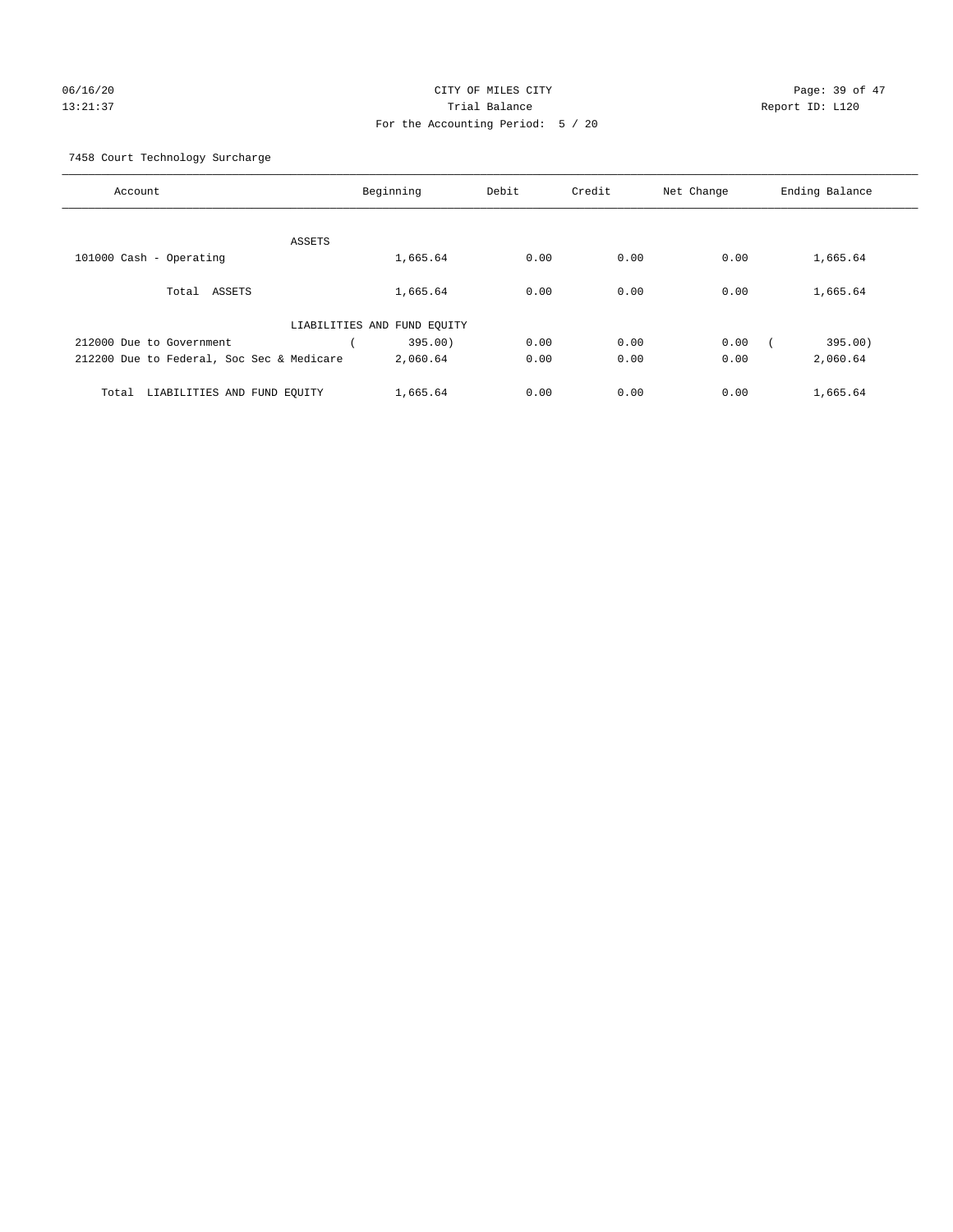# 06/16/20 Page: 39 of 47 13:21:37 Trial Balance Report ID: L120 For the Accounting Period: 5 / 20

7458 Court Technology Surcharge

| Account                                   |                             | Beginning | Debit | Credit | Net Change | Ending Balance |
|-------------------------------------------|-----------------------------|-----------|-------|--------|------------|----------------|
|                                           |                             |           |       |        |            |                |
|                                           | ASSETS                      |           |       |        |            |                |
| 101000 Cash - Operating                   |                             | 1,665.64  | 0.00  | 0.00   | 0.00       | 1,665.64       |
| ASSETS<br>Total                           |                             | 1,665.64  | 0.00  | 0.00   | 0.00       | 1,665.64       |
|                                           | LIABILITIES AND FUND EQUITY |           |       |        |            |                |
| 212000 Due to Government                  |                             | 395.00)   | 0.00  | 0.00   | 0.00       | 395.00)        |
| 212200 Due to Federal, Soc Sec & Medicare |                             | 2,060.64  | 0.00  | 0.00   | 0.00       | 2,060.64       |
| LIABILITIES AND FUND EQUITY<br>Total      |                             | 1,665.64  | 0.00  | 0.00   | 0.00       | 1,665.64       |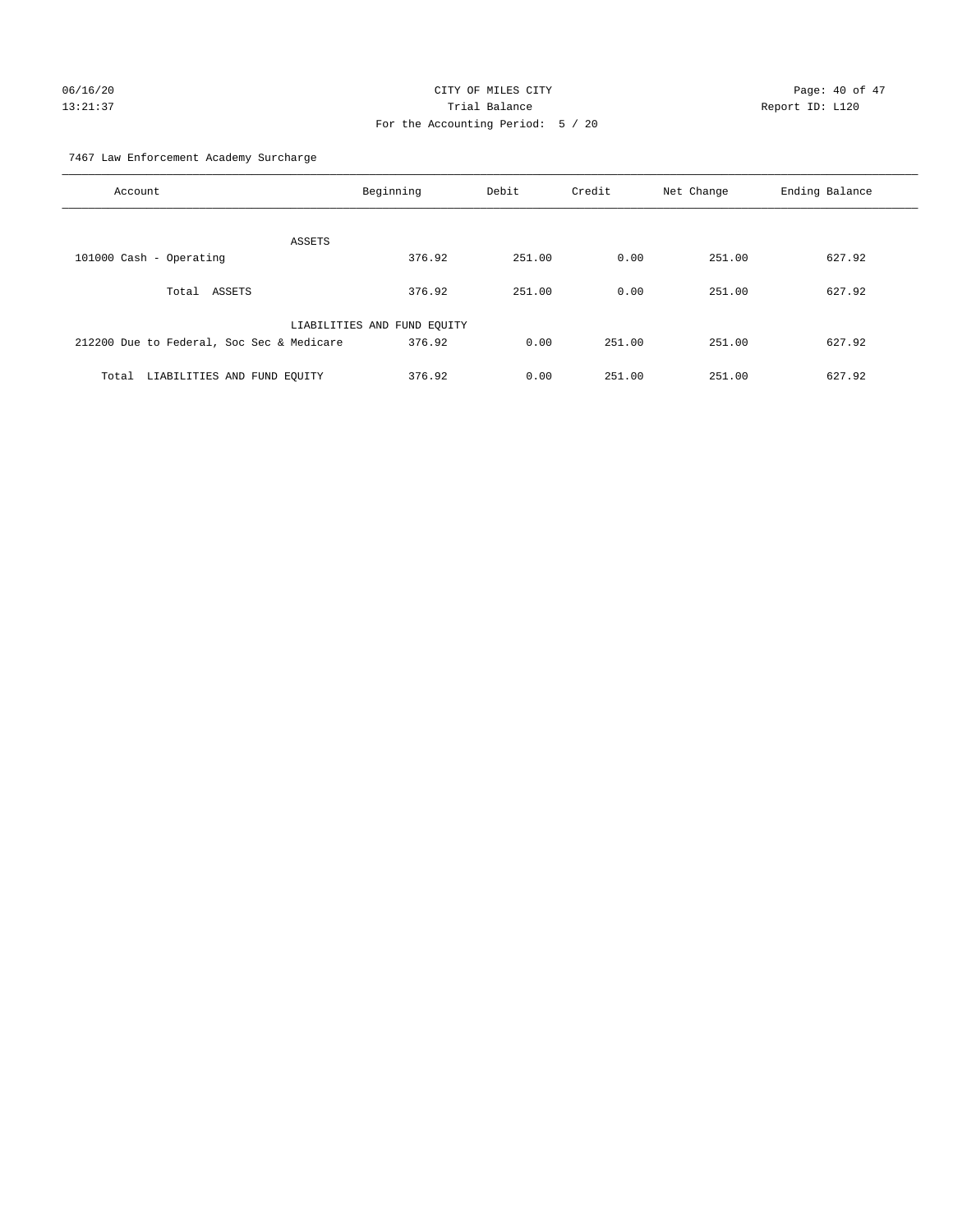# 06/16/20 Page: 40 of 47 13:21:37 Trial Balance Report ID: L120 For the Accounting Period: 5 / 20

7467 Law Enforcement Academy Surcharge

| Account                                   | Beginning                   | Debit  | Credit | Net Change | Ending Balance |
|-------------------------------------------|-----------------------------|--------|--------|------------|----------------|
| <b>ASSETS</b>                             |                             |        |        |            |                |
| 101000 Cash - Operating                   | 376.92                      | 251.00 | 0.00   | 251.00     | 627.92         |
| ASSETS<br>Total                           | 376.92                      | 251.00 | 0.00   | 251.00     | 627.92         |
|                                           | LIABILITIES AND FUND EQUITY |        |        |            |                |
| 212200 Due to Federal, Soc Sec & Medicare | 376.92                      | 0.00   | 251.00 | 251.00     | 627.92         |
| LIABILITIES AND FUND EQUITY<br>Total      | 376.92                      | 0.00   | 251.00 | 251.00     | 627.92         |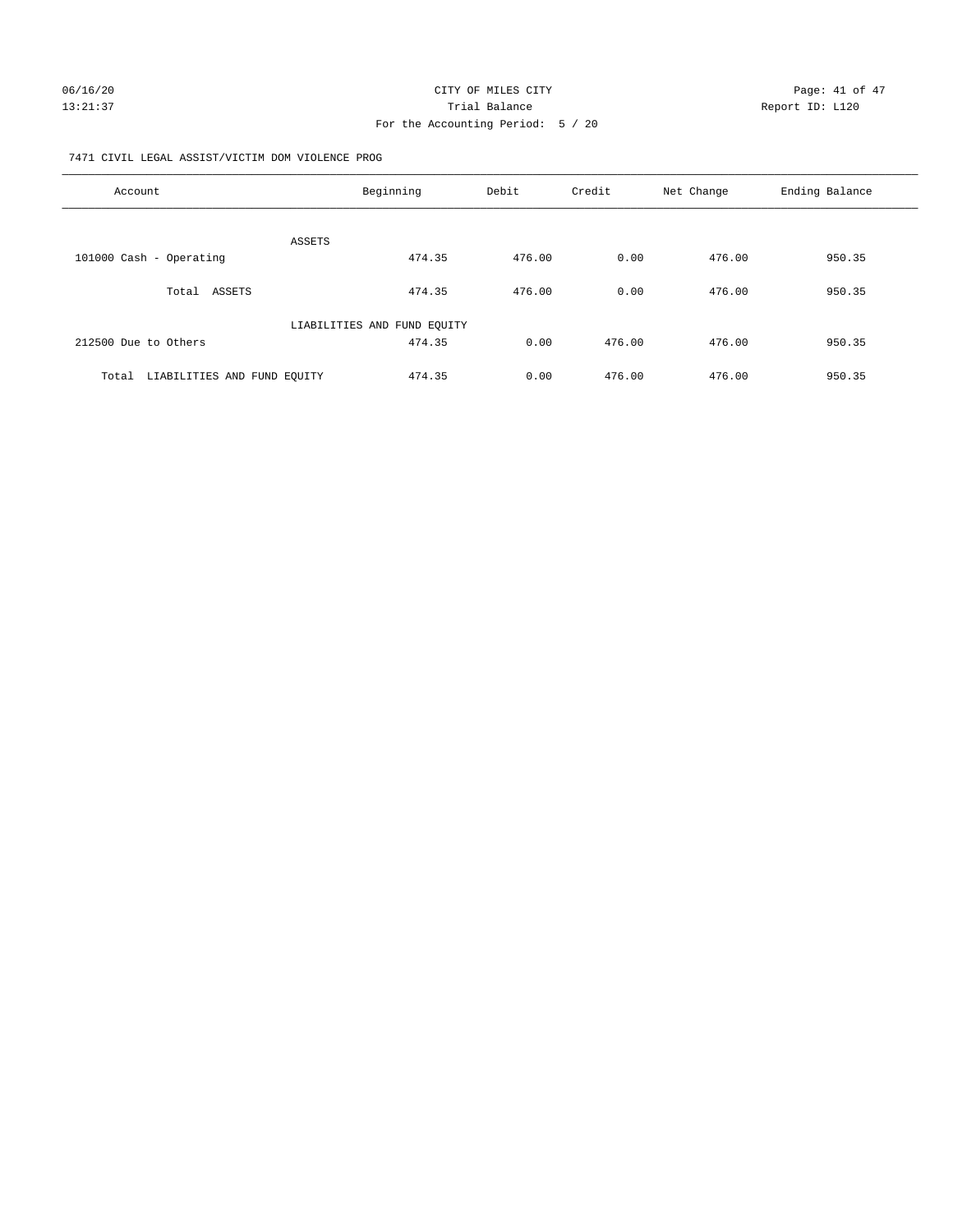7471 CIVIL LEGAL ASSIST/VICTIM DOM VIOLENCE PROG

| Account                              | Beginning                   | Debit  | Credit | Net Change | Ending Balance |
|--------------------------------------|-----------------------------|--------|--------|------------|----------------|
| ASSETS                               |                             |        |        |            |                |
| 101000 Cash - Operating              | 474.35                      | 476.00 | 0.00   | 476.00     | 950.35         |
| Total ASSETS                         | 474.35                      | 476.00 | 0.00   | 476.00     | 950.35         |
|                                      | LIABILITIES AND FUND EQUITY |        |        |            |                |
| 212500 Due to Others                 | 474.35                      | 0.00   | 476.00 | 476.00     | 950.35         |
| LIABILITIES AND FUND EOUITY<br>Total | 474.35                      | 0.00   | 476.00 | 476.00     | 950.35         |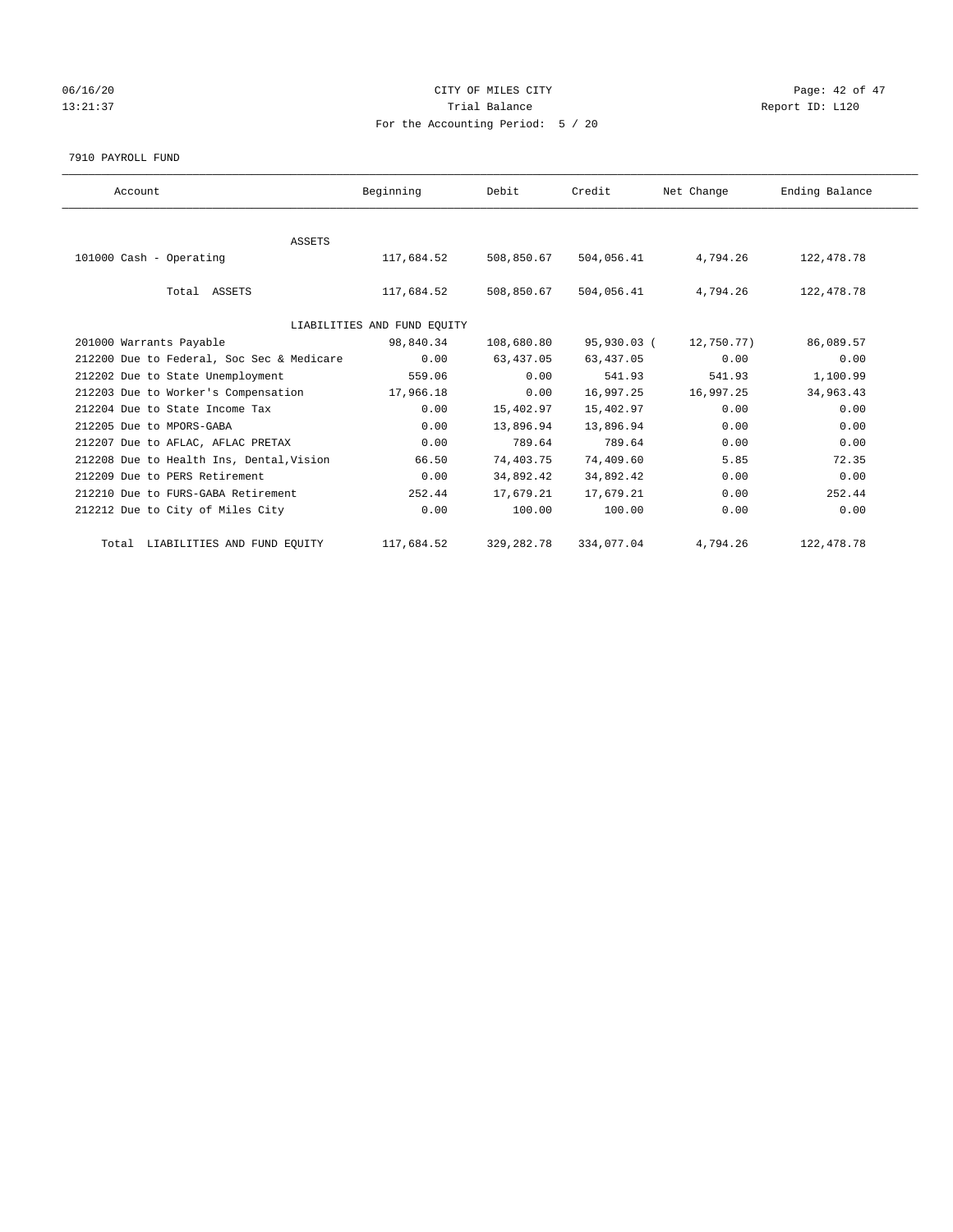## 06/16/20 Page: 42 of 47 13:21:37 Trial Balance Trial Balance Report ID: L120 For the Accounting Period: 5 / 20

#### 7910 PAYROLL FUND

| Account                                   | Beginning                   | Debit       | Credit      | Net Change | Ending Balance |  |
|-------------------------------------------|-----------------------------|-------------|-------------|------------|----------------|--|
|                                           |                             |             |             |            |                |  |
| ASSETS                                    |                             |             |             |            |                |  |
| 101000 Cash - Operating                   | 117,684.52                  | 508,850.67  | 504,056.41  | 4,794.26   | 122,478.78     |  |
| Total ASSETS                              | 117,684.52                  | 508,850.67  | 504,056.41  | 4,794.26   | 122,478.78     |  |
|                                           | LIABILITIES AND FUND EQUITY |             |             |            |                |  |
| 201000 Warrants Payable                   | 98,840.34                   | 108,680.80  | 95,930.03 ( | 12,750.77) | 86,089.57      |  |
| 212200 Due to Federal, Soc Sec & Medicare | 0.00                        | 63,437.05   | 63,437.05   | 0.00       | 0.00           |  |
| 212202 Due to State Unemployment          | 559.06                      | 0.00        | 541.93      | 541.93     | 1,100.99       |  |
| 212203 Due to Worker's Compensation       | 17,966.18                   | 0.00        | 16,997.25   | 16,997.25  | 34,963.43      |  |
| 212204 Due to State Income Tax            | 0.00                        | 15,402.97   | 15,402.97   | 0.00       | 0.00           |  |
| 212205 Due to MPORS-GABA                  | 0.00                        | 13,896.94   | 13,896.94   | 0.00       | 0.00           |  |
| 212207 Due to AFLAC, AFLAC PRETAX         | 0.00                        | 789.64      | 789.64      | 0.00       | 0.00           |  |
| 212208 Due to Health Ins, Dental, Vision  | 66.50                       | 74,403.75   | 74,409.60   | 5.85       | 72.35          |  |
| 212209 Due to PERS Retirement             | 0.00                        | 34,892.42   | 34,892.42   | 0.00       | 0.00           |  |
| 212210 Due to FURS-GABA Retirement        | 252.44                      | 17,679.21   | 17,679.21   | 0.00       | 252.44         |  |
| 212212 Due to City of Miles City          | 0.00                        | 100.00      | 100.00      | 0.00       | 0.00           |  |
| Total LIABILITIES AND FUND EQUITY         | 117,684.52                  | 329, 282.78 | 334,077.04  | 4,794.26   | 122, 478.78    |  |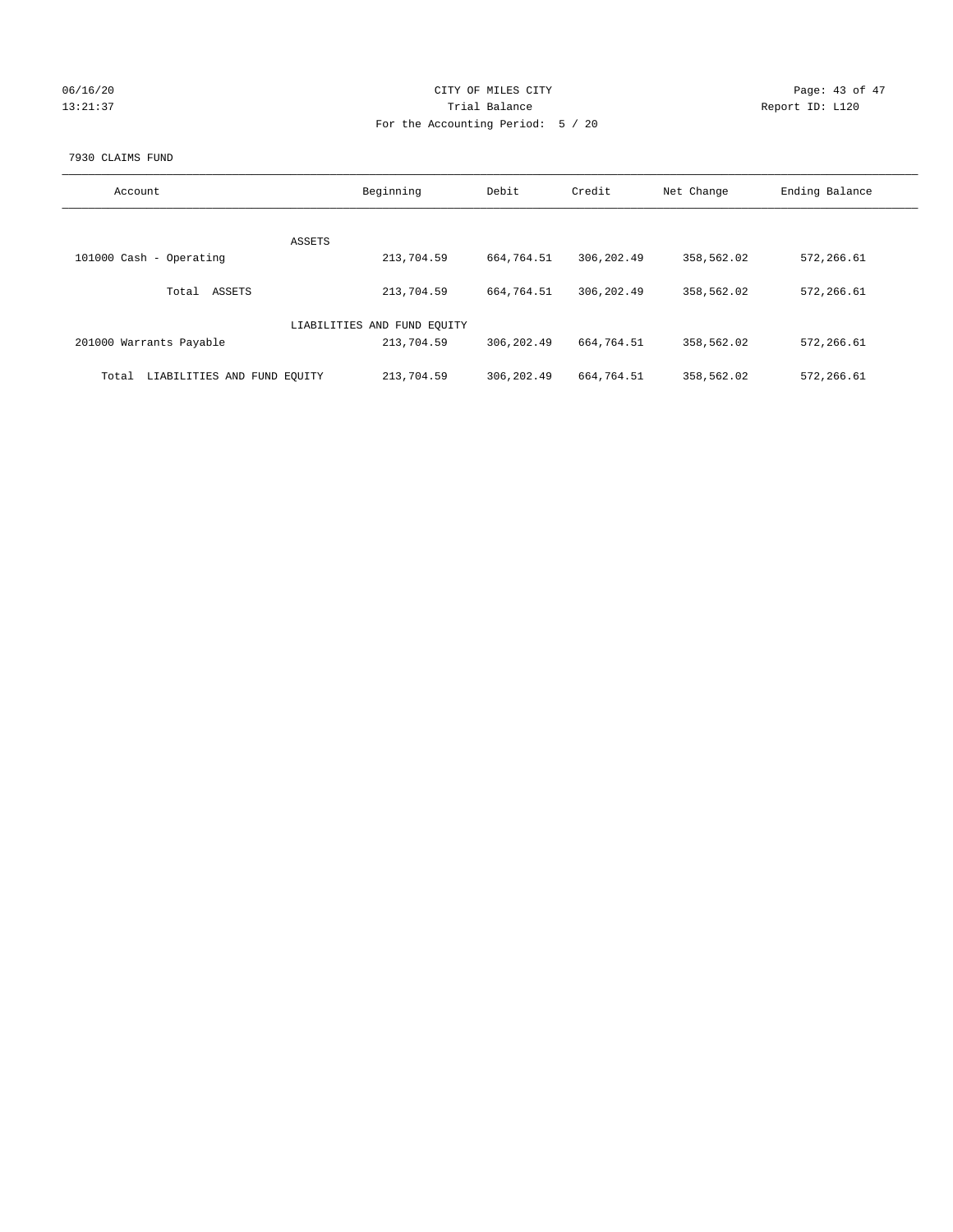| 06/16/20 |  |
|----------|--|
| 13:21:37 |  |

## CITY OF MILES CITY CONTROL CONTROL CITY CONTROL Page: 43 of 47 Partial Balance and Communications of the Report ID: L120 For the Accounting Period: 5 / 20

### 7930 CLAIMS FUND

| Account                              | Beginning                   | Debit       | Credit      | Net Change | Ending Balance |
|--------------------------------------|-----------------------------|-------------|-------------|------------|----------------|
| ASSETS                               |                             |             |             |            |                |
| 101000 Cash - Operating              | 213,704.59                  | 664,764.51  | 306,202.49  | 358,562.02 | 572,266.61     |
| ASSETS<br>Total                      | 213,704.59                  | 664,764.51  | 306, 202.49 | 358,562.02 | 572,266.61     |
|                                      | LIABILITIES AND FUND EQUITY |             |             |            |                |
| 201000 Warrants Payable              | 213,704.59                  | 306,202.49  | 664,764.51  | 358,562.02 | 572,266.61     |
| LIABILITIES AND FUND EQUITY<br>Total | 213,704.59                  | 306, 202.49 | 664,764.51  | 358,562.02 | 572,266.61     |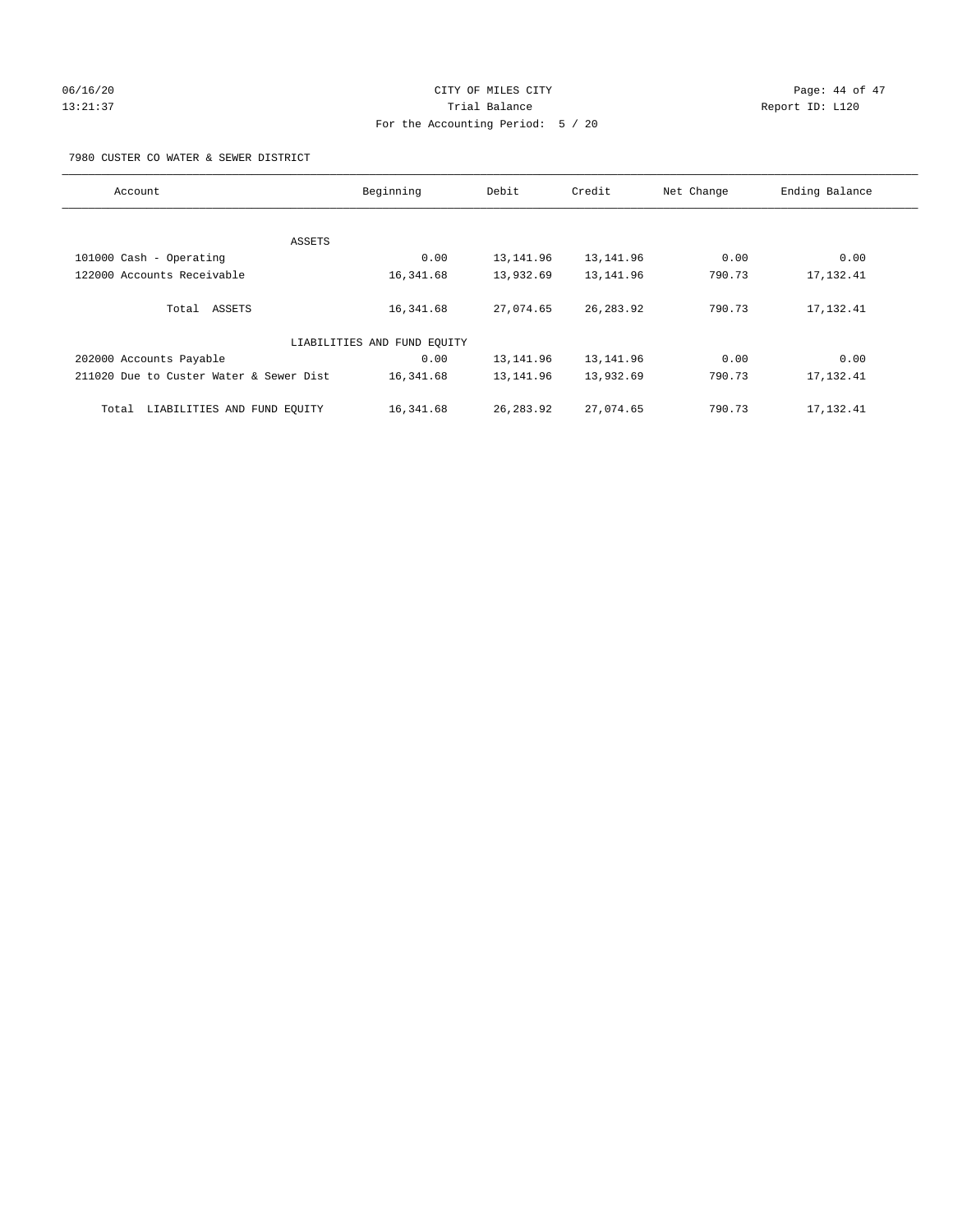## 06/16/20 Page: 44 of 47 13:21:37 Trial Balance Report ID: L120 For the Accounting Period: 5 / 20

7980 CUSTER CO WATER & SEWER DISTRICT

| Account                                 | Beginning                   | Debit      | Credit     | Net Change | Ending Balance |
|-----------------------------------------|-----------------------------|------------|------------|------------|----------------|
|                                         |                             |            |            |            |                |
| ASSETS                                  |                             |            |            |            |                |
| 101000 Cash - Operating                 | 0.00                        | 13, 141.96 | 13, 141.96 | 0.00       | 0.00           |
| 122000 Accounts Receivable              | 16,341.68                   | 13,932.69  | 13,141.96  | 790.73     | 17, 132.41     |
| Total ASSETS                            | 16,341.68                   | 27,074.65  | 26, 283.92 | 790.73     | 17, 132.41     |
|                                         | LIABILITIES AND FUND EQUITY |            |            |            |                |
| 202000 Accounts Payable                 | 0.00                        | 13,141.96  | 13, 141.96 | 0.00       | 0.00           |
| 211020 Due to Custer Water & Sewer Dist | 16,341.68                   | 13, 141.96 | 13,932.69  | 790.73     | 17, 132.41     |
| LIABILITIES AND FUND EQUITY<br>Total    | 16,341.68                   | 26, 283.92 | 27,074.65  | 790.73     | 17, 132.41     |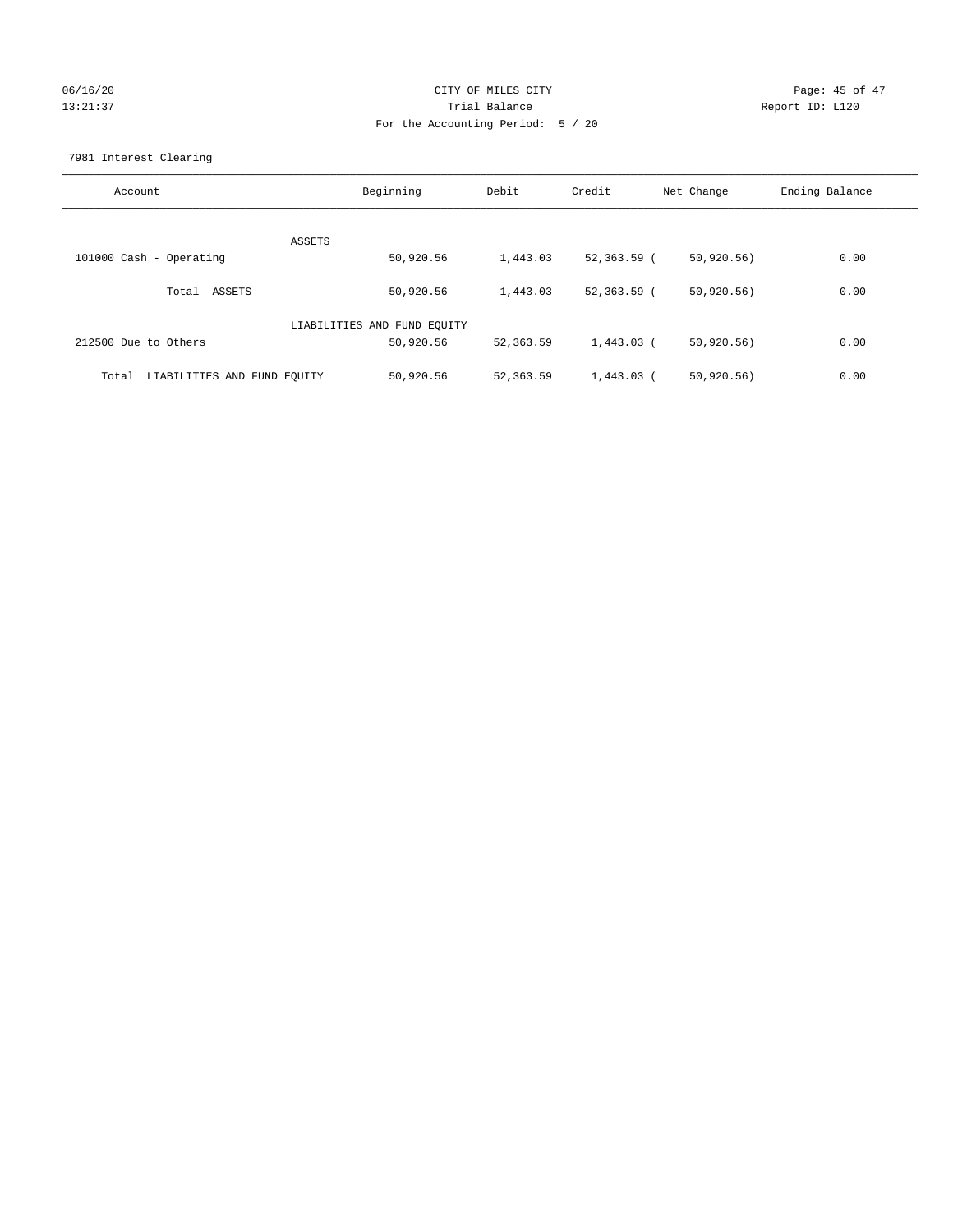## 06/16/20 Page: 45 of 47 13:21:37 Trial Balance Report ID: L120 For the Accounting Period: 5 / 20

7981 Interest Clearing

| Account                              | Beginning                   | Debit      | Credit       | Net Change  | Ending Balance |
|--------------------------------------|-----------------------------|------------|--------------|-------------|----------------|
|                                      | <b>ASSETS</b>               |            |              |             |                |
| 101000 Cash - Operating              | 50,920.56                   | 1,443.03   | 52,363.59 (  | 50, 920.56) | 0.00           |
| Total ASSETS                         | 50,920.56                   | 1,443.03   | 52,363.59 (  | 50, 920.56) | 0.00           |
|                                      | LIABILITIES AND FUND EQUITY |            |              |             |                |
| 212500 Due to Others                 | 50,920.56                   | 52,363.59  | 1,443.03 (   | 50, 920.56) | 0.00           |
| LIABILITIES AND FUND EQUITY<br>Total | 50,920.56                   | 52, 363.59 | $1.443.03$ ( | 50, 920.56) | 0.00           |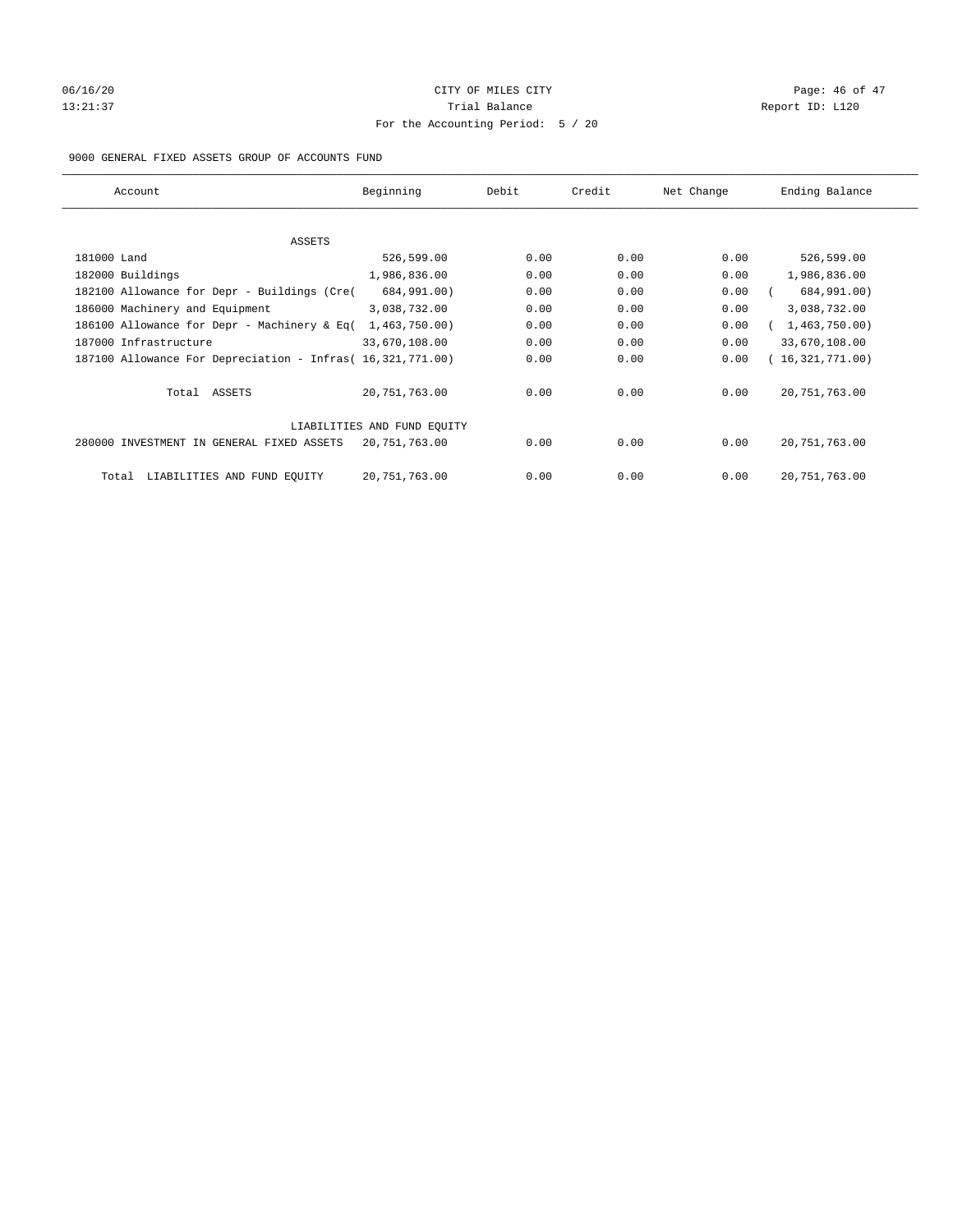# 06/16/20 Page: 46 of 47 13:21:37 Trial Balance Report ID: L120 For the Accounting Period: 5 / 20

### 9000 GENERAL FIXED ASSETS GROUP OF ACCOUNTS FUND

| Account                                                    | Beginning                   | Debit | Credit | Net Change | Ending Balance  |
|------------------------------------------------------------|-----------------------------|-------|--------|------------|-----------------|
| ASSETS                                                     |                             |       |        |            |                 |
| 181000 Land                                                | 526,599.00                  | 0.00  | 0.00   | 0.00       | 526,599.00      |
| 182000 Buildings                                           | 1,986,836.00                | 0.00  | 0.00   | 0.00       | 1,986,836.00    |
| 182100 Allowance for Depr - Buildings (Cre(                | 684,991.00)                 | 0.00  | 0.00   | 0.00       | 684,991.00)     |
| 186000 Machinery and Equipment                             | 3,038,732.00                | 0.00  | 0.00   | 0.00       | 3,038,732.00    |
| 186100 Allowance for Depr - Machinery & Eq(                | 1,463,750.00)               | 0.00  | 0.00   | 0.00       | 1,463,750.00    |
| 187000 Infrastructure                                      | 33,670,108.00               | 0.00  | 0.00   | 0.00       | 33,670,108.00   |
| 187100 Allowance For Depreciation - Infras( 16,321,771.00) |                             | 0.00  | 0.00   | 0.00       | 16,321,771.00)  |
| Total ASSETS                                               | 20,751,763.00               | 0.00  | 0.00   | 0.00       | 20, 751, 763.00 |
|                                                            | LIABILITIES AND FUND EQUITY |       |        |            |                 |
| 280000 INVESTMENT IN GENERAL FIXED ASSETS                  | 20,751,763.00               | 0.00  | 0.00   | 0.00       | 20, 751, 763.00 |
| LIABILITIES AND FUND EQUITY<br>Total                       | 20, 751, 763.00             | 0.00  | 0.00   | 0.00       | 20, 751, 763.00 |